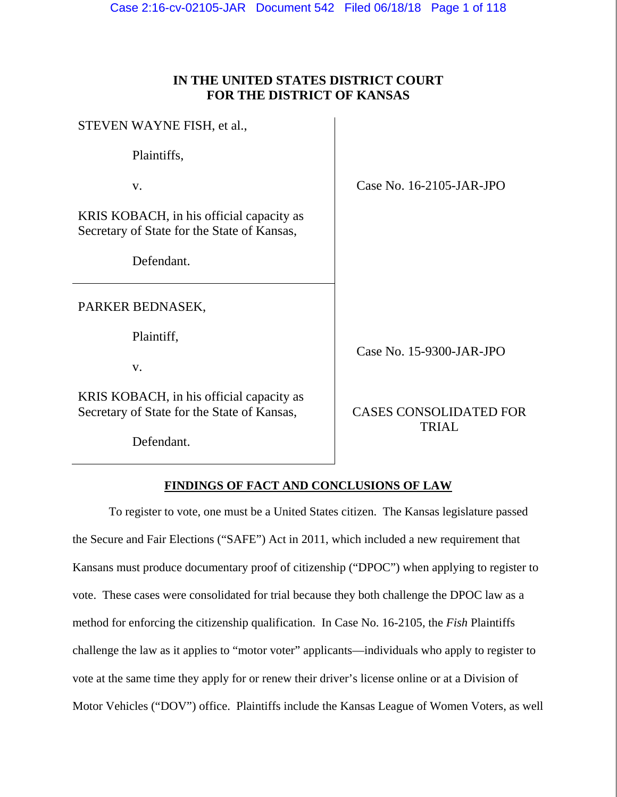# **IN THE UNITED STATES DISTRICT COURT FOR THE DISTRICT OF KANSAS**

| STEVEN WAYNE FISH, et al.,                                                              |                              |
|-----------------------------------------------------------------------------------------|------------------------------|
| Plaintiffs,                                                                             |                              |
| V.                                                                                      | Case No. 16-2105-JAR-JPO     |
| KRIS KOBACH, in his official capacity as<br>Secretary of State for the State of Kansas, |                              |
| Defendant.                                                                              |                              |
| PARKER BEDNASEK,                                                                        |                              |
| Plaintiff,                                                                              |                              |
| V.                                                                                      | Case No. 15-9300-JAR-JPO     |
| KRIS KOBACH, in his official capacity as<br>Secretary of State for the State of Kansas, | <b>CASES CONSOLIDATED FO</b> |

Defendant.

CASES CONSOLIDATED FOR TRIAL

# **FINDINGS OF FACT AND CONCLUSIONS OF LAW**

 To register to vote, one must be a United States citizen. The Kansas legislature passed the Secure and Fair Elections ("SAFE") Act in 2011, which included a new requirement that Kansans must produce documentary proof of citizenship ("DPOC") when applying to register to vote. These cases were consolidated for trial because they both challenge the DPOC law as a method for enforcing the citizenship qualification. In Case No. 16-2105, the *Fish* Plaintiffs challenge the law as it applies to "motor voter" applicants—individuals who apply to register to vote at the same time they apply for or renew their driver's license online or at a Division of Motor Vehicles ("DOV") office. Plaintiffs include the Kansas League of Women Voters, as well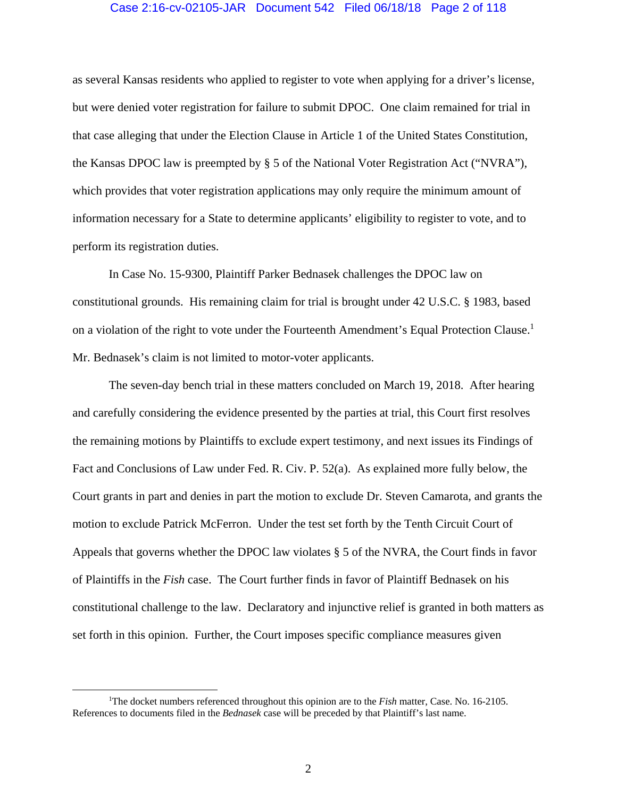#### Case 2:16-cv-02105-JAR Document 542 Filed 06/18/18 Page 2 of 118

as several Kansas residents who applied to register to vote when applying for a driver's license, but were denied voter registration for failure to submit DPOC. One claim remained for trial in that case alleging that under the Election Clause in Article 1 of the United States Constitution, the Kansas DPOC law is preempted by § 5 of the National Voter Registration Act ("NVRA"), which provides that voter registration applications may only require the minimum amount of information necessary for a State to determine applicants' eligibility to register to vote, and to perform its registration duties.

 In Case No. 15-9300, Plaintiff Parker Bednasek challenges the DPOC law on constitutional grounds. His remaining claim for trial is brought under 42 U.S.C. § 1983, based on a violation of the right to vote under the Fourteenth Amendment's Equal Protection Clause.<sup>1</sup> Mr. Bednasek's claim is not limited to motor-voter applicants.

The seven-day bench trial in these matters concluded on March 19, 2018. After hearing and carefully considering the evidence presented by the parties at trial, this Court first resolves the remaining motions by Plaintiffs to exclude expert testimony, and next issues its Findings of Fact and Conclusions of Law under Fed. R. Civ. P. 52(a). As explained more fully below, the Court grants in part and denies in part the motion to exclude Dr. Steven Camarota, and grants the motion to exclude Patrick McFerron. Under the test set forth by the Tenth Circuit Court of Appeals that governs whether the DPOC law violates § 5 of the NVRA, the Court finds in favor of Plaintiffs in the *Fish* case. The Court further finds in favor of Plaintiff Bednasek on his constitutional challenge to the law. Declaratory and injunctive relief is granted in both matters as set forth in this opinion. Further, the Court imposes specific compliance measures given

 $\begin{array}{c|c}\n\hline\n\text{1}\n\end{array}$ <sup>1</sup>The docket numbers referenced throughout this opinion are to the *Fish* matter, Case. No. 16-2105. References to documents filed in the *Bednasek* case will be preceded by that Plaintiff's last name.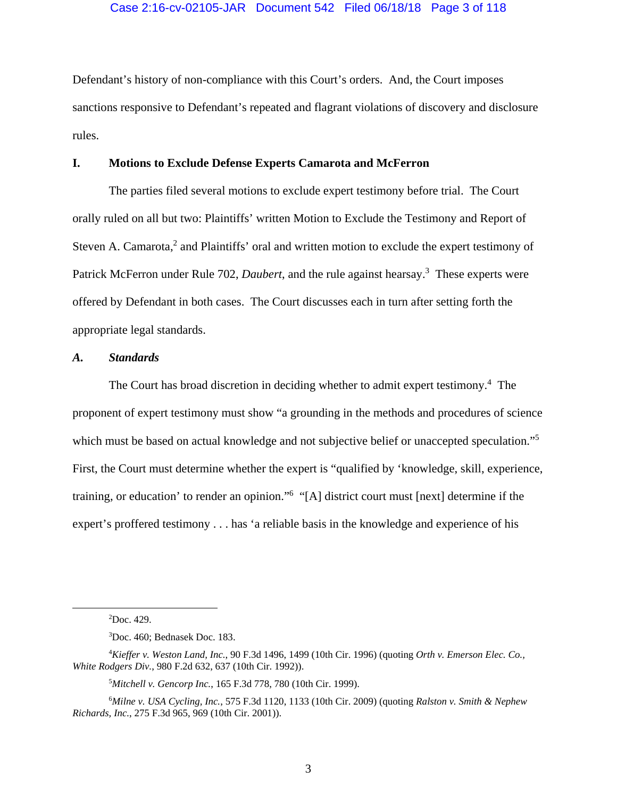Defendant's history of non-compliance with this Court's orders. And, the Court imposes sanctions responsive to Defendant's repeated and flagrant violations of discovery and disclosure rules.

# **I. Motions to Exclude Defense Experts Camarota and McFerron**

 The parties filed several motions to exclude expert testimony before trial. The Court orally ruled on all but two: Plaintiffs' written Motion to Exclude the Testimony and Report of Steven A. Camarota,<sup>2</sup> and Plaintiffs' oral and written motion to exclude the expert testimony of Patrick McFerron under Rule 702, *Daubert*, and the rule against hearsay.<sup>3</sup> These experts were offered by Defendant in both cases. The Court discusses each in turn after setting forth the appropriate legal standards.

# *A. Standards*

The Court has broad discretion in deciding whether to admit expert testimony.<sup>4</sup> The proponent of expert testimony must show "a grounding in the methods and procedures of science which must be based on actual knowledge and not subjective belief or unaccepted speculation."<sup>5</sup> First, the Court must determine whether the expert is "qualified by 'knowledge, skill, experience, training, or education' to render an opinion."<sup>6</sup> "[A] district court must [next] determine if the expert's proffered testimony . . . has 'a reliable basis in the knowledge and experience of his

 $\frac{1}{2}$  ${}^{2}$ Doc. 429.

<sup>3</sup> Doc. 460; Bednasek Doc. 183.

<sup>4</sup> *Kieffer v. Weston Land, Inc.*, 90 F.3d 1496, 1499 (10th Cir. 1996) (quoting *Orth v. Emerson Elec. Co., White Rodgers Div.*, 980 F.2d 632, 637 (10th Cir. 1992)).

<sup>5</sup> *Mitchell v. Gencorp Inc.*, 165 F.3d 778, 780 (10th Cir. 1999).

<sup>6</sup> *Milne v. USA Cycling, Inc.*, 575 F.3d 1120, 1133 (10th Cir. 2009) (quoting *Ralston v. Smith & Nephew Richards, Inc.*, 275 F.3d 965, 969 (10th Cir. 2001)).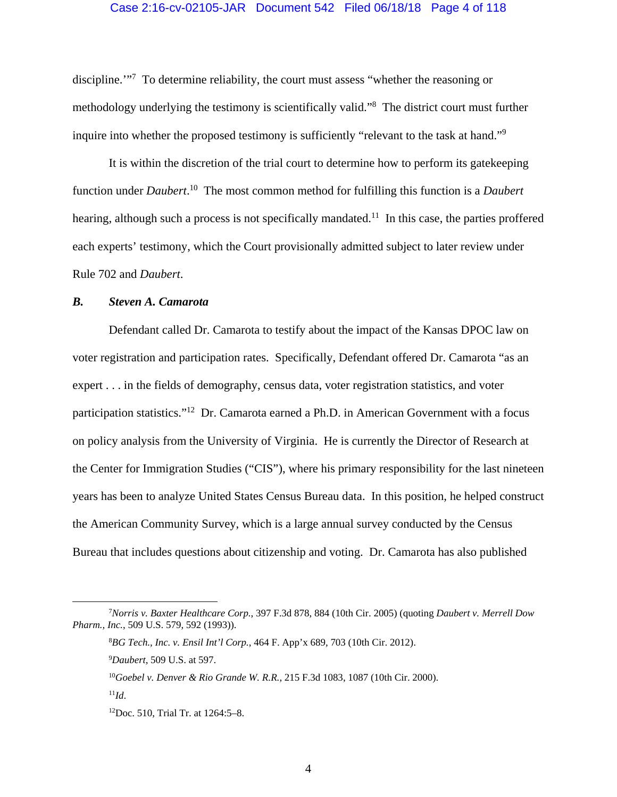#### Case 2:16-cv-02105-JAR Document 542 Filed 06/18/18 Page 4 of 118

discipline."<sup>7</sup> To determine reliability, the court must assess "whether the reasoning or methodology underlying the testimony is scientifically valid."<sup>8</sup> The district court must further inquire into whether the proposed testimony is sufficiently "relevant to the task at hand."<sup>9</sup>

It is within the discretion of the trial court to determine how to perform its gatekeeping function under *Daubert*. 10 The most common method for fulfilling this function is a *Daubert*  hearing, although such a process is not specifically mandated.<sup>11</sup> In this case, the parties proffered each experts' testimony, which the Court provisionally admitted subject to later review under Rule 702 and *Daubert*.

# *B. Steven A. Camarota*

Defendant called Dr. Camarota to testify about the impact of the Kansas DPOC law on voter registration and participation rates. Specifically, Defendant offered Dr. Camarota "as an expert . . . in the fields of demography, census data, voter registration statistics, and voter participation statistics."12 Dr. Camarota earned a Ph.D. in American Government with a focus on policy analysis from the University of Virginia. He is currently the Director of Research at the Center for Immigration Studies ("CIS"), where his primary responsibility for the last nineteen years has been to analyze United States Census Bureau data. In this position, he helped construct the American Community Survey, which is a large annual survey conducted by the Census Bureau that includes questions about citizenship and voting. Dr. Camarota has also published

 <sup>7</sup> *Norris v. Baxter Healthcare Corp.*, 397 F.3d 878, 884 (10th Cir. 2005) (quoting *Daubert v. Merrell Dow Pharm., Inc.*, 509 U.S. 579, 592 (1993)).

<sup>8</sup> *BG Tech., Inc. v. Ensil Int'l Corp.*, 464 F. App'x 689, 703 (10th Cir. 2012).

<sup>9</sup> *Daubert*, 509 U.S. at 597.

<sup>10</sup>*Goebel v. Denver & Rio Grande W. R.R.*, 215 F.3d 1083, 1087 (10th Cir. 2000).

 $^{11}Id.$ 

<sup>12</sup>Doc. 510, Trial Tr. at 1264:5–8.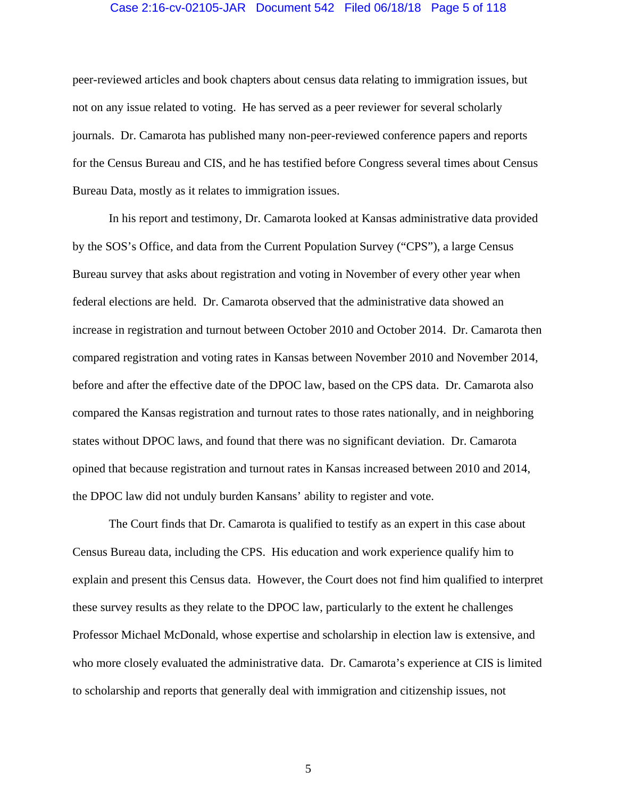#### Case 2:16-cv-02105-JAR Document 542 Filed 06/18/18 Page 5 of 118

peer-reviewed articles and book chapters about census data relating to immigration issues, but not on any issue related to voting. He has served as a peer reviewer for several scholarly journals. Dr. Camarota has published many non-peer-reviewed conference papers and reports for the Census Bureau and CIS, and he has testified before Congress several times about Census Bureau Data, mostly as it relates to immigration issues.

In his report and testimony, Dr. Camarota looked at Kansas administrative data provided by the SOS's Office, and data from the Current Population Survey ("CPS"), a large Census Bureau survey that asks about registration and voting in November of every other year when federal elections are held. Dr. Camarota observed that the administrative data showed an increase in registration and turnout between October 2010 and October 2014. Dr. Camarota then compared registration and voting rates in Kansas between November 2010 and November 2014, before and after the effective date of the DPOC law, based on the CPS data. Dr. Camarota also compared the Kansas registration and turnout rates to those rates nationally, and in neighboring states without DPOC laws, and found that there was no significant deviation. Dr. Camarota opined that because registration and turnout rates in Kansas increased between 2010 and 2014, the DPOC law did not unduly burden Kansans' ability to register and vote.

The Court finds that Dr. Camarota is qualified to testify as an expert in this case about Census Bureau data, including the CPS. His education and work experience qualify him to explain and present this Census data. However, the Court does not find him qualified to interpret these survey results as they relate to the DPOC law, particularly to the extent he challenges Professor Michael McDonald, whose expertise and scholarship in election law is extensive, and who more closely evaluated the administrative data. Dr. Camarota's experience at CIS is limited to scholarship and reports that generally deal with immigration and citizenship issues, not

5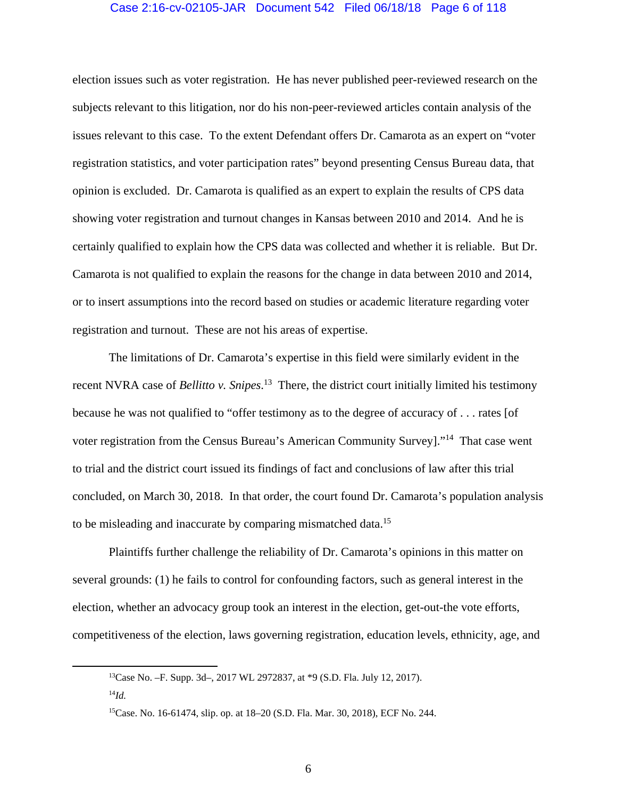## Case 2:16-cv-02105-JAR Document 542 Filed 06/18/18 Page 6 of 118

election issues such as voter registration. He has never published peer-reviewed research on the subjects relevant to this litigation, nor do his non-peer-reviewed articles contain analysis of the issues relevant to this case. To the extent Defendant offers Dr. Camarota as an expert on "voter registration statistics, and voter participation rates" beyond presenting Census Bureau data, that opinion is excluded. Dr. Camarota is qualified as an expert to explain the results of CPS data showing voter registration and turnout changes in Kansas between 2010 and 2014. And he is certainly qualified to explain how the CPS data was collected and whether it is reliable. But Dr. Camarota is not qualified to explain the reasons for the change in data between 2010 and 2014, or to insert assumptions into the record based on studies or academic literature regarding voter registration and turnout. These are not his areas of expertise.

The limitations of Dr. Camarota's expertise in this field were similarly evident in the recent NVRA case of *Bellitto v. Snipes*. 13 There, the district court initially limited his testimony because he was not qualified to "offer testimony as to the degree of accuracy of . . . rates [of voter registration from the Census Bureau's American Community Survey]."14 That case went to trial and the district court issued its findings of fact and conclusions of law after this trial concluded, on March 30, 2018. In that order, the court found Dr. Camarota's population analysis to be misleading and inaccurate by comparing mismatched data.<sup>15</sup>

Plaintiffs further challenge the reliability of Dr. Camarota's opinions in this matter on several grounds: (1) he fails to control for confounding factors, such as general interest in the election, whether an advocacy group took an interest in the election, get-out-the vote efforts, competitiveness of the election, laws governing registration, education levels, ethnicity, age, and

 <sup>13</sup>Case No. –F. Supp. 3d–, 2017 WL 2972837, at \*9 (S.D. Fla. July 12, 2017).

 $^{14}Id$ .

<sup>15</sup>Case. No. 16-61474, slip. op. at 18–20 (S.D. Fla. Mar. 30, 2018), ECF No. 244.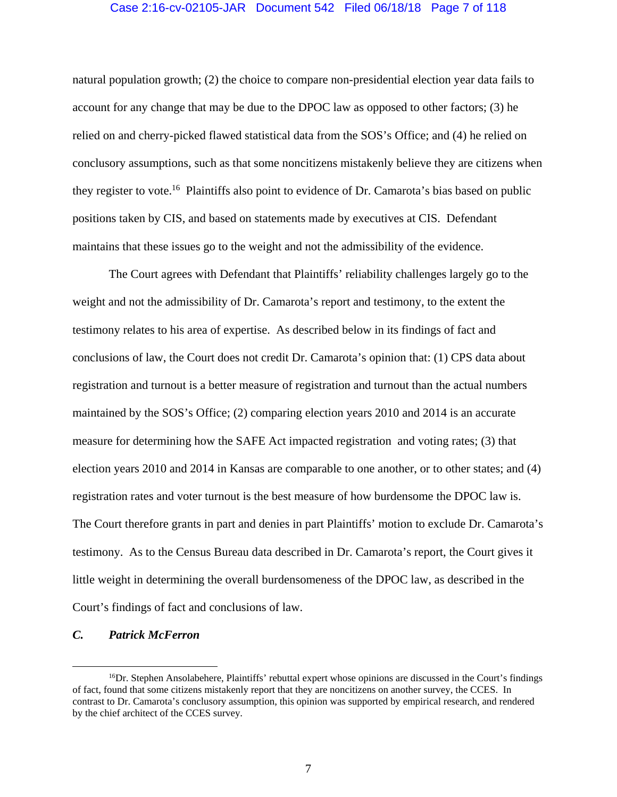# Case 2:16-cv-02105-JAR Document 542 Filed 06/18/18 Page 7 of 118

natural population growth; (2) the choice to compare non-presidential election year data fails to account for any change that may be due to the DPOC law as opposed to other factors; (3) he relied on and cherry-picked flawed statistical data from the SOS's Office; and (4) he relied on conclusory assumptions, such as that some noncitizens mistakenly believe they are citizens when they register to vote.<sup>16</sup> Plaintiffs also point to evidence of Dr. Camarota's bias based on public positions taken by CIS, and based on statements made by executives at CIS. Defendant maintains that these issues go to the weight and not the admissibility of the evidence.

The Court agrees with Defendant that Plaintiffs' reliability challenges largely go to the weight and not the admissibility of Dr. Camarota's report and testimony, to the extent the testimony relates to his area of expertise. As described below in its findings of fact and conclusions of law, the Court does not credit Dr. Camarota's opinion that: (1) CPS data about registration and turnout is a better measure of registration and turnout than the actual numbers maintained by the SOS's Office; (2) comparing election years 2010 and 2014 is an accurate measure for determining how the SAFE Act impacted registration and voting rates; (3) that election years 2010 and 2014 in Kansas are comparable to one another, or to other states; and (4) registration rates and voter turnout is the best measure of how burdensome the DPOC law is. The Court therefore grants in part and denies in part Plaintiffs' motion to exclude Dr. Camarota's testimony. As to the Census Bureau data described in Dr. Camarota's report, the Court gives it little weight in determining the overall burdensomeness of the DPOC law, as described in the Court's findings of fact and conclusions of law.

#### *C. Patrick McFerron*

<sup>&</sup>lt;sup>16</sup>Dr. Stephen Ansolabehere, Plaintiffs' rebuttal expert whose opinions are discussed in the Court's findings of fact, found that some citizens mistakenly report that they are noncitizens on another survey, the CCES. In contrast to Dr. Camarota's conclusory assumption, this opinion was supported by empirical research, and rendered by the chief architect of the CCES survey.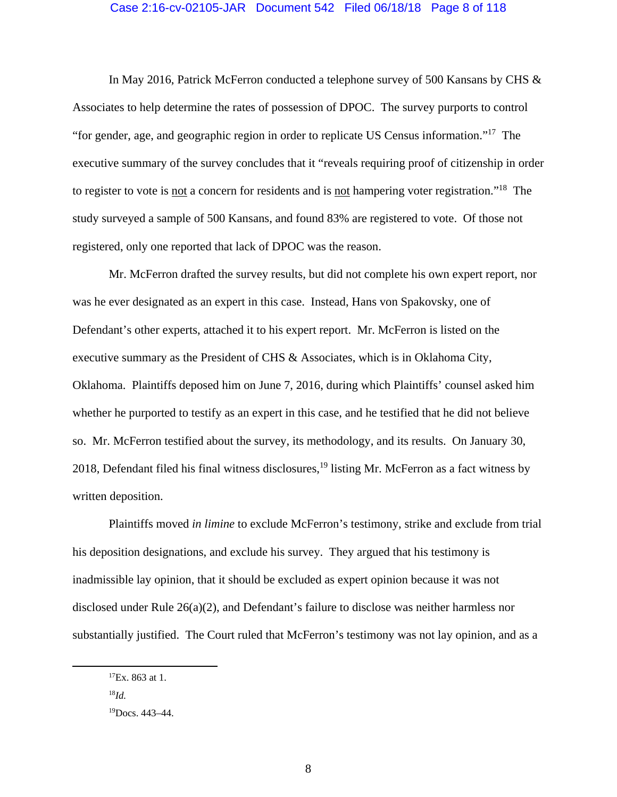## Case 2:16-cv-02105-JAR Document 542 Filed 06/18/18 Page 8 of 118

In May 2016, Patrick McFerron conducted a telephone survey of 500 Kansans by CHS & Associates to help determine the rates of possession of DPOC. The survey purports to control "for gender, age, and geographic region in order to replicate US Census information."17 The executive summary of the survey concludes that it "reveals requiring proof of citizenship in order to register to vote is not a concern for residents and is not hampering voter registration."<sup>18</sup> The study surveyed a sample of 500 Kansans, and found 83% are registered to vote. Of those not registered, only one reported that lack of DPOC was the reason.

Mr. McFerron drafted the survey results, but did not complete his own expert report, nor was he ever designated as an expert in this case. Instead, Hans von Spakovsky, one of Defendant's other experts, attached it to his expert report. Mr. McFerron is listed on the executive summary as the President of CHS & Associates, which is in Oklahoma City, Oklahoma. Plaintiffs deposed him on June 7, 2016, during which Plaintiffs' counsel asked him whether he purported to testify as an expert in this case, and he testified that he did not believe so. Mr. McFerron testified about the survey, its methodology, and its results. On January 30, 2018, Defendant filed his final witness disclosures,  $19$  listing Mr. McFerron as a fact witness by written deposition.

Plaintiffs moved *in limine* to exclude McFerron's testimony, strike and exclude from trial his deposition designations, and exclude his survey. They argued that his testimony is inadmissible lay opinion, that it should be excluded as expert opinion because it was not disclosed under Rule 26(a)(2), and Defendant's failure to disclose was neither harmless nor substantially justified. The Court ruled that McFerron's testimony was not lay opinion, and as a

 ${}^{17}Ex.863$  at 1.

<sup>18</sup>*Id.*

<sup>19</sup>Docs. 443–44.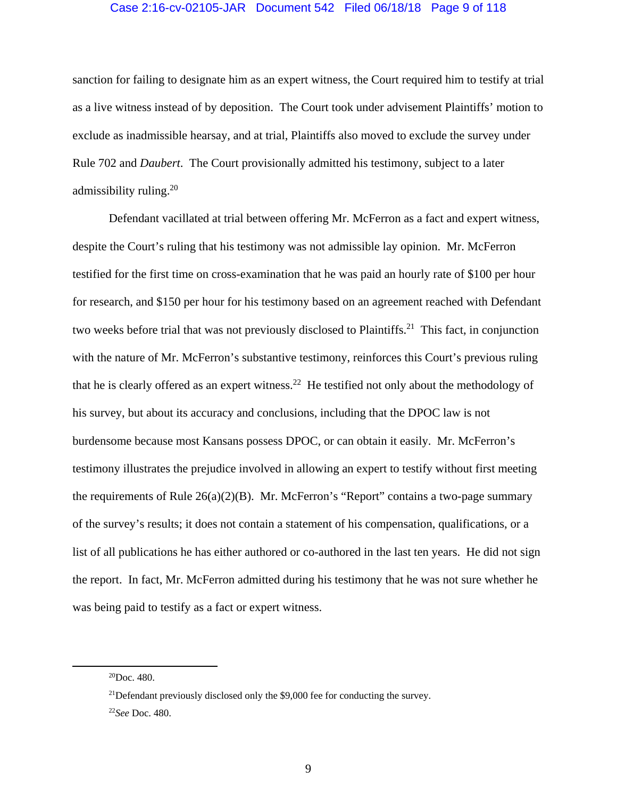## Case 2:16-cv-02105-JAR Document 542 Filed 06/18/18 Page 9 of 118

sanction for failing to designate him as an expert witness, the Court required him to testify at trial as a live witness instead of by deposition. The Court took under advisement Plaintiffs' motion to exclude as inadmissible hearsay, and at trial, Plaintiffs also moved to exclude the survey under Rule 702 and *Daubert*. The Court provisionally admitted his testimony, subject to a later admissibility ruling.20

Defendant vacillated at trial between offering Mr. McFerron as a fact and expert witness, despite the Court's ruling that his testimony was not admissible lay opinion. Mr. McFerron testified for the first time on cross-examination that he was paid an hourly rate of \$100 per hour for research, and \$150 per hour for his testimony based on an agreement reached with Defendant two weeks before trial that was not previously disclosed to Plaintiffs.<sup>21</sup> This fact, in conjunction with the nature of Mr. McFerron's substantive testimony, reinforces this Court's previous ruling that he is clearly offered as an expert witness.<sup>22</sup> He testified not only about the methodology of his survey, but about its accuracy and conclusions, including that the DPOC law is not burdensome because most Kansans possess DPOC, or can obtain it easily. Mr. McFerron's testimony illustrates the prejudice involved in allowing an expert to testify without first meeting the requirements of Rule  $26(a)(2)(B)$ . Mr. McFerron's "Report" contains a two-page summary of the survey's results; it does not contain a statement of his compensation, qualifications, or a list of all publications he has either authored or co-authored in the last ten years. He did not sign the report. In fact, Mr. McFerron admitted during his testimony that he was not sure whether he was being paid to testify as a fact or expert witness.

 $^{20}$ Doc. 480.

<sup>&</sup>lt;sup>21</sup>Defendant previously disclosed only the \$9,000 fee for conducting the survey.

<sup>22</sup>*See* Doc. 480.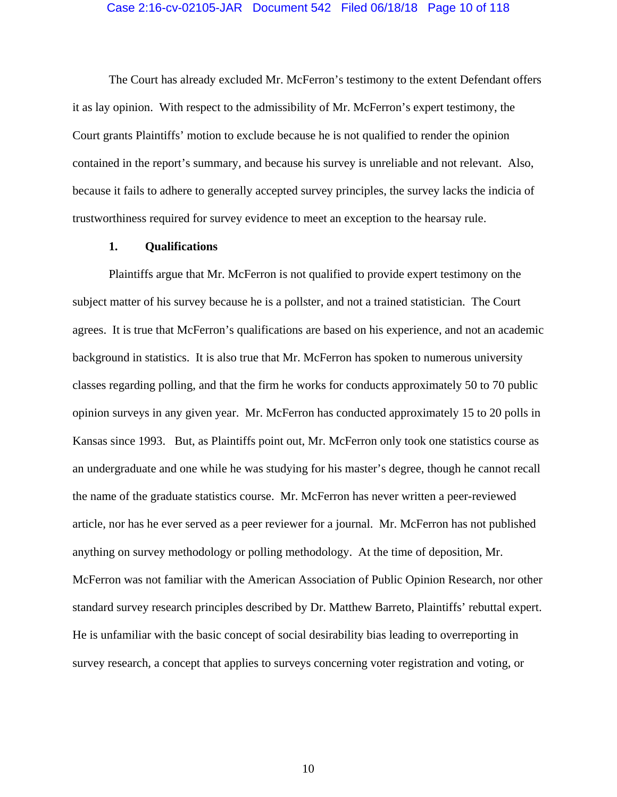#### Case 2:16-cv-02105-JAR Document 542 Filed 06/18/18 Page 10 of 118

The Court has already excluded Mr. McFerron's testimony to the extent Defendant offers it as lay opinion. With respect to the admissibility of Mr. McFerron's expert testimony, the Court grants Plaintiffs' motion to exclude because he is not qualified to render the opinion contained in the report's summary, and because his survey is unreliable and not relevant. Also, because it fails to adhere to generally accepted survey principles, the survey lacks the indicia of trustworthiness required for survey evidence to meet an exception to the hearsay rule.

## **1. Qualifications**

Plaintiffs argue that Mr. McFerron is not qualified to provide expert testimony on the subject matter of his survey because he is a pollster, and not a trained statistician. The Court agrees. It is true that McFerron's qualifications are based on his experience, and not an academic background in statistics. It is also true that Mr. McFerron has spoken to numerous university classes regarding polling, and that the firm he works for conducts approximately 50 to 70 public opinion surveys in any given year. Mr. McFerron has conducted approximately 15 to 20 polls in Kansas since 1993. But, as Plaintiffs point out, Mr. McFerron only took one statistics course as an undergraduate and one while he was studying for his master's degree, though he cannot recall the name of the graduate statistics course. Mr. McFerron has never written a peer-reviewed article, nor has he ever served as a peer reviewer for a journal. Mr. McFerron has not published anything on survey methodology or polling methodology. At the time of deposition, Mr. McFerron was not familiar with the American Association of Public Opinion Research, nor other standard survey research principles described by Dr. Matthew Barreto, Plaintiffs' rebuttal expert. He is unfamiliar with the basic concept of social desirability bias leading to overreporting in survey research, a concept that applies to surveys concerning voter registration and voting, or

10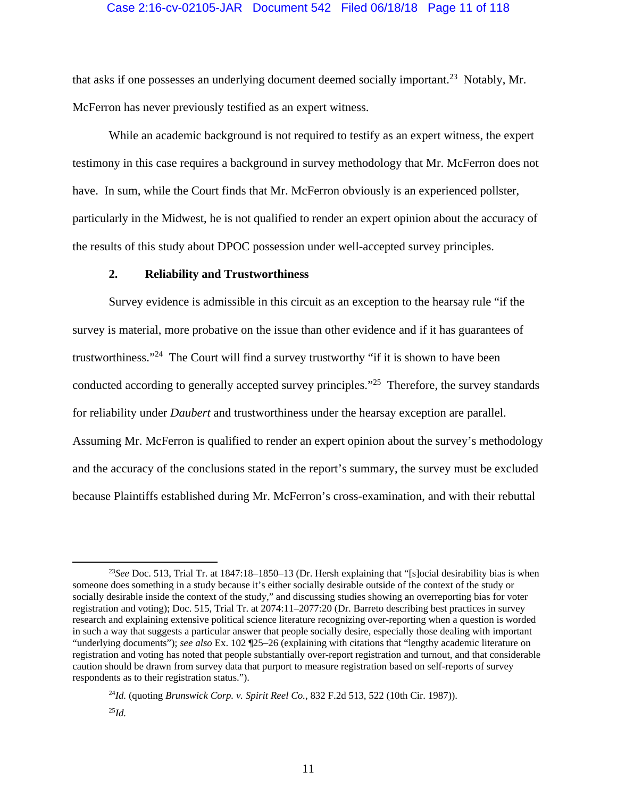# Case 2:16-cv-02105-JAR Document 542 Filed 06/18/18 Page 11 of 118

that asks if one possesses an underlying document deemed socially important.<sup>23</sup> Notably, Mr. McFerron has never previously testified as an expert witness.

While an academic background is not required to testify as an expert witness, the expert testimony in this case requires a background in survey methodology that Mr. McFerron does not have. In sum, while the Court finds that Mr. McFerron obviously is an experienced pollster, particularly in the Midwest, he is not qualified to render an expert opinion about the accuracy of the results of this study about DPOC possession under well-accepted survey principles.

# **2. Reliability and Trustworthiness**

Survey evidence is admissible in this circuit as an exception to the hearsay rule "if the survey is material, more probative on the issue than other evidence and if it has guarantees of trustworthiness."24 The Court will find a survey trustworthy "if it is shown to have been conducted according to generally accepted survey principles."25 Therefore, the survey standards for reliability under *Daubert* and trustworthiness under the hearsay exception are parallel. Assuming Mr. McFerron is qualified to render an expert opinion about the survey's methodology and the accuracy of the conclusions stated in the report's summary, the survey must be excluded because Plaintiffs established during Mr. McFerron's cross-examination, and with their rebuttal

 <sup>23</sup>*See* Doc. 513, Trial Tr. at 1847:18–1850–13 (Dr. Hersh explaining that "[s]ocial desirability bias is when someone does something in a study because it's either socially desirable outside of the context of the study or socially desirable inside the context of the study," and discussing studies showing an overreporting bias for voter registration and voting); Doc. 515, Trial Tr. at 2074:11–2077:20 (Dr. Barreto describing best practices in survey research and explaining extensive political science literature recognizing over-reporting when a question is worded in such a way that suggests a particular answer that people socially desire, especially those dealing with important "underlying documents"); *see also* Ex. 102 ¶25–26 (explaining with citations that "lengthy academic literature on registration and voting has noted that people substantially over-report registration and turnout, and that considerable caution should be drawn from survey data that purport to measure registration based on self-reports of survey respondents as to their registration status.").

<sup>24</sup>*Id.* (quoting *Brunswick Corp. v. Spirit Reel Co.*, 832 F.2d 513, 522 (10th Cir. 1987)). <sup>25</sup>*Id.*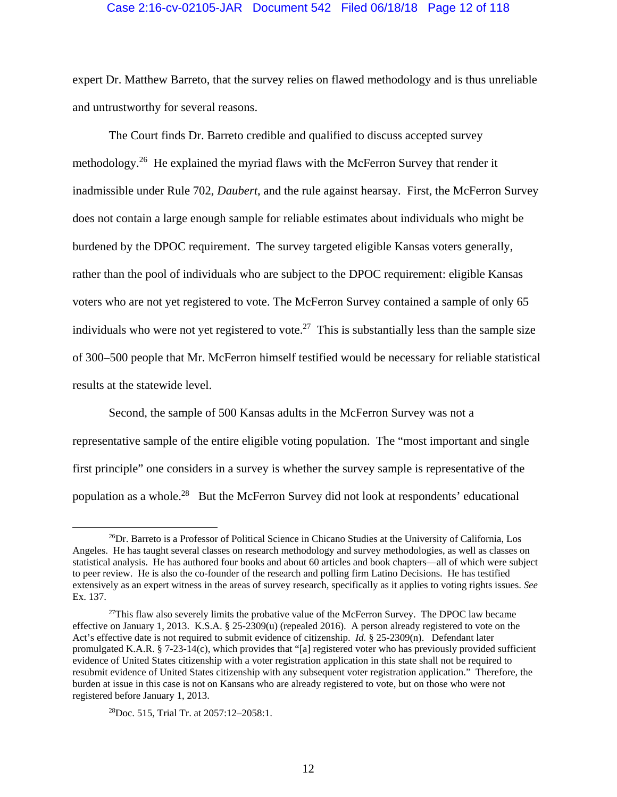## Case 2:16-cv-02105-JAR Document 542 Filed 06/18/18 Page 12 of 118

expert Dr. Matthew Barreto, that the survey relies on flawed methodology and is thus unreliable and untrustworthy for several reasons.

The Court finds Dr. Barreto credible and qualified to discuss accepted survey methodology.26 He explained the myriad flaws with the McFerron Survey that render it inadmissible under Rule 702, *Daubert*, and the rule against hearsay. First, the McFerron Survey does not contain a large enough sample for reliable estimates about individuals who might be burdened by the DPOC requirement. The survey targeted eligible Kansas voters generally, rather than the pool of individuals who are subject to the DPOC requirement: eligible Kansas voters who are not yet registered to vote. The McFerron Survey contained a sample of only 65 individuals who were not yet registered to vote.<sup>27</sup> This is substantially less than the sample size of 300–500 people that Mr. McFerron himself testified would be necessary for reliable statistical results at the statewide level.

Second, the sample of 500 Kansas adults in the McFerron Survey was not a representative sample of the entire eligible voting population. The "most important and single first principle" one considers in a survey is whether the survey sample is representative of the population as a whole.28 But the McFerron Survey did not look at respondents' educational

 <sup>26</sup>Dr. Barreto is a Professor of Political Science in Chicano Studies at the University of California, Los Angeles. He has taught several classes on research methodology and survey methodologies, as well as classes on statistical analysis. He has authored four books and about 60 articles and book chapters—all of which were subject to peer review. He is also the co-founder of the research and polling firm Latino Decisions. He has testified extensively as an expert witness in the areas of survey research, specifically as it applies to voting rights issues. *See*  Ex. 137.

<sup>&</sup>lt;sup>27</sup>This flaw also severely limits the probative value of the McFerron Survey. The DPOC law became effective on January 1, 2013. K.S.A. § 25-2309(u) (repealed 2016). A person already registered to vote on the Act's effective date is not required to submit evidence of citizenship. *Id.* § 25-2309(n). Defendant later promulgated K.A.R. § 7-23-14(c), which provides that "[a] registered voter who has previously provided sufficient evidence of United States citizenship with a voter registration application in this state shall not be required to resubmit evidence of United States citizenship with any subsequent voter registration application." Therefore, the burden at issue in this case is not on Kansans who are already registered to vote, but on those who were not registered before January 1, 2013.

<sup>28</sup>Doc. 515, Trial Tr. at 2057:12–2058:1.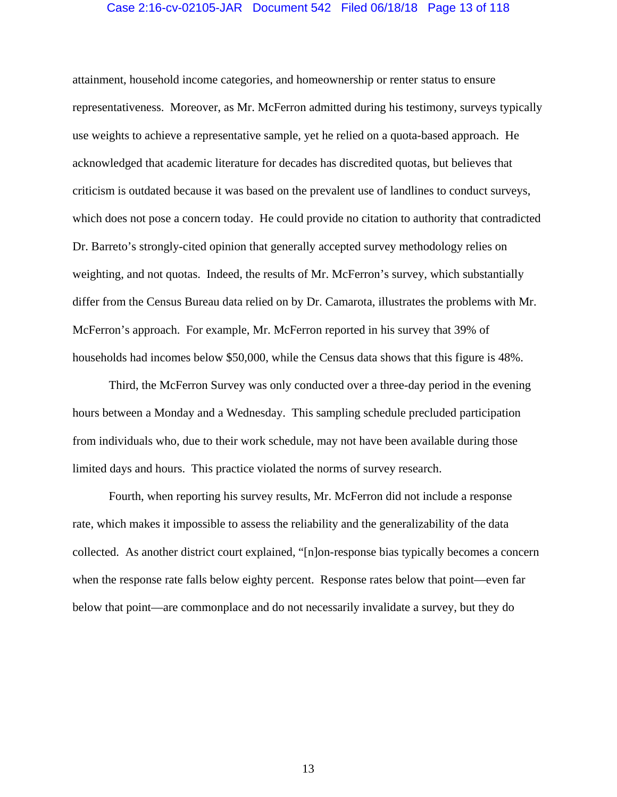# Case 2:16-cv-02105-JAR Document 542 Filed 06/18/18 Page 13 of 118

attainment, household income categories, and homeownership or renter status to ensure representativeness. Moreover, as Mr. McFerron admitted during his testimony, surveys typically use weights to achieve a representative sample, yet he relied on a quota-based approach. He acknowledged that academic literature for decades has discredited quotas, but believes that criticism is outdated because it was based on the prevalent use of landlines to conduct surveys, which does not pose a concern today. He could provide no citation to authority that contradicted Dr. Barreto's strongly-cited opinion that generally accepted survey methodology relies on weighting, and not quotas. Indeed, the results of Mr. McFerron's survey, which substantially differ from the Census Bureau data relied on by Dr. Camarota, illustrates the problems with Mr. McFerron's approach. For example, Mr. McFerron reported in his survey that 39% of households had incomes below \$50,000, while the Census data shows that this figure is 48%.

Third, the McFerron Survey was only conducted over a three-day period in the evening hours between a Monday and a Wednesday. This sampling schedule precluded participation from individuals who, due to their work schedule, may not have been available during those limited days and hours. This practice violated the norms of survey research.

Fourth, when reporting his survey results, Mr. McFerron did not include a response rate, which makes it impossible to assess the reliability and the generalizability of the data collected. As another district court explained, "[n]on-response bias typically becomes a concern when the response rate falls below eighty percent. Response rates below that point—even far below that point—are commonplace and do not necessarily invalidate a survey, but they do

13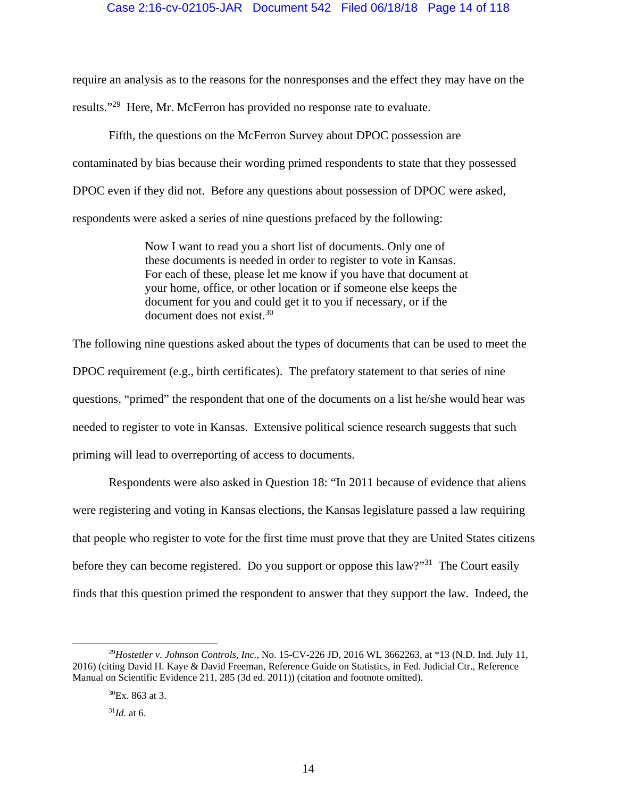# Case 2:16-cv-02105-JAR Document 542 Filed 06/18/18 Page 14 of 118

require an analysis as to the reasons for the nonresponses and the effect they may have on the results."29 Here, Mr. McFerron has provided no response rate to evaluate.

Fifth, the questions on the McFerron Survey about DPOC possession are contaminated by bias because their wording primed respondents to state that they possessed DPOC even if they did not. Before any questions about possession of DPOC were asked, respondents were asked a series of nine questions prefaced by the following:

> Now I want to read you a short list of documents. Only one of these documents is needed in order to register to vote in Kansas. For each of these, please let me know if you have that document at your home, office, or other location or if someone else keeps the document for you and could get it to you if necessary, or if the document does not exist.<sup>30</sup>

The following nine questions asked about the types of documents that can be used to meet the DPOC requirement (e.g., birth certificates). The prefatory statement to that series of nine questions, "primed" the respondent that one of the documents on a list he/she would hear was needed to register to vote in Kansas. Extensive political science research suggests that such priming will lead to overreporting of access to documents.

 Respondents were also asked in Question 18: "In 2011 because of evidence that aliens were registering and voting in Kansas elections, the Kansas legislature passed a law requiring that people who register to vote for the first time must prove that they are United States citizens before they can become registered. Do you support or oppose this law?"<sup>31</sup> The Court easily finds that this question primed the respondent to answer that they support the law. Indeed, the

 <sup>29</sup>*Hostetler v. Johnson Controls, Inc.*, No. 15-CV-226 JD, 2016 WL 3662263, at \*13 (N.D. Ind. July 11, 2016) (citing David H. Kaye & David Freeman, Reference Guide on Statistics, in Fed. Judicial Ctr., Reference Manual on Scientific Evidence 211, 285 (3d ed. 2011)) (citation and footnote omitted).

 ${}^{30}Ex.863$  at 3.

 $^{31}Id$  at 6.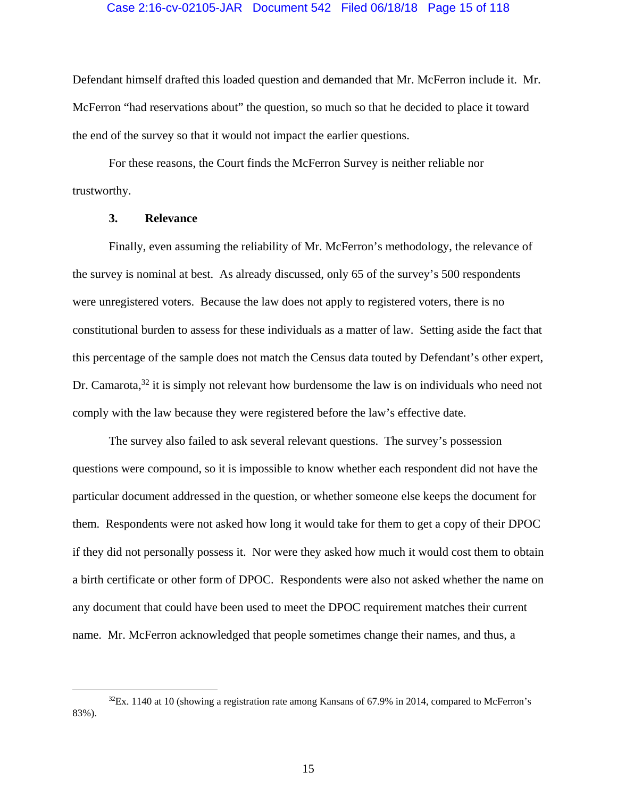# Case 2:16-cv-02105-JAR Document 542 Filed 06/18/18 Page 15 of 118

Defendant himself drafted this loaded question and demanded that Mr. McFerron include it. Mr. McFerron "had reservations about" the question, so much so that he decided to place it toward the end of the survey so that it would not impact the earlier questions.

 For these reasons, the Court finds the McFerron Survey is neither reliable nor trustworthy.

# **3. Relevance**

 Finally, even assuming the reliability of Mr. McFerron's methodology, the relevance of the survey is nominal at best. As already discussed, only 65 of the survey's 500 respondents were unregistered voters. Because the law does not apply to registered voters, there is no constitutional burden to assess for these individuals as a matter of law. Setting aside the fact that this percentage of the sample does not match the Census data touted by Defendant's other expert, Dr. Camarota,  $32$  it is simply not relevant how burdensome the law is on individuals who need not comply with the law because they were registered before the law's effective date.

The survey also failed to ask several relevant questions. The survey's possession questions were compound, so it is impossible to know whether each respondent did not have the particular document addressed in the question, or whether someone else keeps the document for them. Respondents were not asked how long it would take for them to get a copy of their DPOC if they did not personally possess it. Nor were they asked how much it would cost them to obtain a birth certificate or other form of DPOC. Respondents were also not asked whether the name on any document that could have been used to meet the DPOC requirement matches their current name. Mr. McFerron acknowledged that people sometimes change their names, and thus, a

 $32$ Ex. 1140 at 10 (showing a registration rate among Kansans of 67.9% in 2014, compared to McFerron's 83%).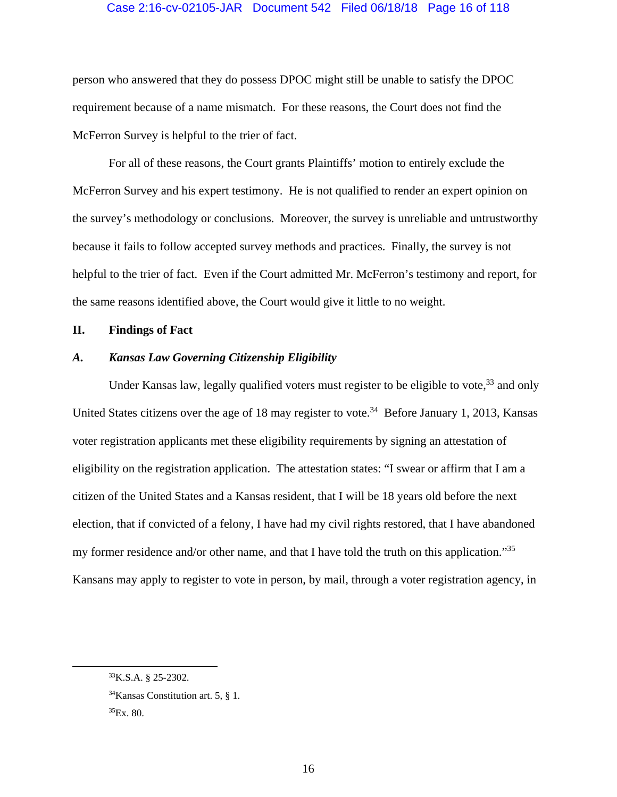# Case 2:16-cv-02105-JAR Document 542 Filed 06/18/18 Page 16 of 118

person who answered that they do possess DPOC might still be unable to satisfy the DPOC requirement because of a name mismatch. For these reasons, the Court does not find the McFerron Survey is helpful to the trier of fact.

 For all of these reasons, the Court grants Plaintiffs' motion to entirely exclude the McFerron Survey and his expert testimony. He is not qualified to render an expert opinion on the survey's methodology or conclusions. Moreover, the survey is unreliable and untrustworthy because it fails to follow accepted survey methods and practices. Finally, the survey is not helpful to the trier of fact. Even if the Court admitted Mr. McFerron's testimony and report, for the same reasons identified above, the Court would give it little to no weight.

# **II. Findings of Fact**

# *A. Kansas Law Governing Citizenship Eligibility*

Under Kansas law, legally qualified voters must register to be eligible to vote,  $33$  and only United States citizens over the age of 18 may register to vote.<sup>34</sup> Before January 1, 2013, Kansas voter registration applicants met these eligibility requirements by signing an attestation of eligibility on the registration application. The attestation states: "I swear or affirm that I am a citizen of the United States and a Kansas resident, that I will be 18 years old before the next election, that if convicted of a felony, I have had my civil rights restored, that I have abandoned my former residence and/or other name, and that I have told the truth on this application."<sup>35</sup> Kansans may apply to register to vote in person, by mail, through a voter registration agency, in

 <sup>33</sup>K.S.A. § 25-2302.

 $34$ Kansas Constitution art. 5, § 1.

 ${}^{35}Ex.80.$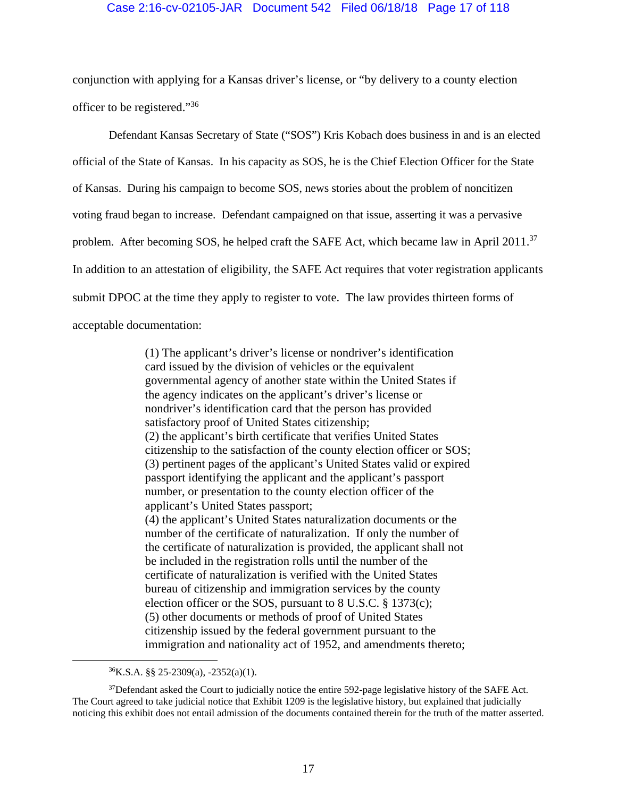# Case 2:16-cv-02105-JAR Document 542 Filed 06/18/18 Page 17 of 118

conjunction with applying for a Kansas driver's license, or "by delivery to a county election officer to be registered."36

Defendant Kansas Secretary of State ("SOS") Kris Kobach does business in and is an elected official of the State of Kansas. In his capacity as SOS, he is the Chief Election Officer for the State of Kansas. During his campaign to become SOS, news stories about the problem of noncitizen voting fraud began to increase. Defendant campaigned on that issue, asserting it was a pervasive problem. After becoming SOS, he helped craft the SAFE Act, which became law in April 2011.<sup>37</sup> In addition to an attestation of eligibility, the SAFE Act requires that voter registration applicants submit DPOC at the time they apply to register to vote. The law provides thirteen forms of acceptable documentation:

> (1) The applicant's driver's license or nondriver's identification card issued by the division of vehicles or the equivalent governmental agency of another state within the United States if the agency indicates on the applicant's driver's license or nondriver's identification card that the person has provided satisfactory proof of United States citizenship; (2) the applicant's birth certificate that verifies United States citizenship to the satisfaction of the county election officer or SOS; (3) pertinent pages of the applicant's United States valid or expired passport identifying the applicant and the applicant's passport number, or presentation to the county election officer of the applicant's United States passport; (4) the applicant's United States naturalization documents or the number of the certificate of naturalization. If only the number of the certificate of naturalization is provided, the applicant shall not be included in the registration rolls until the number of the certificate of naturalization is verified with the United States bureau of citizenship and immigration services by the county election officer or the SOS, pursuant to 8 U.S.C. § 1373(c); (5) other documents or methods of proof of United States citizenship issued by the federal government pursuant to the immigration and nationality act of 1952, and amendments thereto;

 $36K.S.A.$  §§ 25-2309(a), -2352(a)(1).

<sup>&</sup>lt;sup>37</sup>Defendant asked the Court to judicially notice the entire 592-page legislative history of the SAFE Act. The Court agreed to take judicial notice that Exhibit 1209 is the legislative history, but explained that judicially noticing this exhibit does not entail admission of the documents contained therein for the truth of the matter asserted.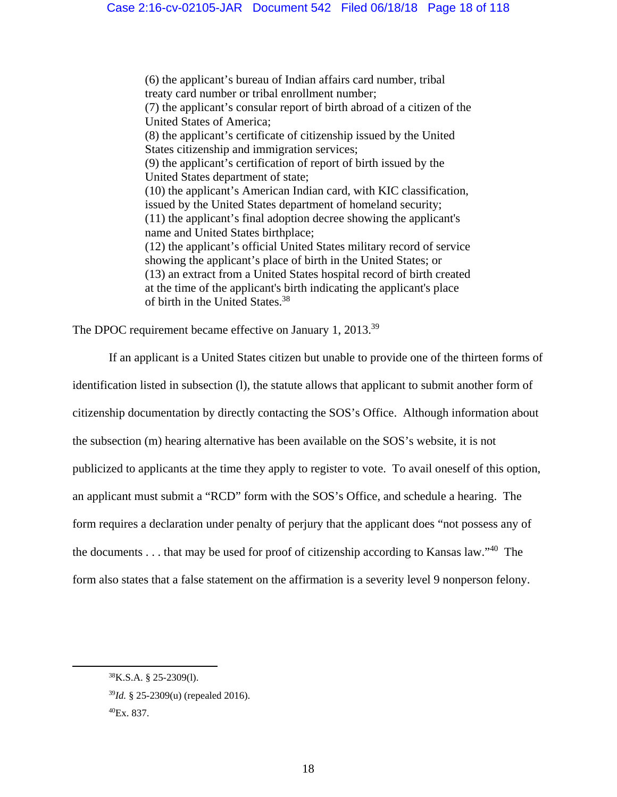(6) the applicant's bureau of Indian affairs card number, tribal treaty card number or tribal enrollment number; (7) the applicant's consular report of birth abroad of a citizen of the United States of America; (8) the applicant's certificate of citizenship issued by the United States citizenship and immigration services; (9) the applicant's certification of report of birth issued by the United States department of state; (10) the applicant's American Indian card, with KIC classification, issued by the United States department of homeland security; (11) the applicant's final adoption decree showing the applicant's name and United States birthplace; (12) the applicant's official United States military record of service showing the applicant's place of birth in the United States; or (13) an extract from a United States hospital record of birth created at the time of the applicant's birth indicating the applicant's place of birth in the United States.38

The DPOC requirement became effective on January 1, 2013.<sup>39</sup>

If an applicant is a United States citizen but unable to provide one of the thirteen forms of

identification listed in subsection (l), the statute allows that applicant to submit another form of citizenship documentation by directly contacting the SOS's Office. Although information about the subsection (m) hearing alternative has been available on the SOS's website, it is not publicized to applicants at the time they apply to register to vote. To avail oneself of this option, an applicant must submit a "RCD" form with the SOS's Office, and schedule a hearing. The form requires a declaration under penalty of perjury that the applicant does "not possess any of the documents . . . that may be used for proof of citizenship according to Kansas law."40 The form also states that a false statement on the affirmation is a severity level 9 nonperson felony.

 <sup>38</sup>K.S.A. § 25-2309(l).

<sup>39</sup>*Id.* § 25-2309(u) (repealed 2016).

<sup>40</sup>Ex. 837.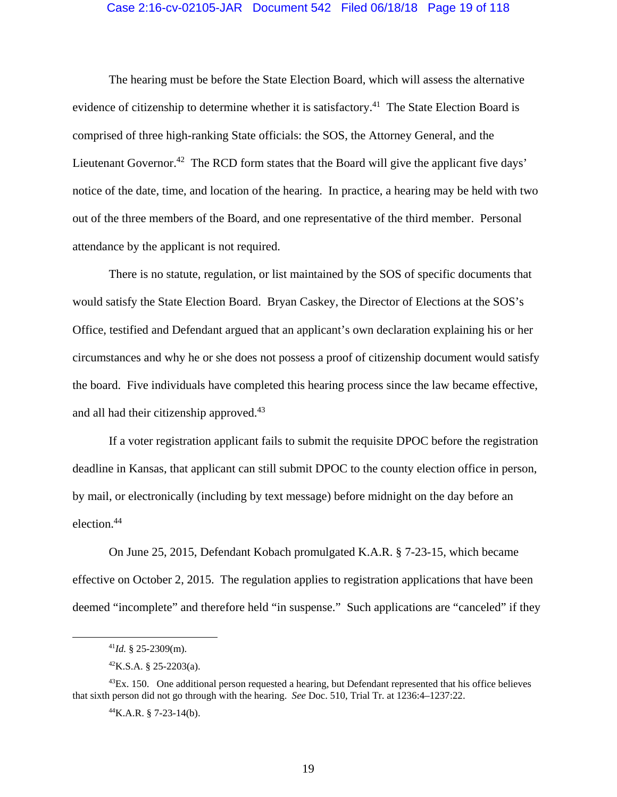#### Case 2:16-cv-02105-JAR Document 542 Filed 06/18/18 Page 19 of 118

The hearing must be before the State Election Board, which will assess the alternative evidence of citizenship to determine whether it is satisfactory.<sup>41</sup> The State Election Board is comprised of three high-ranking State officials: the SOS, the Attorney General, and the Lieutenant Governor.<sup>42</sup> The RCD form states that the Board will give the applicant five days' notice of the date, time, and location of the hearing. In practice, a hearing may be held with two out of the three members of the Board, and one representative of the third member. Personal attendance by the applicant is not required.

There is no statute, regulation, or list maintained by the SOS of specific documents that would satisfy the State Election Board. Bryan Caskey, the Director of Elections at the SOS's Office, testified and Defendant argued that an applicant's own declaration explaining his or her circumstances and why he or she does not possess a proof of citizenship document would satisfy the board. Five individuals have completed this hearing process since the law became effective, and all had their citizenship approved.<sup>43</sup>

 If a voter registration applicant fails to submit the requisite DPOC before the registration deadline in Kansas, that applicant can still submit DPOC to the county election office in person, by mail, or electronically (including by text message) before midnight on the day before an election.44

 On June 25, 2015, Defendant Kobach promulgated K.A.R. § 7-23-15, which became effective on October 2, 2015. The regulation applies to registration applications that have been deemed "incomplete" and therefore held "in suspense." Such applications are "canceled" if they

 $^{44}$ K.A.R. § 7-23-14(b).

 $^{41}$ *Id.* § 25-2309(m).

 ${}^{42}$ K.S.A. § 25-2203(a).

 $^{43}Ex.$  150. One additional person requested a hearing, but Defendant represented that his office believes that sixth person did not go through with the hearing. *See* Doc. 510, Trial Tr. at 1236:4–1237:22.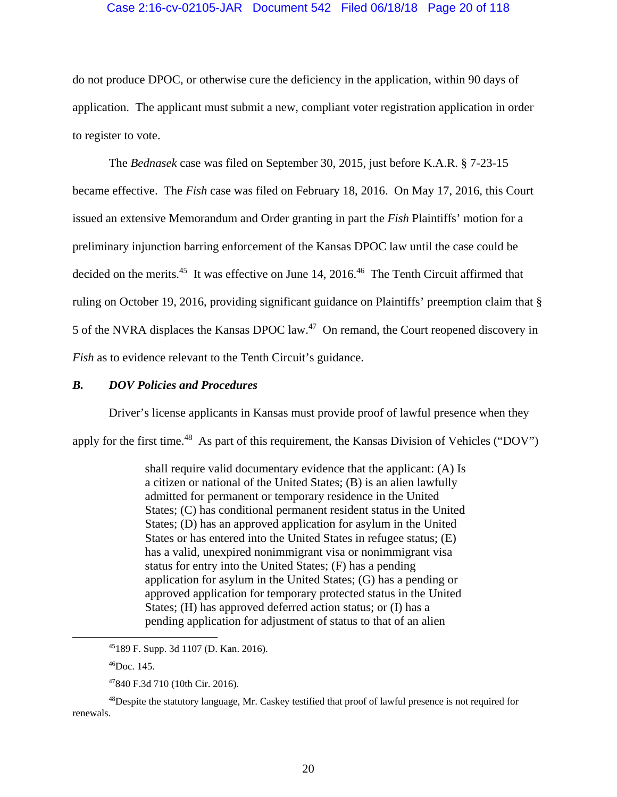# Case 2:16-cv-02105-JAR Document 542 Filed 06/18/18 Page 20 of 118

do not produce DPOC, or otherwise cure the deficiency in the application, within 90 days of application. The applicant must submit a new, compliant voter registration application in order to register to vote.

 The *Bednasek* case was filed on September 30, 2015, just before K.A.R. § 7-23-15 became effective. The *Fish* case was filed on February 18, 2016. On May 17, 2016, this Court issued an extensive Memorandum and Order granting in part the *Fish* Plaintiffs' motion for a preliminary injunction barring enforcement of the Kansas DPOC law until the case could be decided on the merits.<sup>45</sup> It was effective on June 14, 2016.<sup>46</sup> The Tenth Circuit affirmed that ruling on October 19, 2016, providing significant guidance on Plaintiffs' preemption claim that § 5 of the NVRA displaces the Kansas DPOC law.47 On remand, the Court reopened discovery in *Fish* as to evidence relevant to the Tenth Circuit's guidance.

# *B. DOV Policies and Procedures*

Driver's license applicants in Kansas must provide proof of lawful presence when they apply for the first time.<sup>48</sup> As part of this requirement, the Kansas Division of Vehicles ("DOV")

> shall require valid documentary evidence that the applicant: (A) Is a citizen or national of the United States; (B) is an alien lawfully admitted for permanent or temporary residence in the United States; (C) has conditional permanent resident status in the United States; (D) has an approved application for asylum in the United States or has entered into the United States in refugee status; (E) has a valid, unexpired nonimmigrant visa or nonimmigrant visa status for entry into the United States; (F) has a pending application for asylum in the United States; (G) has a pending or approved application for temporary protected status in the United States; (H) has approved deferred action status; or (I) has a pending application for adjustment of status to that of an alien

 <sup>45189</sup> F. Supp. 3d 1107 (D. Kan. 2016).

<sup>46</sup>Doc. 145.

<sup>47840</sup> F.3d 710 (10th Cir. 2016).

<sup>&</sup>lt;sup>48</sup>Despite the statutory language, Mr. Caskey testified that proof of lawful presence is not required for renewals.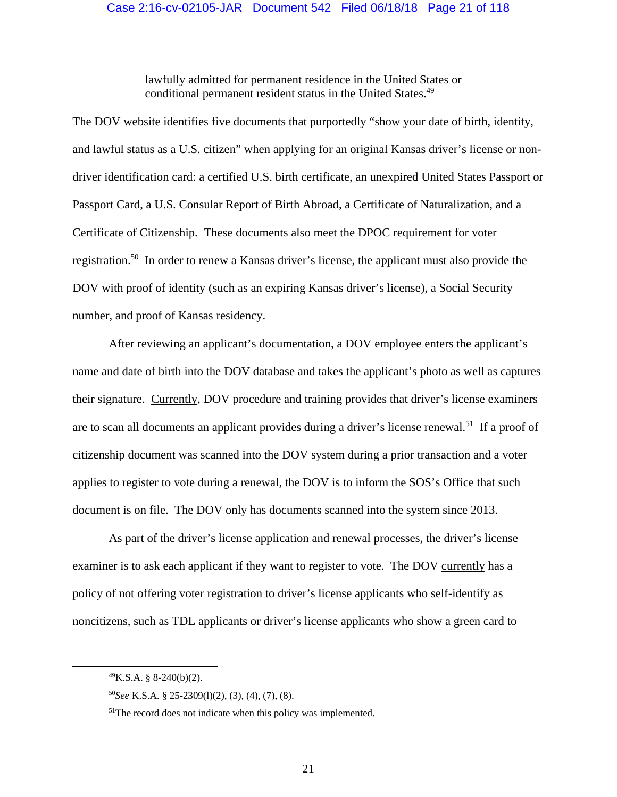lawfully admitted for permanent residence in the United States or conditional permanent resident status in the United States.<sup>49</sup>

The DOV website identifies five documents that purportedly "show your date of birth, identity, and lawful status as a U.S. citizen" when applying for an original Kansas driver's license or nondriver identification card: a certified U.S. birth certificate, an unexpired United States Passport or Passport Card, a U.S. Consular Report of Birth Abroad, a Certificate of Naturalization, and a Certificate of Citizenship. These documents also meet the DPOC requirement for voter registration.50 In order to renew a Kansas driver's license, the applicant must also provide the DOV with proof of identity (such as an expiring Kansas driver's license), a Social Security number, and proof of Kansas residency.

After reviewing an applicant's documentation, a DOV employee enters the applicant's name and date of birth into the DOV database and takes the applicant's photo as well as captures their signature. Currently, DOV procedure and training provides that driver's license examiners are to scan all documents an applicant provides during a driver's license renewal.51 If a proof of citizenship document was scanned into the DOV system during a prior transaction and a voter applies to register to vote during a renewal, the DOV is to inform the SOS's Office that such document is on file. The DOV only has documents scanned into the system since 2013.

As part of the driver's license application and renewal processes, the driver's license examiner is to ask each applicant if they want to register to vote. The DOV currently has a policy of not offering voter registration to driver's license applicants who self-identify as noncitizens, such as TDL applicants or driver's license applicants who show a green card to

 $^{49}$ K.S.A. § 8-240(b)(2).

<sup>50</sup>*See* K.S.A. § 25-2309(l)(2), (3), (4), (7), (8).

<sup>&</sup>lt;sup>51</sup>The record does not indicate when this policy was implemented.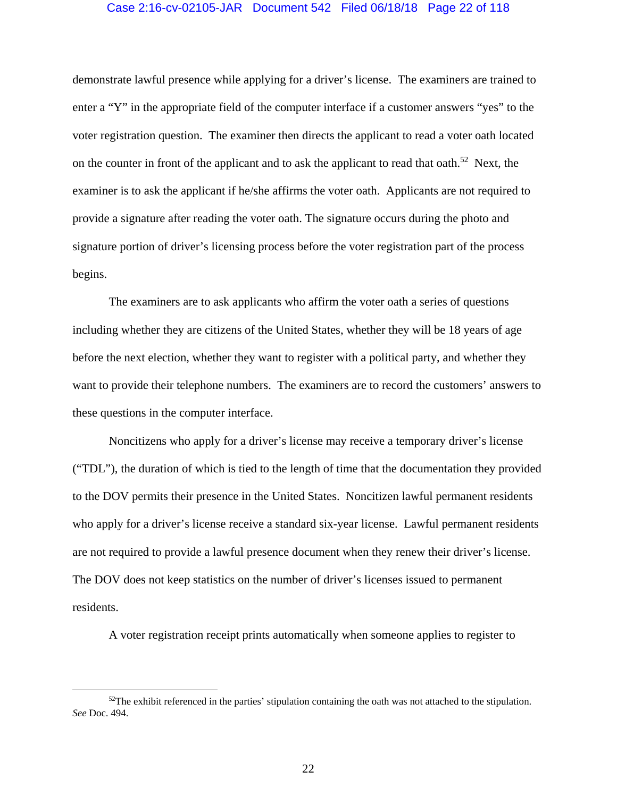# Case 2:16-cv-02105-JAR Document 542 Filed 06/18/18 Page 22 of 118

demonstrate lawful presence while applying for a driver's license. The examiners are trained to enter a "Y" in the appropriate field of the computer interface if a customer answers "yes" to the voter registration question. The examiner then directs the applicant to read a voter oath located on the counter in front of the applicant and to ask the applicant to read that oath.<sup>52</sup> Next, the examiner is to ask the applicant if he/she affirms the voter oath. Applicants are not required to provide a signature after reading the voter oath. The signature occurs during the photo and signature portion of driver's licensing process before the voter registration part of the process begins.

The examiners are to ask applicants who affirm the voter oath a series of questions including whether they are citizens of the United States, whether they will be 18 years of age before the next election, whether they want to register with a political party, and whether they want to provide their telephone numbers. The examiners are to record the customers' answers to these questions in the computer interface.

Noncitizens who apply for a driver's license may receive a temporary driver's license ("TDL"), the duration of which is tied to the length of time that the documentation they provided to the DOV permits their presence in the United States. Noncitizen lawful permanent residents who apply for a driver's license receive a standard six-year license. Lawful permanent residents are not required to provide a lawful presence document when they renew their driver's license. The DOV does not keep statistics on the number of driver's licenses issued to permanent residents.

A voter registration receipt prints automatically when someone applies to register to

 $52$ The exhibit referenced in the parties' stipulation containing the oath was not attached to the stipulation. *See* Doc. 494.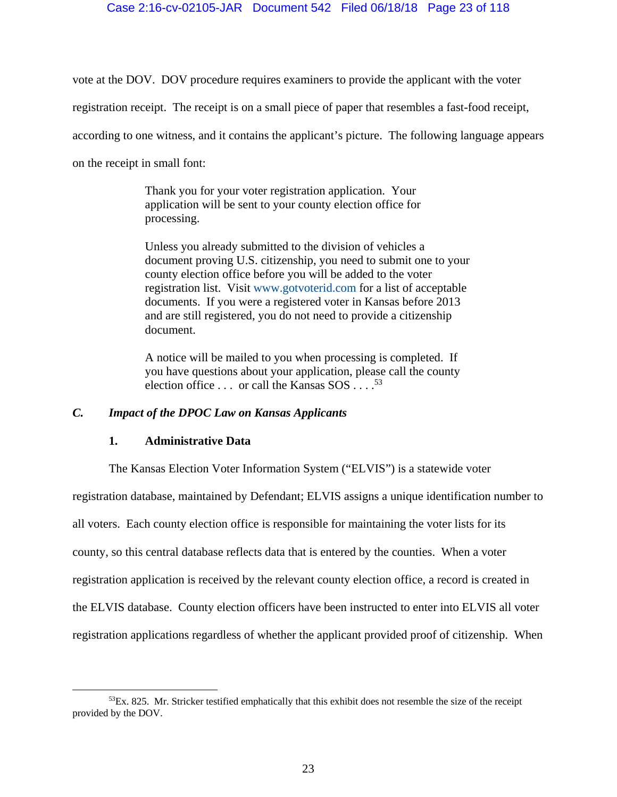# Case 2:16-cv-02105-JAR Document 542 Filed 06/18/18 Page 23 of 118

vote at the DOV. DOV procedure requires examiners to provide the applicant with the voter

registration receipt. The receipt is on a small piece of paper that resembles a fast-food receipt,

according to one witness, and it contains the applicant's picture. The following language appears

on the receipt in small font:

Thank you for your voter registration application. Your application will be sent to your county election office for processing.

Unless you already submitted to the division of vehicles a document proving U.S. citizenship, you need to submit one to your county election office before you will be added to the voter registration list. Visit www.gotvoterid.com for a list of acceptable documents. If you were a registered voter in Kansas before 2013 and are still registered, you do not need to provide a citizenship document.

A notice will be mailed to you when processing is completed. If you have questions about your application, please call the county election office  $\dots$  or call the Kansas SOS  $\dots$ .<sup>53</sup>

# *C. Impact of the DPOC Law on Kansas Applicants*

# **1. Administrative Data**

The Kansas Election Voter Information System ("ELVIS") is a statewide voter registration database, maintained by Defendant; ELVIS assigns a unique identification number to all voters. Each county election office is responsible for maintaining the voter lists for its county, so this central database reflects data that is entered by the counties. When a voter registration application is received by the relevant county election office, a record is created in the ELVIS database. County election officers have been instructed to enter into ELVIS all voter registration applications regardless of whether the applicant provided proof of citizenship. When

 $53Ex. 825$ . Mr. Stricker testified emphatically that this exhibit does not resemble the size of the receipt provided by the DOV.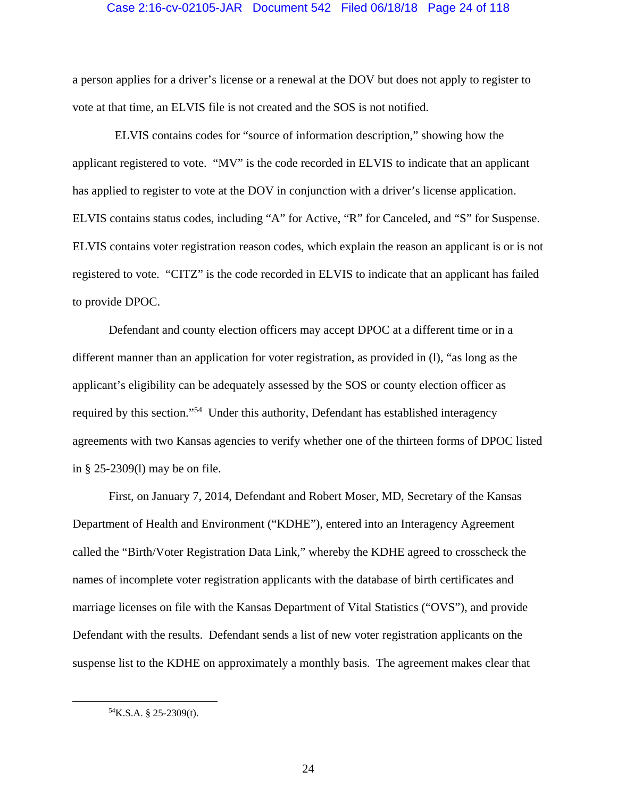## Case 2:16-cv-02105-JAR Document 542 Filed 06/18/18 Page 24 of 118

a person applies for a driver's license or a renewal at the DOV but does not apply to register to vote at that time, an ELVIS file is not created and the SOS is not notified.

 ELVIS contains codes for "source of information description," showing how the applicant registered to vote. "MV" is the code recorded in ELVIS to indicate that an applicant has applied to register to vote at the DOV in conjunction with a driver's license application. ELVIS contains status codes, including "A" for Active, "R" for Canceled, and "S" for Suspense. ELVIS contains voter registration reason codes, which explain the reason an applicant is or is not registered to vote. "CITZ" is the code recorded in ELVIS to indicate that an applicant has failed to provide DPOC.

Defendant and county election officers may accept DPOC at a different time or in a different manner than an application for voter registration, as provided in (l), "as long as the applicant's eligibility can be adequately assessed by the SOS or county election officer as required by this section."54 Under this authority, Defendant has established interagency agreements with two Kansas agencies to verify whether one of the thirteen forms of DPOC listed in § 25-2309(l) may be on file.

First, on January 7, 2014, Defendant and Robert Moser, MD, Secretary of the Kansas Department of Health and Environment ("KDHE"), entered into an Interagency Agreement called the "Birth/Voter Registration Data Link," whereby the KDHE agreed to crosscheck the names of incomplete voter registration applicants with the database of birth certificates and marriage licenses on file with the Kansas Department of Vital Statistics ("OVS"), and provide Defendant with the results. Defendant sends a list of new voter registration applicants on the suspense list to the KDHE on approximately a monthly basis. The agreement makes clear that

 <sup>54</sup>K.S.A. § 25-2309(t).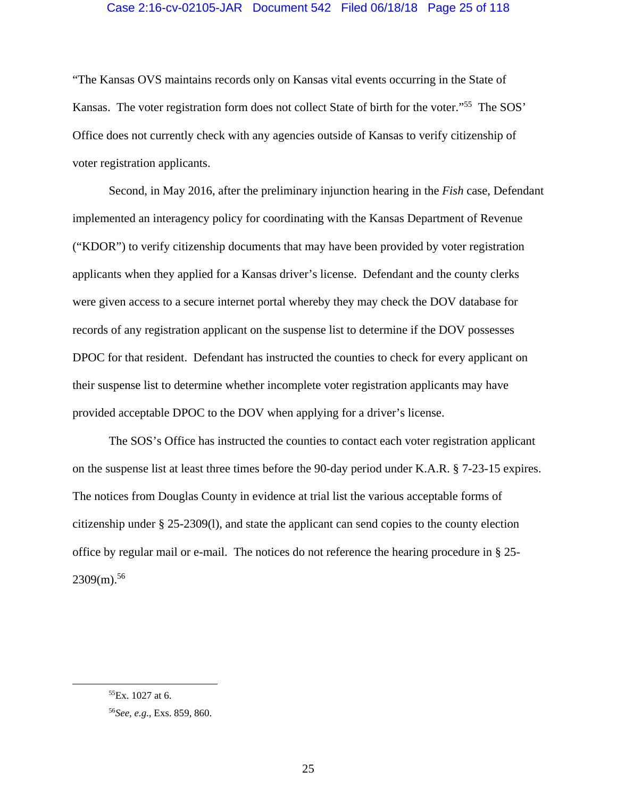# Case 2:16-cv-02105-JAR Document 542 Filed 06/18/18 Page 25 of 118

"The Kansas OVS maintains records only on Kansas vital events occurring in the State of Kansas. The voter registration form does not collect State of birth for the voter."55 The SOS' Office does not currently check with any agencies outside of Kansas to verify citizenship of voter registration applicants.

Second, in May 2016, after the preliminary injunction hearing in the *Fish* case, Defendant implemented an interagency policy for coordinating with the Kansas Department of Revenue ("KDOR") to verify citizenship documents that may have been provided by voter registration applicants when they applied for a Kansas driver's license. Defendant and the county clerks were given access to a secure internet portal whereby they may check the DOV database for records of any registration applicant on the suspense list to determine if the DOV possesses DPOC for that resident. Defendant has instructed the counties to check for every applicant on their suspense list to determine whether incomplete voter registration applicants may have provided acceptable DPOC to the DOV when applying for a driver's license.

The SOS's Office has instructed the counties to contact each voter registration applicant on the suspense list at least three times before the 90-day period under K.A.R. § 7-23-15 expires. The notices from Douglas County in evidence at trial list the various acceptable forms of citizenship under § 25-2309(l), and state the applicant can send copies to the county election office by regular mail or e-mail. The notices do not reference the hearing procedure in § 25-  $2309(m).$ <sup>56</sup>

 ${}^{55}Ex.$  1027 at 6.

<sup>56</sup>*See, e.g*., Exs. 859, 860.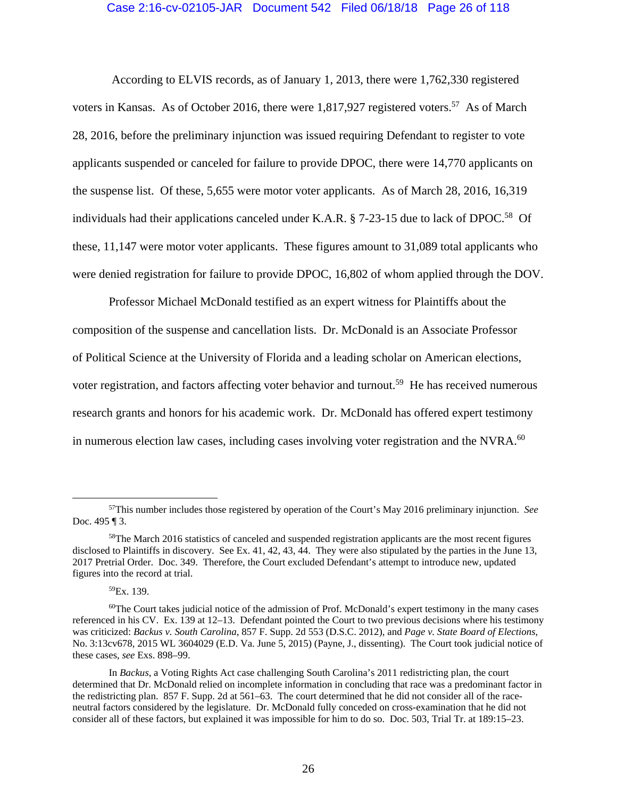## Case 2:16-cv-02105-JAR Document 542 Filed 06/18/18 Page 26 of 118

 According to ELVIS records, as of January 1, 2013, there were 1,762,330 registered voters in Kansas. As of October 2016, there were 1,817,927 registered voters.<sup>57</sup> As of March 28, 2016, before the preliminary injunction was issued requiring Defendant to register to vote applicants suspended or canceled for failure to provide DPOC, there were 14,770 applicants on the suspense list. Of these, 5,655 were motor voter applicants. As of March 28, 2016, 16,319 individuals had their applications canceled under K.A.R.  $\S$  7-23-15 due to lack of DPOC.<sup>58</sup> Of these, 11,147 were motor voter applicants. These figures amount to 31,089 total applicants who were denied registration for failure to provide DPOC, 16,802 of whom applied through the DOV.

 Professor Michael McDonald testified as an expert witness for Plaintiffs about the composition of the suspense and cancellation lists. Dr. McDonald is an Associate Professor of Political Science at the University of Florida and a leading scholar on American elections, voter registration, and factors affecting voter behavior and turnout.<sup>59</sup> He has received numerous research grants and honors for his academic work. Dr. McDonald has offered expert testimony in numerous election law cases, including cases involving voter registration and the NVRA.<sup>60</sup>

59Ex. 139.

 <sup>57</sup>This number includes those registered by operation of the Court's May 2016 preliminary injunction. *See* Doc. 495 ¶ 3.

<sup>&</sup>lt;sup>58</sup>The March 2016 statistics of canceled and suspended registration applicants are the most recent figures disclosed to Plaintiffs in discovery. See Ex. 41, 42, 43, 44. They were also stipulated by the parties in the June 13, 2017 Pretrial Order. Doc. 349. Therefore, the Court excluded Defendant's attempt to introduce new, updated figures into the record at trial.

 $60$ The Court takes judicial notice of the admission of Prof. McDonald's expert testimony in the many cases referenced in his CV. Ex. 139 at 12–13. Defendant pointed the Court to two previous decisions where his testimony was criticized: *Backus v. South Carolina*, 857 F. Supp. 2d 553 (D.S.C. 2012), and *Page v. State Board of Elections*, No. 3:13cv678, 2015 WL 3604029 (E.D. Va. June 5, 2015) (Payne, J., dissenting). The Court took judicial notice of these cases, *see* Exs. 898–99.

In *Backus*, a Voting Rights Act case challenging South Carolina's 2011 redistricting plan, the court determined that Dr. McDonald relied on incomplete information in concluding that race was a predominant factor in the redistricting plan. 857 F. Supp. 2d at 561–63. The court determined that he did not consider all of the raceneutral factors considered by the legislature. Dr. McDonald fully conceded on cross-examination that he did not consider all of these factors, but explained it was impossible for him to do so. Doc. 503, Trial Tr. at 189:15–23.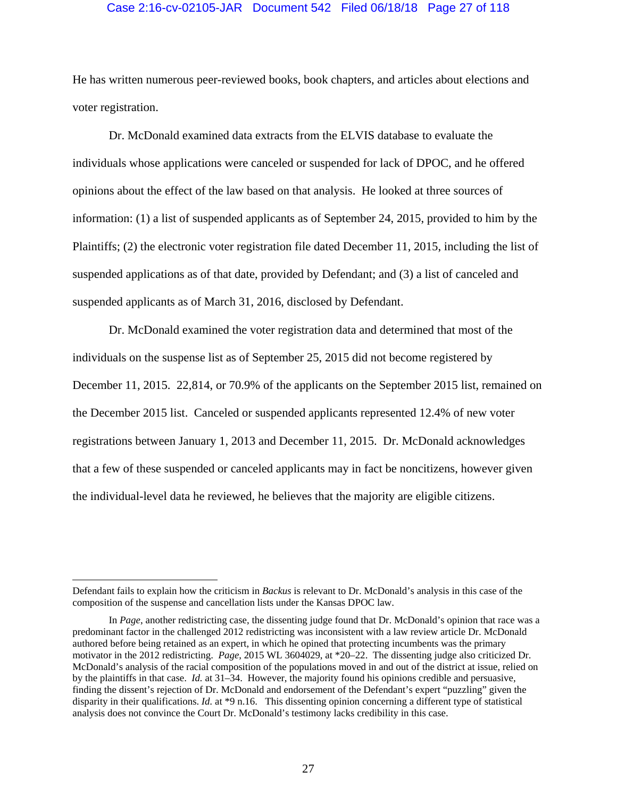## Case 2:16-cv-02105-JAR Document 542 Filed 06/18/18 Page 27 of 118

He has written numerous peer-reviewed books, book chapters, and articles about elections and voter registration.

 Dr. McDonald examined data extracts from the ELVIS database to evaluate the individuals whose applications were canceled or suspended for lack of DPOC, and he offered opinions about the effect of the law based on that analysis. He looked at three sources of information: (1) a list of suspended applicants as of September 24, 2015, provided to him by the Plaintiffs; (2) the electronic voter registration file dated December 11, 2015, including the list of suspended applications as of that date, provided by Defendant; and (3) a list of canceled and suspended applicants as of March 31, 2016, disclosed by Defendant.

 Dr. McDonald examined the voter registration data and determined that most of the individuals on the suspense list as of September 25, 2015 did not become registered by December 11, 2015. 22,814, or 70.9% of the applicants on the September 2015 list, remained on the December 2015 list. Canceled or suspended applicants represented 12.4% of new voter registrations between January 1, 2013 and December 11, 2015. Dr. McDonald acknowledges that a few of these suspended or canceled applicants may in fact be noncitizens, however given the individual-level data he reviewed, he believes that the majority are eligible citizens.

 $\overline{a}$ 

Defendant fails to explain how the criticism in *Backus* is relevant to Dr. McDonald's analysis in this case of the composition of the suspense and cancellation lists under the Kansas DPOC law.

In *Page*, another redistricting case, the dissenting judge found that Dr. McDonald's opinion that race was a predominant factor in the challenged 2012 redistricting was inconsistent with a law review article Dr. McDonald authored before being retained as an expert, in which he opined that protecting incumbents was the primary motivator in the 2012 redistricting. *Page*, 2015 WL 3604029, at \*20–22. The dissenting judge also criticized Dr. McDonald's analysis of the racial composition of the populations moved in and out of the district at issue, relied on by the plaintiffs in that case. *Id.* at 31–34. However, the majority found his opinions credible and persuasive, finding the dissent's rejection of Dr. McDonald and endorsement of the Defendant's expert "puzzling" given the disparity in their qualifications. *Id.* at \*9 n.16. This dissenting opinion concerning a different type of statistical analysis does not convince the Court Dr. McDonald's testimony lacks credibility in this case.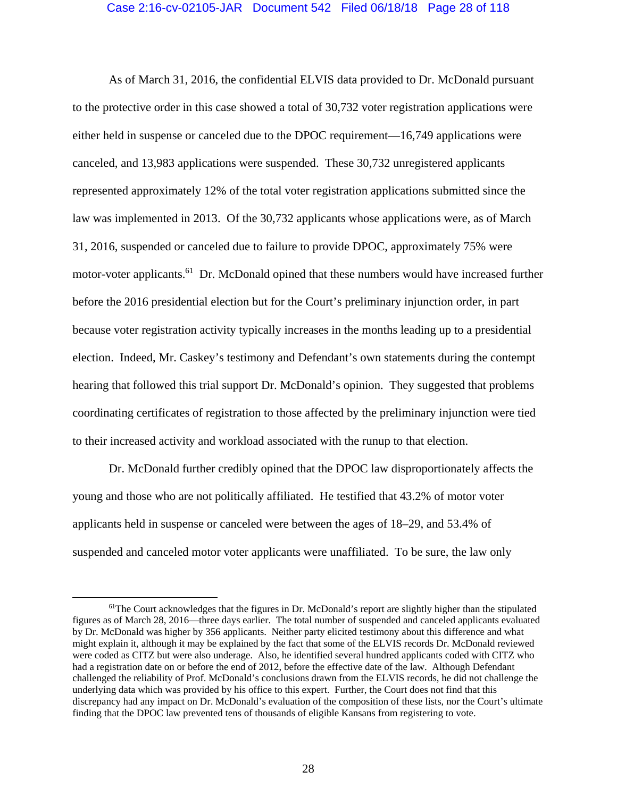## Case 2:16-cv-02105-JAR Document 542 Filed 06/18/18 Page 28 of 118

As of March 31, 2016, the confidential ELVIS data provided to Dr. McDonald pursuant to the protective order in this case showed a total of 30,732 voter registration applications were either held in suspense or canceled due to the DPOC requirement—16,749 applications were canceled, and 13,983 applications were suspended. These 30,732 unregistered applicants represented approximately 12% of the total voter registration applications submitted since the law was implemented in 2013. Of the 30,732 applicants whose applications were, as of March 31, 2016, suspended or canceled due to failure to provide DPOC, approximately 75% were motor-voter applicants.<sup>61</sup> Dr. McDonald opined that these numbers would have increased further before the 2016 presidential election but for the Court's preliminary injunction order, in part because voter registration activity typically increases in the months leading up to a presidential election. Indeed, Mr. Caskey's testimony and Defendant's own statements during the contempt hearing that followed this trial support Dr. McDonald's opinion. They suggested that problems coordinating certificates of registration to those affected by the preliminary injunction were tied to their increased activity and workload associated with the runup to that election.

 Dr. McDonald further credibly opined that the DPOC law disproportionately affects the young and those who are not politically affiliated. He testified that 43.2% of motor voter applicants held in suspense or canceled were between the ages of 18–29, and 53.4% of suspended and canceled motor voter applicants were unaffiliated. To be sure, the law only

<sup>&</sup>lt;sup>61</sup>The Court acknowledges that the figures in Dr. McDonald's report are slightly higher than the stipulated figures as of March 28, 2016—three days earlier. The total number of suspended and canceled applicants evaluated by Dr. McDonald was higher by 356 applicants. Neither party elicited testimony about this difference and what might explain it, although it may be explained by the fact that some of the ELVIS records Dr. McDonald reviewed were coded as CITZ but were also underage. Also, he identified several hundred applicants coded with CITZ who had a registration date on or before the end of 2012, before the effective date of the law. Although Defendant challenged the reliability of Prof. McDonald's conclusions drawn from the ELVIS records, he did not challenge the underlying data which was provided by his office to this expert. Further, the Court does not find that this discrepancy had any impact on Dr. McDonald's evaluation of the composition of these lists, nor the Court's ultimate finding that the DPOC law prevented tens of thousands of eligible Kansans from registering to vote.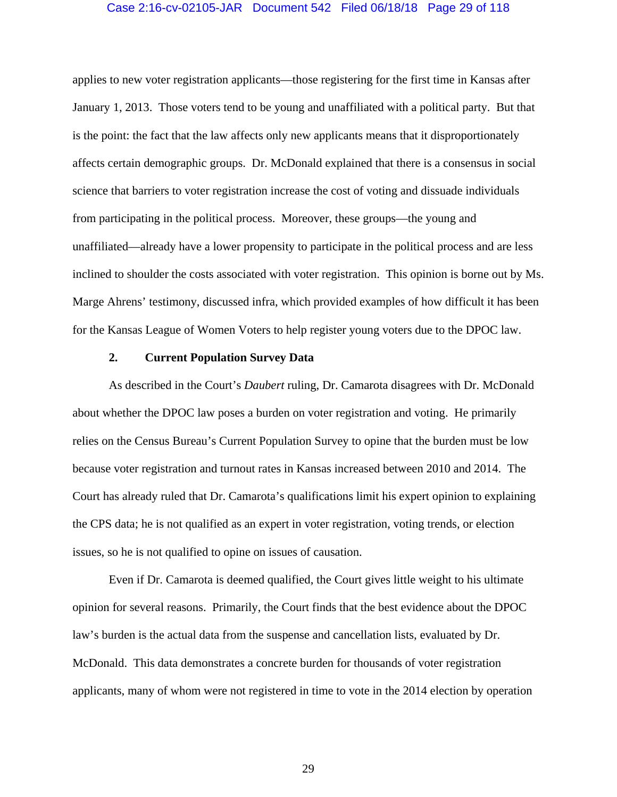# Case 2:16-cv-02105-JAR Document 542 Filed 06/18/18 Page 29 of 118

applies to new voter registration applicants—those registering for the first time in Kansas after January 1, 2013. Those voters tend to be young and unaffiliated with a political party. But that is the point: the fact that the law affects only new applicants means that it disproportionately affects certain demographic groups. Dr. McDonald explained that there is a consensus in social science that barriers to voter registration increase the cost of voting and dissuade individuals from participating in the political process. Moreover, these groups—the young and unaffiliated—already have a lower propensity to participate in the political process and are less inclined to shoulder the costs associated with voter registration. This opinion is borne out by Ms. Marge Ahrens' testimony, discussed infra, which provided examples of how difficult it has been for the Kansas League of Women Voters to help register young voters due to the DPOC law.

#### **2. Current Population Survey Data**

As described in the Court's *Daubert* ruling, Dr. Camarota disagrees with Dr. McDonald about whether the DPOC law poses a burden on voter registration and voting. He primarily relies on the Census Bureau's Current Population Survey to opine that the burden must be low because voter registration and turnout rates in Kansas increased between 2010 and 2014. The Court has already ruled that Dr. Camarota's qualifications limit his expert opinion to explaining the CPS data; he is not qualified as an expert in voter registration, voting trends, or election issues, so he is not qualified to opine on issues of causation.

Even if Dr. Camarota is deemed qualified, the Court gives little weight to his ultimate opinion for several reasons. Primarily, the Court finds that the best evidence about the DPOC law's burden is the actual data from the suspense and cancellation lists, evaluated by Dr. McDonald. This data demonstrates a concrete burden for thousands of voter registration applicants, many of whom were not registered in time to vote in the 2014 election by operation

29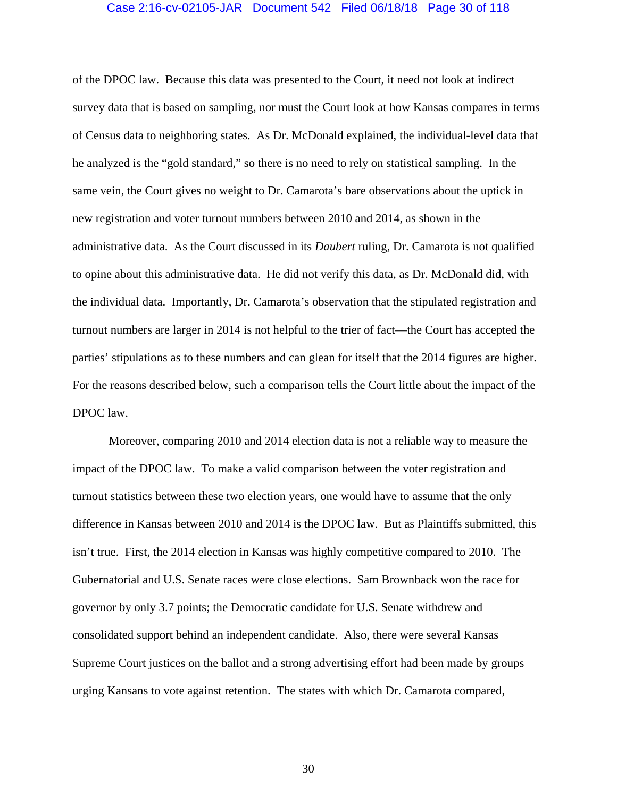# Case 2:16-cv-02105-JAR Document 542 Filed 06/18/18 Page 30 of 118

of the DPOC law. Because this data was presented to the Court, it need not look at indirect survey data that is based on sampling, nor must the Court look at how Kansas compares in terms of Census data to neighboring states. As Dr. McDonald explained, the individual-level data that he analyzed is the "gold standard," so there is no need to rely on statistical sampling. In the same vein, the Court gives no weight to Dr. Camarota's bare observations about the uptick in new registration and voter turnout numbers between 2010 and 2014, as shown in the administrative data. As the Court discussed in its *Daubert* ruling, Dr. Camarota is not qualified to opine about this administrative data. He did not verify this data, as Dr. McDonald did, with the individual data. Importantly, Dr. Camarota's observation that the stipulated registration and turnout numbers are larger in 2014 is not helpful to the trier of fact—the Court has accepted the parties' stipulations as to these numbers and can glean for itself that the 2014 figures are higher. For the reasons described below, such a comparison tells the Court little about the impact of the DPOC law.

Moreover, comparing 2010 and 2014 election data is not a reliable way to measure the impact of the DPOC law. To make a valid comparison between the voter registration and turnout statistics between these two election years, one would have to assume that the only difference in Kansas between 2010 and 2014 is the DPOC law. But as Plaintiffs submitted, this isn't true. First, the 2014 election in Kansas was highly competitive compared to 2010. The Gubernatorial and U.S. Senate races were close elections. Sam Brownback won the race for governor by only 3.7 points; the Democratic candidate for U.S. Senate withdrew and consolidated support behind an independent candidate. Also, there were several Kansas Supreme Court justices on the ballot and a strong advertising effort had been made by groups urging Kansans to vote against retention. The states with which Dr. Camarota compared,

30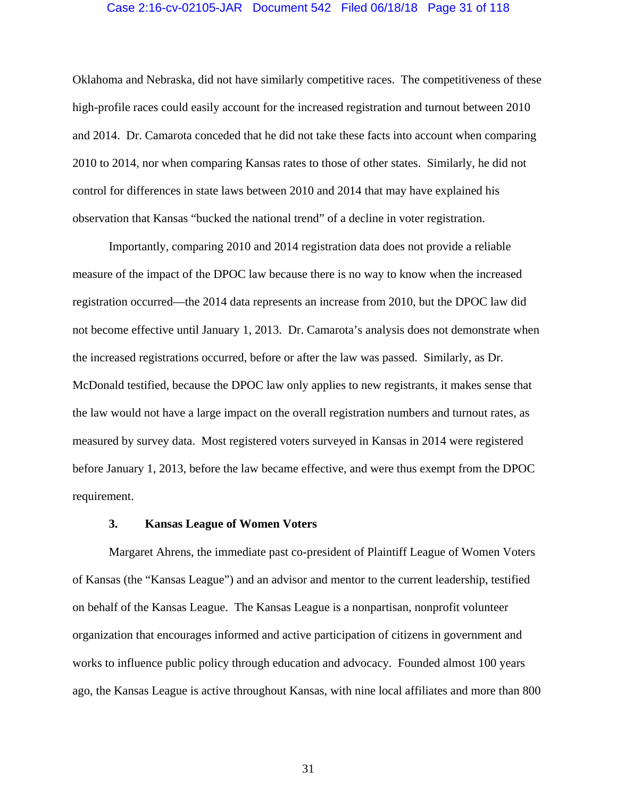# Case 2:16-cv-02105-JAR Document 542 Filed 06/18/18 Page 31 of 118

Oklahoma and Nebraska, did not have similarly competitive races. The competitiveness of these high-profile races could easily account for the increased registration and turnout between 2010 and 2014. Dr. Camarota conceded that he did not take these facts into account when comparing 2010 to 2014, nor when comparing Kansas rates to those of other states. Similarly, he did not control for differences in state laws between 2010 and 2014 that may have explained his observation that Kansas "bucked the national trend" of a decline in voter registration.

Importantly, comparing 2010 and 2014 registration data does not provide a reliable measure of the impact of the DPOC law because there is no way to know when the increased registration occurred—the 2014 data represents an increase from 2010, but the DPOC law did not become effective until January 1, 2013. Dr. Camarota's analysis does not demonstrate when the increased registrations occurred, before or after the law was passed. Similarly, as Dr. McDonald testified, because the DPOC law only applies to new registrants, it makes sense that the law would not have a large impact on the overall registration numbers and turnout rates, as measured by survey data. Most registered voters surveyed in Kansas in 2014 were registered before January 1, 2013, before the law became effective, and were thus exempt from the DPOC requirement.

## **3. Kansas League of Women Voters**

Margaret Ahrens, the immediate past co-president of Plaintiff League of Women Voters of Kansas (the "Kansas League") and an advisor and mentor to the current leadership, testified on behalf of the Kansas League. The Kansas League is a nonpartisan, nonprofit volunteer organization that encourages informed and active participation of citizens in government and works to influence public policy through education and advocacy. Founded almost 100 years ago, the Kansas League is active throughout Kansas, with nine local affiliates and more than 800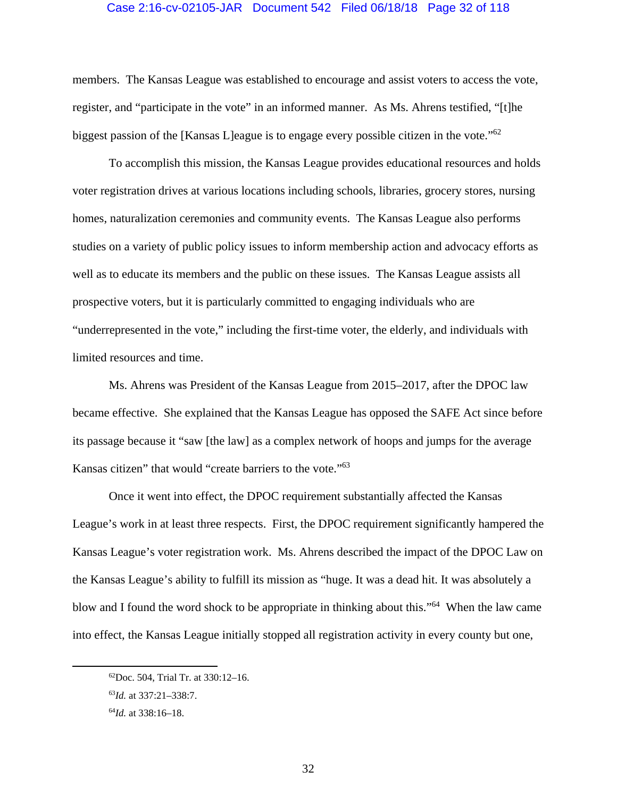## Case 2:16-cv-02105-JAR Document 542 Filed 06/18/18 Page 32 of 118

members. The Kansas League was established to encourage and assist voters to access the vote, register, and "participate in the vote" in an informed manner. As Ms. Ahrens testified, "[t]he biggest passion of the [Kansas L]eague is to engage every possible citizen in the vote.<sup>"62</sup>

To accomplish this mission, the Kansas League provides educational resources and holds voter registration drives at various locations including schools, libraries, grocery stores, nursing homes, naturalization ceremonies and community events. The Kansas League also performs studies on a variety of public policy issues to inform membership action and advocacy efforts as well as to educate its members and the public on these issues. The Kansas League assists all prospective voters, but it is particularly committed to engaging individuals who are "underrepresented in the vote," including the first-time voter, the elderly, and individuals with limited resources and time.

Ms. Ahrens was President of the Kansas League from 2015–2017, after the DPOC law became effective. She explained that the Kansas League has opposed the SAFE Act since before its passage because it "saw [the law] as a complex network of hoops and jumps for the average Kansas citizen" that would "create barriers to the vote."63

Once it went into effect, the DPOC requirement substantially affected the Kansas League's work in at least three respects. First, the DPOC requirement significantly hampered the Kansas League's voter registration work. Ms. Ahrens described the impact of the DPOC Law on the Kansas League's ability to fulfill its mission as "huge. It was a dead hit. It was absolutely a blow and I found the word shock to be appropriate in thinking about this."64 When the law came into effect, the Kansas League initially stopped all registration activity in every county but one,

 <sup>62</sup>Doc. 504, Trial Tr. at 330:12–16.

<sup>63</sup>*Id.* at 337:21–338:7.

<sup>64</sup>*Id.* at 338:16–18.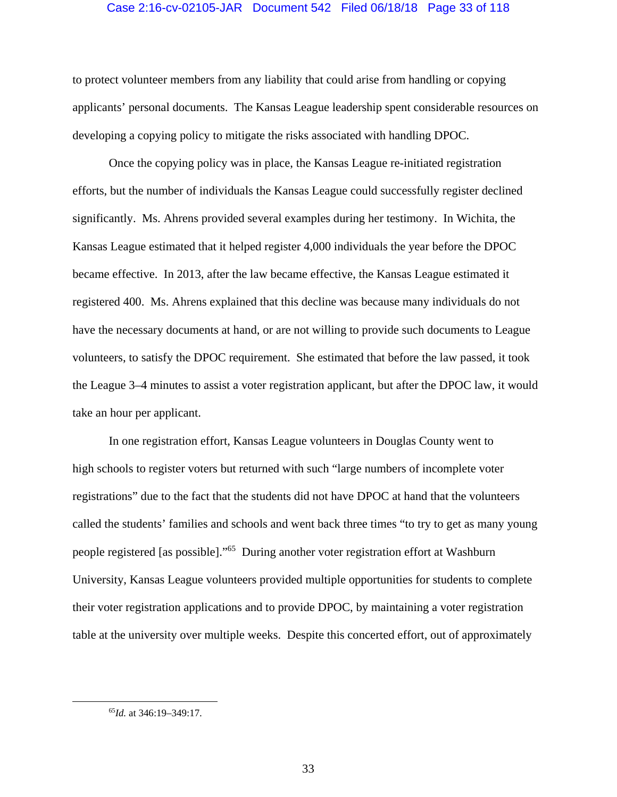# Case 2:16-cv-02105-JAR Document 542 Filed 06/18/18 Page 33 of 118

to protect volunteer members from any liability that could arise from handling or copying applicants' personal documents. The Kansas League leadership spent considerable resources on developing a copying policy to mitigate the risks associated with handling DPOC.

Once the copying policy was in place, the Kansas League re-initiated registration efforts, but the number of individuals the Kansas League could successfully register declined significantly. Ms. Ahrens provided several examples during her testimony. In Wichita, the Kansas League estimated that it helped register 4,000 individuals the year before the DPOC became effective. In 2013, after the law became effective, the Kansas League estimated it registered 400. Ms. Ahrens explained that this decline was because many individuals do not have the necessary documents at hand, or are not willing to provide such documents to League volunteers, to satisfy the DPOC requirement. She estimated that before the law passed, it took the League 3–4 minutes to assist a voter registration applicant, but after the DPOC law, it would take an hour per applicant.

In one registration effort, Kansas League volunteers in Douglas County went to high schools to register voters but returned with such "large numbers of incomplete voter registrations" due to the fact that the students did not have DPOC at hand that the volunteers called the students' families and schools and went back three times "to try to get as many young people registered [as possible]."65 During another voter registration effort at Washburn University, Kansas League volunteers provided multiple opportunities for students to complete their voter registration applications and to provide DPOC, by maintaining a voter registration table at the university over multiple weeks. Despite this concerted effort, out of approximately

 <sup>65</sup>*Id.* at 346:19–349:17.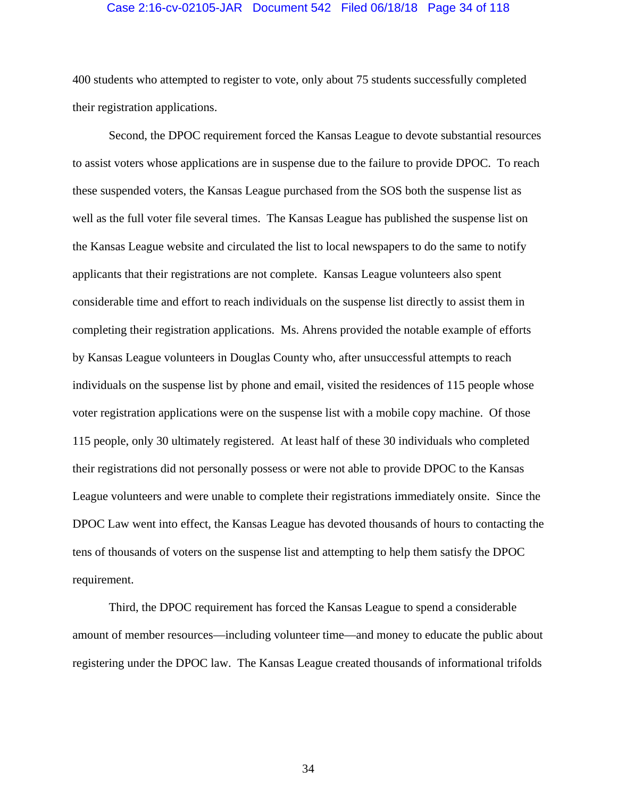## Case 2:16-cv-02105-JAR Document 542 Filed 06/18/18 Page 34 of 118

400 students who attempted to register to vote, only about 75 students successfully completed their registration applications.

Second, the DPOC requirement forced the Kansas League to devote substantial resources to assist voters whose applications are in suspense due to the failure to provide DPOC. To reach these suspended voters, the Kansas League purchased from the SOS both the suspense list as well as the full voter file several times. The Kansas League has published the suspense list on the Kansas League website and circulated the list to local newspapers to do the same to notify applicants that their registrations are not complete. Kansas League volunteers also spent considerable time and effort to reach individuals on the suspense list directly to assist them in completing their registration applications. Ms. Ahrens provided the notable example of efforts by Kansas League volunteers in Douglas County who, after unsuccessful attempts to reach individuals on the suspense list by phone and email, visited the residences of 115 people whose voter registration applications were on the suspense list with a mobile copy machine. Of those 115 people, only 30 ultimately registered. At least half of these 30 individuals who completed their registrations did not personally possess or were not able to provide DPOC to the Kansas League volunteers and were unable to complete their registrations immediately onsite. Since the DPOC Law went into effect, the Kansas League has devoted thousands of hours to contacting the tens of thousands of voters on the suspense list and attempting to help them satisfy the DPOC requirement.

Third, the DPOC requirement has forced the Kansas League to spend a considerable amount of member resources—including volunteer time—and money to educate the public about registering under the DPOC law. The Kansas League created thousands of informational trifolds

34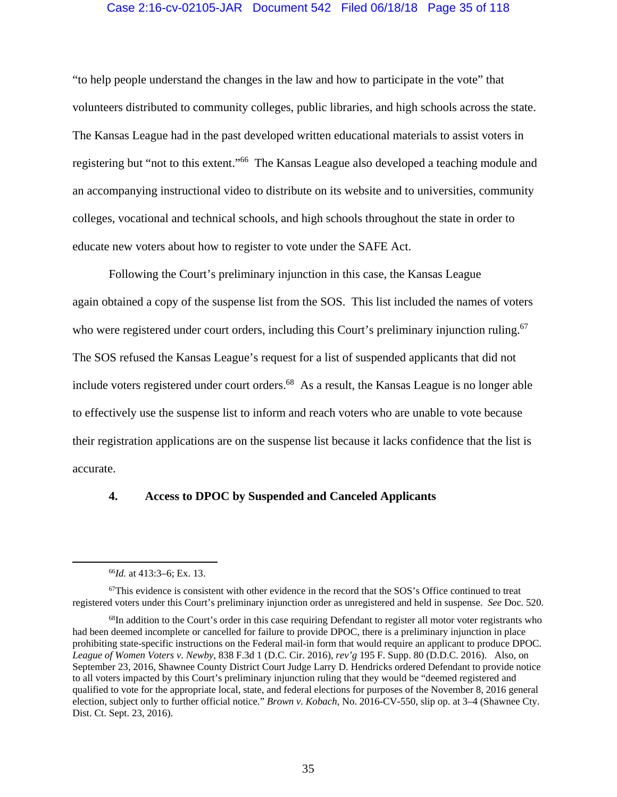# Case 2:16-cv-02105-JAR Document 542 Filed 06/18/18 Page 35 of 118

"to help people understand the changes in the law and how to participate in the vote" that volunteers distributed to community colleges, public libraries, and high schools across the state. The Kansas League had in the past developed written educational materials to assist voters in registering but "not to this extent."66 The Kansas League also developed a teaching module and an accompanying instructional video to distribute on its website and to universities, community colleges, vocational and technical schools, and high schools throughout the state in order to educate new voters about how to register to vote under the SAFE Act.

Following the Court's preliminary injunction in this case, the Kansas League again obtained a copy of the suspense list from the SOS. This list included the names of voters who were registered under court orders, including this Court's preliminary injunction ruling.<sup>67</sup> The SOS refused the Kansas League's request for a list of suspended applicants that did not include voters registered under court orders.<sup>68</sup> As a result, the Kansas League is no longer able to effectively use the suspense list to inform and reach voters who are unable to vote because their registration applications are on the suspense list because it lacks confidence that the list is accurate.

#### **4. Access to DPOC by Suspended and Canceled Applicants**

 <sup>66</sup>*Id.* at 413:3–6; Ex. 13.

 $67$ This evidence is consistent with other evidence in the record that the SOS's Office continued to treat registered voters under this Court's preliminary injunction order as unregistered and held in suspense. *See* Doc. 520.

<sup>&</sup>lt;sup>68</sup>In addition to the Court's order in this case requiring Defendant to register all motor voter registrants who had been deemed incomplete or cancelled for failure to provide DPOC, there is a preliminary injunction in place prohibiting state-specific instructions on the Federal mail-in form that would require an applicant to produce DPOC. *League of Women Voters v. Newby*, 838 F.3d 1 (D.C. Cir. 2016), *rev'g* 195 F. Supp. 80 (D.D.C. 2016). Also, on September 23, 2016, Shawnee County District Court Judge Larry D. Hendricks ordered Defendant to provide notice to all voters impacted by this Court's preliminary injunction ruling that they would be "deemed registered and qualified to vote for the appropriate local, state, and federal elections for purposes of the November 8, 2016 general election, subject only to further official notice." *Brown v. Kobach*, No. 2016-CV-550, slip op. at 3–4 (Shawnee Cty. Dist. Ct. Sept. 23, 2016).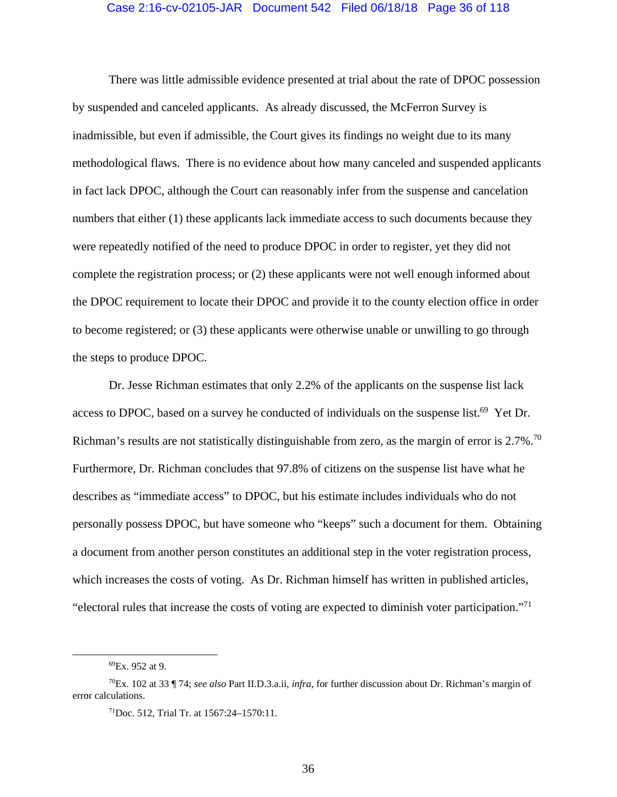#### Case 2:16-cv-02105-JAR Document 542 Filed 06/18/18 Page 36 of 118

There was little admissible evidence presented at trial about the rate of DPOC possession by suspended and canceled applicants. As already discussed, the McFerron Survey is inadmissible, but even if admissible, the Court gives its findings no weight due to its many methodological flaws. There is no evidence about how many canceled and suspended applicants in fact lack DPOC, although the Court can reasonably infer from the suspense and cancelation numbers that either (1) these applicants lack immediate access to such documents because they were repeatedly notified of the need to produce DPOC in order to register, yet they did not complete the registration process; or (2) these applicants were not well enough informed about the DPOC requirement to locate their DPOC and provide it to the county election office in order to become registered; or (3) these applicants were otherwise unable or unwilling to go through the steps to produce DPOC.

Dr. Jesse Richman estimates that only 2.2% of the applicants on the suspense list lack access to DPOC, based on a survey he conducted of individuals on the suspense list.<sup>69</sup> Yet Dr. Richman's results are not statistically distinguishable from zero, as the margin of error is 2.7%.<sup>70</sup> Furthermore, Dr. Richman concludes that 97.8% of citizens on the suspense list have what he describes as "immediate access" to DPOC, but his estimate includes individuals who do not personally possess DPOC, but have someone who "keeps" such a document for them. Obtaining a document from another person constitutes an additional step in the voter registration process, which increases the costs of voting. As Dr. Richman himself has written in published articles, "electoral rules that increase the costs of voting are expected to diminish voter participation."71

 <sup>69</sup>Ex. 952 at 9.

<sup>70</sup>Ex. 102 at 33 ¶ 74; *see also* Part II.D.3.a.ii, *infra*, for further discussion about Dr. Richman's margin of error calculations.

<sup>71</sup>Doc. 512, Trial Tr. at 1567:24–1570:11.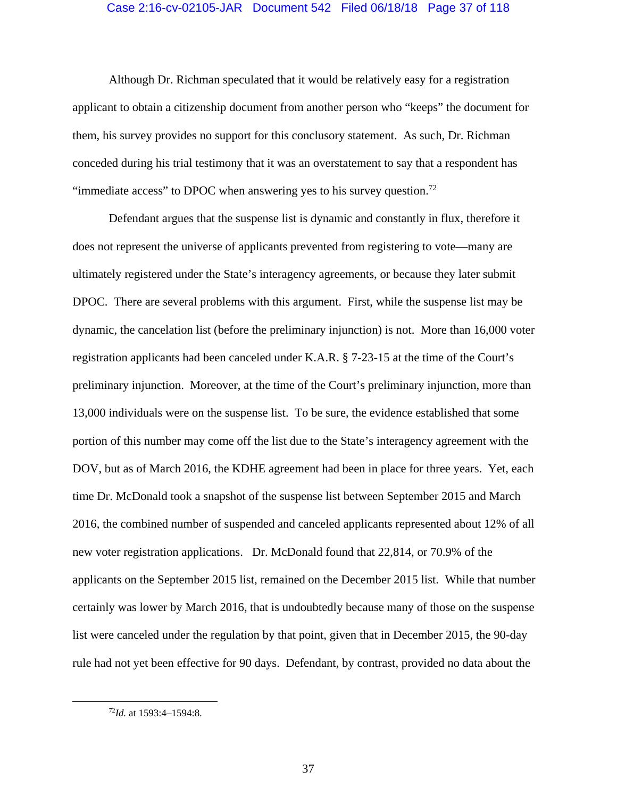### Case 2:16-cv-02105-JAR Document 542 Filed 06/18/18 Page 37 of 118

Although Dr. Richman speculated that it would be relatively easy for a registration applicant to obtain a citizenship document from another person who "keeps" the document for them, his survey provides no support for this conclusory statement. As such, Dr. Richman conceded during his trial testimony that it was an overstatement to say that a respondent has "immediate access" to DPOC when answering yes to his survey question.<sup>72</sup>

Defendant argues that the suspense list is dynamic and constantly in flux, therefore it does not represent the universe of applicants prevented from registering to vote—many are ultimately registered under the State's interagency agreements, or because they later submit DPOC. There are several problems with this argument. First, while the suspense list may be dynamic, the cancelation list (before the preliminary injunction) is not. More than 16,000 voter registration applicants had been canceled under K.A.R. § 7-23-15 at the time of the Court's preliminary injunction. Moreover, at the time of the Court's preliminary injunction, more than 13,000 individuals were on the suspense list. To be sure, the evidence established that some portion of this number may come off the list due to the State's interagency agreement with the DOV, but as of March 2016, the KDHE agreement had been in place for three years. Yet, each time Dr. McDonald took a snapshot of the suspense list between September 2015 and March 2016, the combined number of suspended and canceled applicants represented about 12% of all new voter registration applications. Dr. McDonald found that 22,814, or 70.9% of the applicants on the September 2015 list, remained on the December 2015 list. While that number certainly was lower by March 2016, that is undoubtedly because many of those on the suspense list were canceled under the regulation by that point, given that in December 2015, the 90-day rule had not yet been effective for 90 days. Defendant, by contrast, provided no data about the

 <sup>72</sup>*Id.* at 1593:4–1594:8.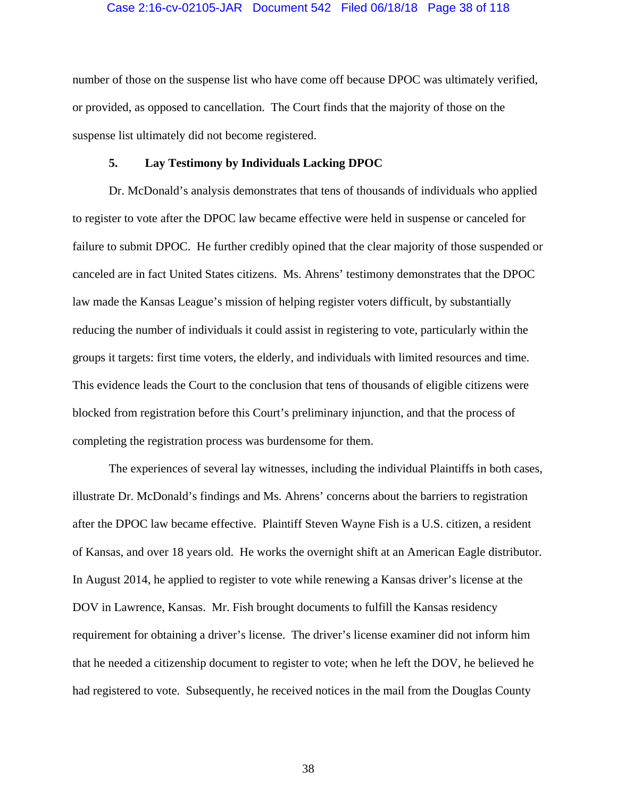#### Case 2:16-cv-02105-JAR Document 542 Filed 06/18/18 Page 38 of 118

number of those on the suspense list who have come off because DPOC was ultimately verified, or provided, as opposed to cancellation. The Court finds that the majority of those on the suspense list ultimately did not become registered.

### **5. Lay Testimony by Individuals Lacking DPOC**

Dr. McDonald's analysis demonstrates that tens of thousands of individuals who applied to register to vote after the DPOC law became effective were held in suspense or canceled for failure to submit DPOC. He further credibly opined that the clear majority of those suspended or canceled are in fact United States citizens. Ms. Ahrens' testimony demonstrates that the DPOC law made the Kansas League's mission of helping register voters difficult, by substantially reducing the number of individuals it could assist in registering to vote, particularly within the groups it targets: first time voters, the elderly, and individuals with limited resources and time. This evidence leads the Court to the conclusion that tens of thousands of eligible citizens were blocked from registration before this Court's preliminary injunction, and that the process of completing the registration process was burdensome for them.

The experiences of several lay witnesses, including the individual Plaintiffs in both cases, illustrate Dr. McDonald's findings and Ms. Ahrens' concerns about the barriers to registration after the DPOC law became effective. Plaintiff Steven Wayne Fish is a U.S. citizen, a resident of Kansas, and over 18 years old. He works the overnight shift at an American Eagle distributor. In August 2014, he applied to register to vote while renewing a Kansas driver's license at the DOV in Lawrence, Kansas. Mr. Fish brought documents to fulfill the Kansas residency requirement for obtaining a driver's license. The driver's license examiner did not inform him that he needed a citizenship document to register to vote; when he left the DOV, he believed he had registered to vote. Subsequently, he received notices in the mail from the Douglas County

38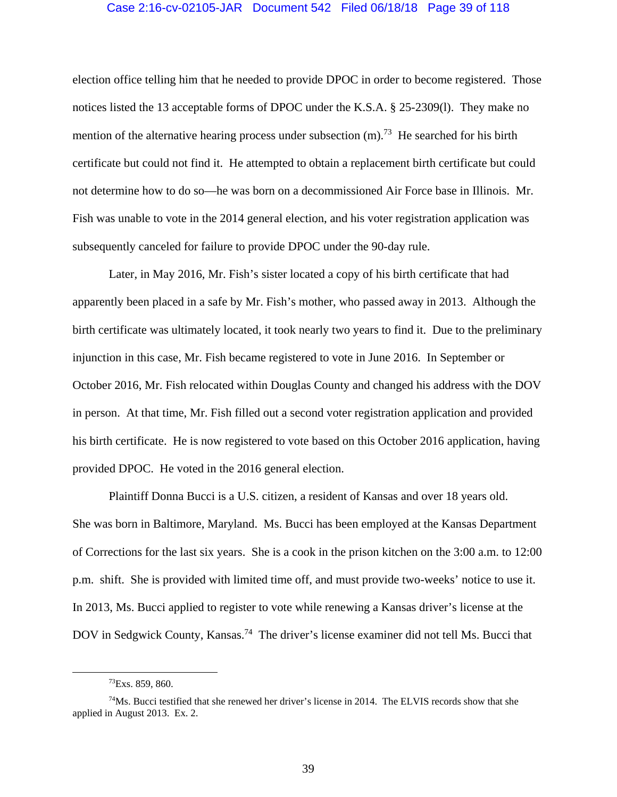#### Case 2:16-cv-02105-JAR Document 542 Filed 06/18/18 Page 39 of 118

election office telling him that he needed to provide DPOC in order to become registered. Those notices listed the 13 acceptable forms of DPOC under the K.S.A. § 25-2309(l). They make no mention of the alternative hearing process under subsection  $(m)$ .<sup>73</sup> He searched for his birth certificate but could not find it. He attempted to obtain a replacement birth certificate but could not determine how to do so—he was born on a decommissioned Air Force base in Illinois. Mr. Fish was unable to vote in the 2014 general election, and his voter registration application was subsequently canceled for failure to provide DPOC under the 90-day rule.

Later, in May 2016, Mr. Fish's sister located a copy of his birth certificate that had apparently been placed in a safe by Mr. Fish's mother, who passed away in 2013. Although the birth certificate was ultimately located, it took nearly two years to find it. Due to the preliminary injunction in this case, Mr. Fish became registered to vote in June 2016. In September or October 2016, Mr. Fish relocated within Douglas County and changed his address with the DOV in person. At that time, Mr. Fish filled out a second voter registration application and provided his birth certificate. He is now registered to vote based on this October 2016 application, having provided DPOC. He voted in the 2016 general election.

Plaintiff Donna Bucci is a U.S. citizen, a resident of Kansas and over 18 years old. She was born in Baltimore, Maryland. Ms. Bucci has been employed at the Kansas Department of Corrections for the last six years. She is a cook in the prison kitchen on the 3:00 a.m. to 12:00 p.m. shift. She is provided with limited time off, and must provide two-weeks' notice to use it. In 2013, Ms. Bucci applied to register to vote while renewing a Kansas driver's license at the DOV in Sedgwick County, Kansas.<sup>74</sup> The driver's license examiner did not tell Ms. Bucci that

 <sup>73</sup>Exs. 859, 860.

 $74$ Ms. Bucci testified that she renewed her driver's license in 2014. The ELVIS records show that she applied in August 2013. Ex. 2.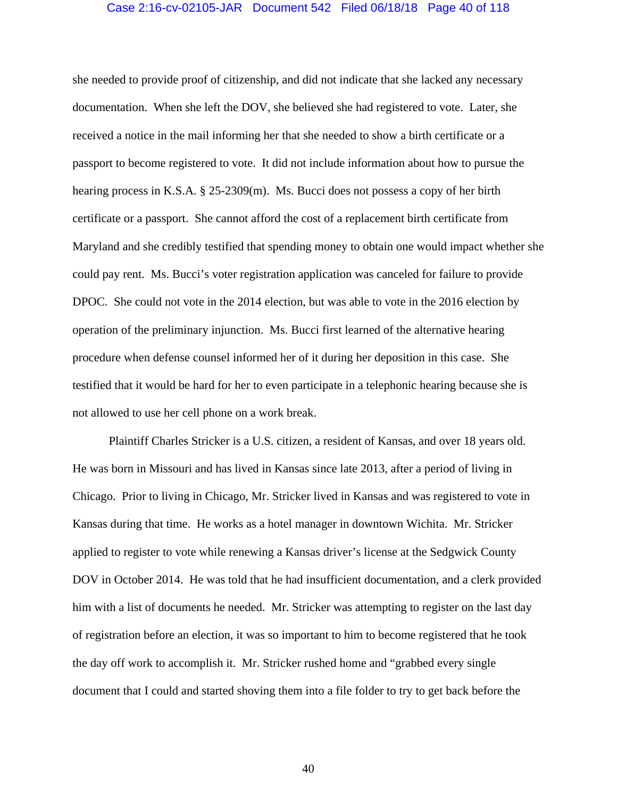### Case 2:16-cv-02105-JAR Document 542 Filed 06/18/18 Page 40 of 118

she needed to provide proof of citizenship, and did not indicate that she lacked any necessary documentation. When she left the DOV, she believed she had registered to vote. Later, she received a notice in the mail informing her that she needed to show a birth certificate or a passport to become registered to vote. It did not include information about how to pursue the hearing process in K.S.A. § 25-2309(m). Ms. Bucci does not possess a copy of her birth certificate or a passport. She cannot afford the cost of a replacement birth certificate from Maryland and she credibly testified that spending money to obtain one would impact whether she could pay rent. Ms. Bucci's voter registration application was canceled for failure to provide DPOC. She could not vote in the 2014 election, but was able to vote in the 2016 election by operation of the preliminary injunction. Ms. Bucci first learned of the alternative hearing procedure when defense counsel informed her of it during her deposition in this case. She testified that it would be hard for her to even participate in a telephonic hearing because she is not allowed to use her cell phone on a work break.

Plaintiff Charles Stricker is a U.S. citizen, a resident of Kansas, and over 18 years old. He was born in Missouri and has lived in Kansas since late 2013, after a period of living in Chicago. Prior to living in Chicago, Mr. Stricker lived in Kansas and was registered to vote in Kansas during that time. He works as a hotel manager in downtown Wichita. Mr. Stricker applied to register to vote while renewing a Kansas driver's license at the Sedgwick County DOV in October 2014. He was told that he had insufficient documentation, and a clerk provided him with a list of documents he needed. Mr. Stricker was attempting to register on the last day of registration before an election, it was so important to him to become registered that he took the day off work to accomplish it. Mr. Stricker rushed home and "grabbed every single document that I could and started shoving them into a file folder to try to get back before the

40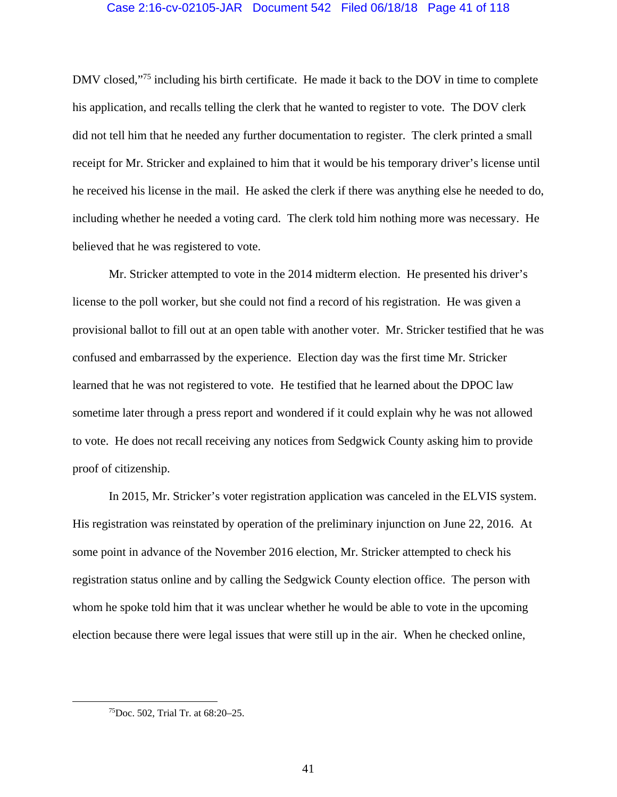### Case 2:16-cv-02105-JAR Document 542 Filed 06/18/18 Page 41 of 118

DMV closed,"<sup>75</sup> including his birth certificate. He made it back to the DOV in time to complete his application, and recalls telling the clerk that he wanted to register to vote. The DOV clerk did not tell him that he needed any further documentation to register. The clerk printed a small receipt for Mr. Stricker and explained to him that it would be his temporary driver's license until he received his license in the mail. He asked the clerk if there was anything else he needed to do, including whether he needed a voting card. The clerk told him nothing more was necessary. He believed that he was registered to vote.

Mr. Stricker attempted to vote in the 2014 midterm election. He presented his driver's license to the poll worker, but she could not find a record of his registration. He was given a provisional ballot to fill out at an open table with another voter. Mr. Stricker testified that he was confused and embarrassed by the experience. Election day was the first time Mr. Stricker learned that he was not registered to vote. He testified that he learned about the DPOC law sometime later through a press report and wondered if it could explain why he was not allowed to vote. He does not recall receiving any notices from Sedgwick County asking him to provide proof of citizenship.

 In 2015, Mr. Stricker's voter registration application was canceled in the ELVIS system. His registration was reinstated by operation of the preliminary injunction on June 22, 2016. At some point in advance of the November 2016 election, Mr. Stricker attempted to check his registration status online and by calling the Sedgwick County election office. The person with whom he spoke told him that it was unclear whether he would be able to vote in the upcoming election because there were legal issues that were still up in the air. When he checked online,

 <sup>75</sup>Doc. 502, Trial Tr. at 68:20–25.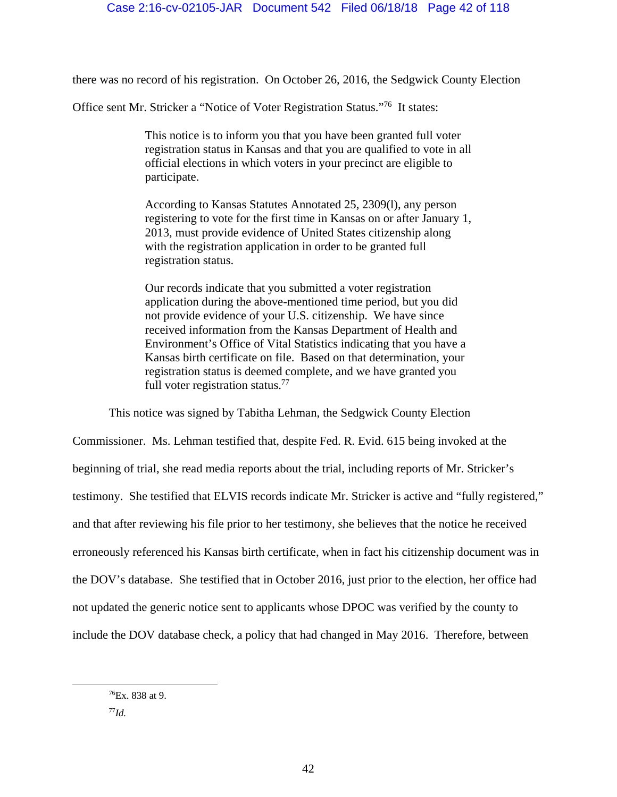there was no record of his registration. On October 26, 2016, the Sedgwick County Election

Office sent Mr. Stricker a "Notice of Voter Registration Status."76 It states:

This notice is to inform you that you have been granted full voter registration status in Kansas and that you are qualified to vote in all official elections in which voters in your precinct are eligible to participate.

According to Kansas Statutes Annotated 25, 2309(l), any person registering to vote for the first time in Kansas on or after January 1, 2013, must provide evidence of United States citizenship along with the registration application in order to be granted full registration status.

Our records indicate that you submitted a voter registration application during the above-mentioned time period, but you did not provide evidence of your U.S. citizenship. We have since received information from the Kansas Department of Health and Environment's Office of Vital Statistics indicating that you have a Kansas birth certificate on file. Based on that determination, your registration status is deemed complete, and we have granted you full voter registration status.<sup>77</sup>

This notice was signed by Tabitha Lehman, the Sedgwick County Election

Commissioner. Ms. Lehman testified that, despite Fed. R. Evid. 615 being invoked at the beginning of trial, she read media reports about the trial, including reports of Mr. Stricker's testimony. She testified that ELVIS records indicate Mr. Stricker is active and "fully registered," and that after reviewing his file prior to her testimony, she believes that the notice he received erroneously referenced his Kansas birth certificate, when in fact his citizenship document was in the DOV's database. She testified that in October 2016, just prior to the election, her office had not updated the generic notice sent to applicants whose DPOC was verified by the county to include the DOV database check, a policy that had changed in May 2016. Therefore, between

 $76$ Ex. 838 at 9.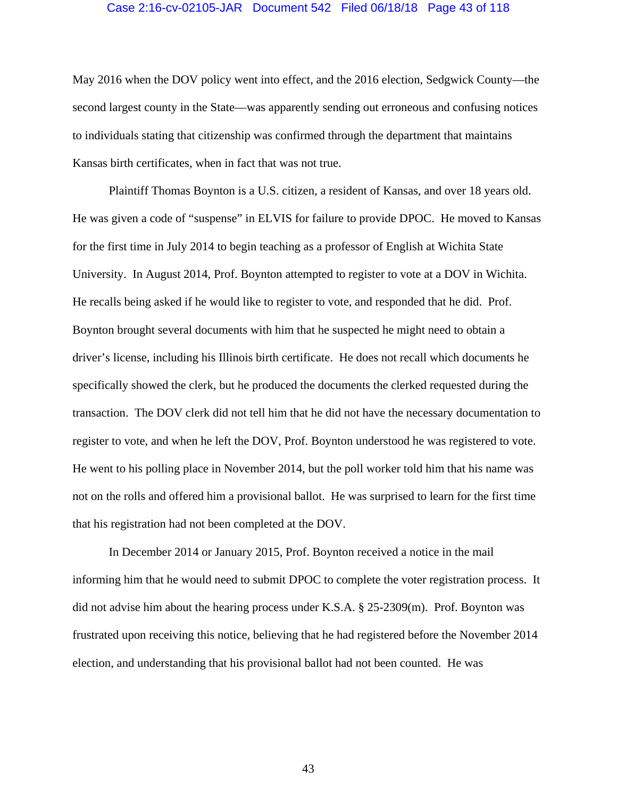### Case 2:16-cv-02105-JAR Document 542 Filed 06/18/18 Page 43 of 118

May 2016 when the DOV policy went into effect, and the 2016 election, Sedgwick County—the second largest county in the State—was apparently sending out erroneous and confusing notices to individuals stating that citizenship was confirmed through the department that maintains Kansas birth certificates, when in fact that was not true.

Plaintiff Thomas Boynton is a U.S. citizen, a resident of Kansas, and over 18 years old. He was given a code of "suspense" in ELVIS for failure to provide DPOC. He moved to Kansas for the first time in July 2014 to begin teaching as a professor of English at Wichita State University. In August 2014, Prof. Boynton attempted to register to vote at a DOV in Wichita. He recalls being asked if he would like to register to vote, and responded that he did. Prof. Boynton brought several documents with him that he suspected he might need to obtain a driver's license, including his Illinois birth certificate. He does not recall which documents he specifically showed the clerk, but he produced the documents the clerked requested during the transaction. The DOV clerk did not tell him that he did not have the necessary documentation to register to vote, and when he left the DOV, Prof. Boynton understood he was registered to vote. He went to his polling place in November 2014, but the poll worker told him that his name was not on the rolls and offered him a provisional ballot. He was surprised to learn for the first time that his registration had not been completed at the DOV.

In December 2014 or January 2015, Prof. Boynton received a notice in the mail informing him that he would need to submit DPOC to complete the voter registration process. It did not advise him about the hearing process under K.S.A. § 25-2309(m). Prof. Boynton was frustrated upon receiving this notice, believing that he had registered before the November 2014 election, and understanding that his provisional ballot had not been counted. He was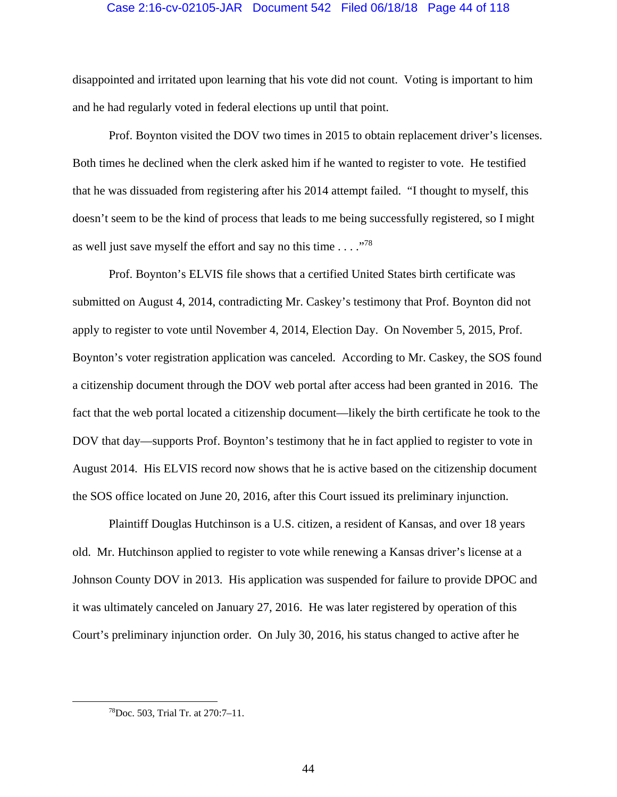### Case 2:16-cv-02105-JAR Document 542 Filed 06/18/18 Page 44 of 118

disappointed and irritated upon learning that his vote did not count. Voting is important to him and he had regularly voted in federal elections up until that point.

Prof. Boynton visited the DOV two times in 2015 to obtain replacement driver's licenses. Both times he declined when the clerk asked him if he wanted to register to vote. He testified that he was dissuaded from registering after his 2014 attempt failed. "I thought to myself, this doesn't seem to be the kind of process that leads to me being successfully registered, so I might as well just save myself the effort and say no this time  $\ldots$ ."<sup>78</sup>

Prof. Boynton's ELVIS file shows that a certified United States birth certificate was submitted on August 4, 2014, contradicting Mr. Caskey's testimony that Prof. Boynton did not apply to register to vote until November 4, 2014, Election Day. On November 5, 2015, Prof. Boynton's voter registration application was canceled. According to Mr. Caskey, the SOS found a citizenship document through the DOV web portal after access had been granted in 2016. The fact that the web portal located a citizenship document—likely the birth certificate he took to the DOV that day—supports Prof. Boynton's testimony that he in fact applied to register to vote in August 2014. His ELVIS record now shows that he is active based on the citizenship document the SOS office located on June 20, 2016, after this Court issued its preliminary injunction.

Plaintiff Douglas Hutchinson is a U.S. citizen, a resident of Kansas, and over 18 years old. Mr. Hutchinson applied to register to vote while renewing a Kansas driver's license at a Johnson County DOV in 2013. His application was suspended for failure to provide DPOC and it was ultimately canceled on January 27, 2016. He was later registered by operation of this Court's preliminary injunction order. On July 30, 2016, his status changed to active after he

 <sup>78</sup>Doc. 503, Trial Tr. at 270:7–11.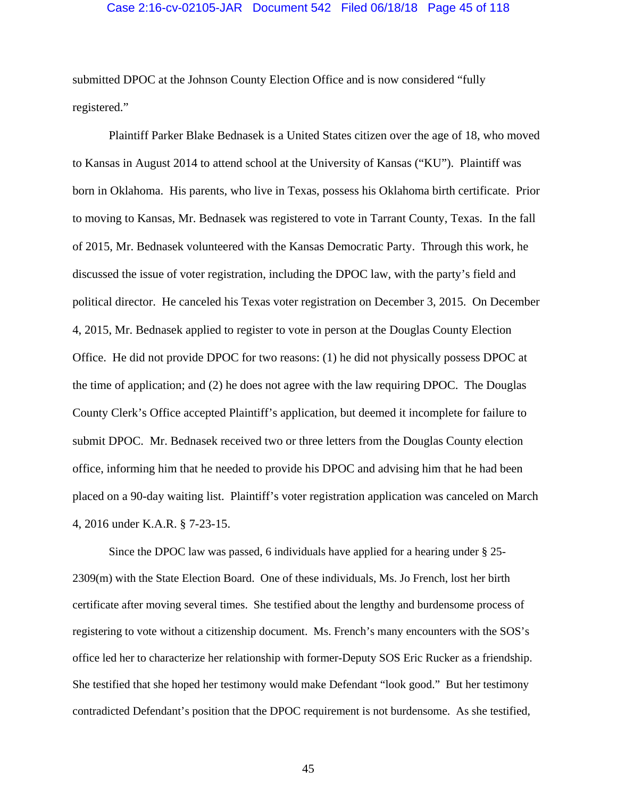### Case 2:16-cv-02105-JAR Document 542 Filed 06/18/18 Page 45 of 118

submitted DPOC at the Johnson County Election Office and is now considered "fully registered."

Plaintiff Parker Blake Bednasek is a United States citizen over the age of 18, who moved to Kansas in August 2014 to attend school at the University of Kansas ("KU"). Plaintiff was born in Oklahoma. His parents, who live in Texas, possess his Oklahoma birth certificate. Prior to moving to Kansas, Mr. Bednasek was registered to vote in Tarrant County, Texas. In the fall of 2015, Mr. Bednasek volunteered with the Kansas Democratic Party. Through this work, he discussed the issue of voter registration, including the DPOC law, with the party's field and political director. He canceled his Texas voter registration on December 3, 2015. On December 4, 2015, Mr. Bednasek applied to register to vote in person at the Douglas County Election Office. He did not provide DPOC for two reasons: (1) he did not physically possess DPOC at the time of application; and (2) he does not agree with the law requiring DPOC. The Douglas County Clerk's Office accepted Plaintiff's application, but deemed it incomplete for failure to submit DPOC. Mr. Bednasek received two or three letters from the Douglas County election office, informing him that he needed to provide his DPOC and advising him that he had been placed on a 90-day waiting list. Plaintiff's voter registration application was canceled on March 4, 2016 under K.A.R. § 7-23-15.

Since the DPOC law was passed, 6 individuals have applied for a hearing under § 25- 2309(m) with the State Election Board. One of these individuals, Ms. Jo French, lost her birth certificate after moving several times. She testified about the lengthy and burdensome process of registering to vote without a citizenship document. Ms. French's many encounters with the SOS's office led her to characterize her relationship with former-Deputy SOS Eric Rucker as a friendship. She testified that she hoped her testimony would make Defendant "look good." But her testimony contradicted Defendant's position that the DPOC requirement is not burdensome. As she testified,

45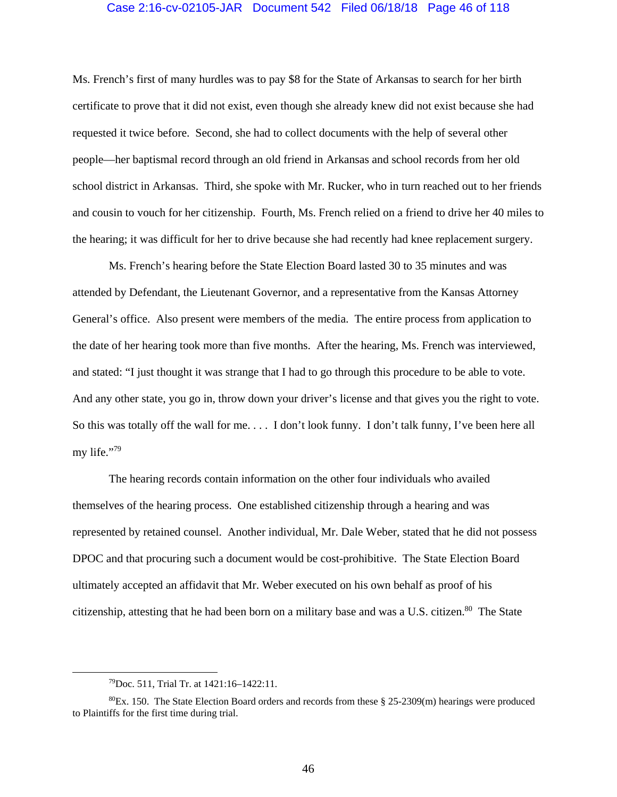### Case 2:16-cv-02105-JAR Document 542 Filed 06/18/18 Page 46 of 118

Ms. French's first of many hurdles was to pay \$8 for the State of Arkansas to search for her birth certificate to prove that it did not exist, even though she already knew did not exist because she had requested it twice before. Second, she had to collect documents with the help of several other people—her baptismal record through an old friend in Arkansas and school records from her old school district in Arkansas. Third, she spoke with Mr. Rucker, who in turn reached out to her friends and cousin to vouch for her citizenship. Fourth, Ms. French relied on a friend to drive her 40 miles to the hearing; it was difficult for her to drive because she had recently had knee replacement surgery.

Ms. French's hearing before the State Election Board lasted 30 to 35 minutes and was attended by Defendant, the Lieutenant Governor, and a representative from the Kansas Attorney General's office. Also present were members of the media. The entire process from application to the date of her hearing took more than five months. After the hearing, Ms. French was interviewed, and stated: "I just thought it was strange that I had to go through this procedure to be able to vote. And any other state, you go in, throw down your driver's license and that gives you the right to vote. So this was totally off the wall for me. . . . I don't look funny. I don't talk funny, I've been here all my life."<sup>79</sup>

The hearing records contain information on the other four individuals who availed themselves of the hearing process. One established citizenship through a hearing and was represented by retained counsel. Another individual, Mr. Dale Weber, stated that he did not possess DPOC and that procuring such a document would be cost-prohibitive. The State Election Board ultimately accepted an affidavit that Mr. Weber executed on his own behalf as proof of his citizenship, attesting that he had been born on a military base and was a U.S. citizen.<sup>80</sup> The State

 <sup>79</sup>Doc. 511, Trial Tr. at 1421:16–1422:11.

 $80$ Ex. 150. The State Election Board orders and records from these § 25-2309(m) hearings were produced to Plaintiffs for the first time during trial.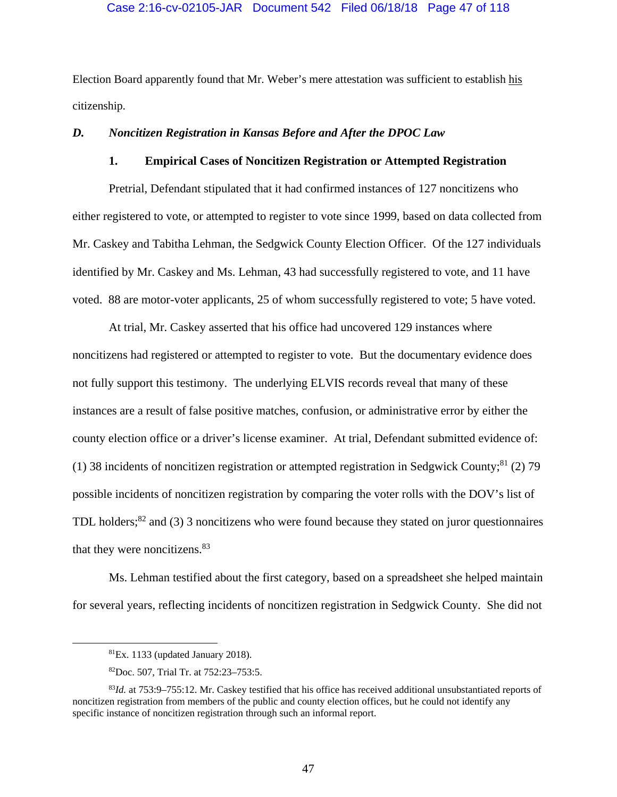### Case 2:16-cv-02105-JAR Document 542 Filed 06/18/18 Page 47 of 118

Election Board apparently found that Mr. Weber's mere attestation was sufficient to establish his citizenship.

# *D. Noncitizen Registration in Kansas Before and After the DPOC Law*

# **1. Empirical Cases of Noncitizen Registration or Attempted Registration**

Pretrial, Defendant stipulated that it had confirmed instances of 127 noncitizens who either registered to vote, or attempted to register to vote since 1999, based on data collected from Mr. Caskey and Tabitha Lehman, the Sedgwick County Election Officer. Of the 127 individuals identified by Mr. Caskey and Ms. Lehman, 43 had successfully registered to vote, and 11 have voted. 88 are motor-voter applicants, 25 of whom successfully registered to vote; 5 have voted.

 At trial, Mr. Caskey asserted that his office had uncovered 129 instances where noncitizens had registered or attempted to register to vote. But the documentary evidence does not fully support this testimony. The underlying ELVIS records reveal that many of these instances are a result of false positive matches, confusion, or administrative error by either the county election office or a driver's license examiner. At trial, Defendant submitted evidence of: (1) 38 incidents of noncitizen registration or attempted registration in Sedgwick County;<sup>81</sup> (2) 79 possible incidents of noncitizen registration by comparing the voter rolls with the DOV's list of TDL holders; ${}^{82}$  and (3) 3 noncitizens who were found because they stated on juror questionnaires that they were noncitizens.<sup>83</sup>

 Ms. Lehman testified about the first category, based on a spreadsheet she helped maintain for several years, reflecting incidents of noncitizen registration in Sedgwick County. She did not

 ${}^{81}Ex.$  1133 (updated January 2018).

<sup>82</sup>Doc. 507, Trial Tr. at 752:23–753:5.

<sup>83</sup>*Id.* at 753:9–755:12. Mr. Caskey testified that his office has received additional unsubstantiated reports of noncitizen registration from members of the public and county election offices, but he could not identify any specific instance of noncitizen registration through such an informal report.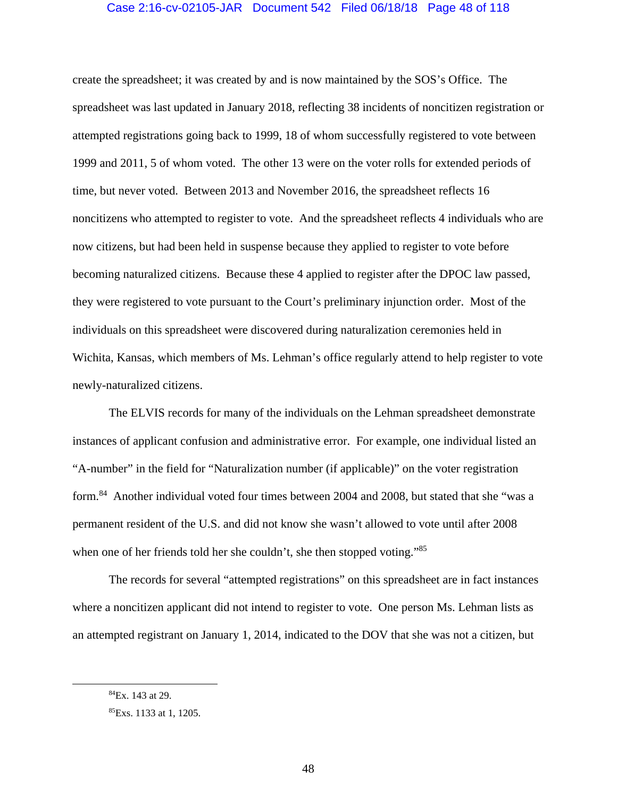## Case 2:16-cv-02105-JAR Document 542 Filed 06/18/18 Page 48 of 118

create the spreadsheet; it was created by and is now maintained by the SOS's Office. The spreadsheet was last updated in January 2018, reflecting 38 incidents of noncitizen registration or attempted registrations going back to 1999, 18 of whom successfully registered to vote between 1999 and 2011, 5 of whom voted. The other 13 were on the voter rolls for extended periods of time, but never voted. Between 2013 and November 2016, the spreadsheet reflects 16 noncitizens who attempted to register to vote. And the spreadsheet reflects 4 individuals who are now citizens, but had been held in suspense because they applied to register to vote before becoming naturalized citizens. Because these 4 applied to register after the DPOC law passed, they were registered to vote pursuant to the Court's preliminary injunction order. Most of the individuals on this spreadsheet were discovered during naturalization ceremonies held in Wichita, Kansas, which members of Ms. Lehman's office regularly attend to help register to vote newly-naturalized citizens.

 The ELVIS records for many of the individuals on the Lehman spreadsheet demonstrate instances of applicant confusion and administrative error. For example, one individual listed an "A-number" in the field for "Naturalization number (if applicable)" on the voter registration form.<sup>84</sup> Another individual voted four times between 2004 and 2008, but stated that she "was a permanent resident of the U.S. and did not know she wasn't allowed to vote until after 2008 when one of her friends told her she couldn't, she then stopped voting."<sup>85</sup>

The records for several "attempted registrations" on this spreadsheet are in fact instances where a noncitizen applicant did not intend to register to vote. One person Ms. Lehman lists as an attempted registrant on January 1, 2014, indicated to the DOV that she was not a citizen, but

 <sup>84</sup>Ex. 143 at 29.

<sup>85</sup>Exs. 1133 at 1, 1205.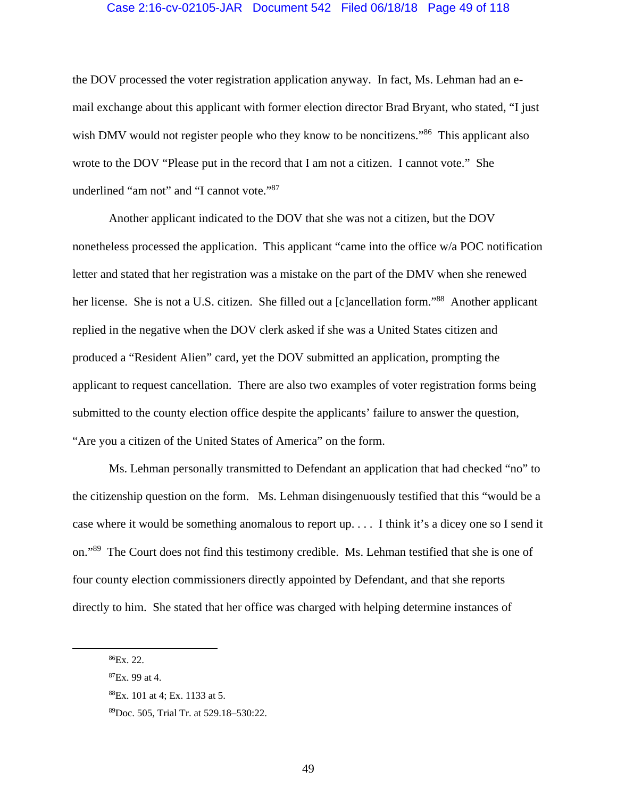#### Case 2:16-cv-02105-JAR Document 542 Filed 06/18/18 Page 49 of 118

the DOV processed the voter registration application anyway. In fact, Ms. Lehman had an email exchange about this applicant with former election director Brad Bryant, who stated, "I just wish DMV would not register people who they know to be noncitizens."<sup>86</sup> This applicant also wrote to the DOV "Please put in the record that I am not a citizen. I cannot vote." She underlined "am not" and "I cannot vote."<sup>87</sup>

Another applicant indicated to the DOV that she was not a citizen, but the DOV nonetheless processed the application. This applicant "came into the office w/a POC notification letter and stated that her registration was a mistake on the part of the DMV when she renewed her license. She is not a U.S. citizen. She filled out a [c]ancellation form."<sup>88</sup> Another applicant replied in the negative when the DOV clerk asked if she was a United States citizen and produced a "Resident Alien" card, yet the DOV submitted an application, prompting the applicant to request cancellation. There are also two examples of voter registration forms being submitted to the county election office despite the applicants' failure to answer the question, "Are you a citizen of the United States of America" on the form.

Ms. Lehman personally transmitted to Defendant an application that had checked "no" to the citizenship question on the form. Ms. Lehman disingenuously testified that this "would be a case where it would be something anomalous to report up. . . . I think it's a dicey one so I send it on."89 The Court does not find this testimony credible. Ms. Lehman testified that she is one of four county election commissioners directly appointed by Defendant, and that she reports directly to him. She stated that her office was charged with helping determine instances of

 <sup>86</sup>Ex. 22.

 ${}^{87}Ex.99$  at 4.

<sup>88</sup>Ex. 101 at 4; Ex. 1133 at 5.

<sup>89</sup>Doc. 505, Trial Tr. at 529.18–530:22.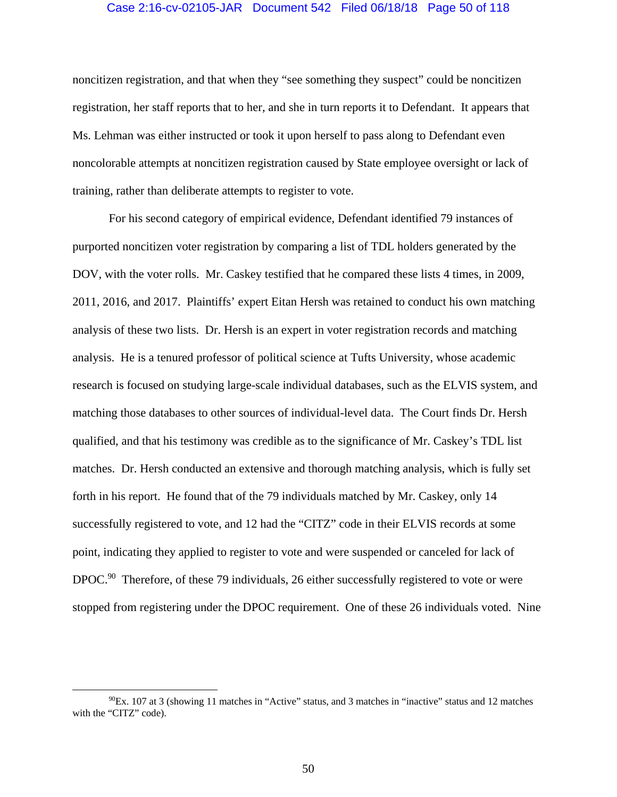#### Case 2:16-cv-02105-JAR Document 542 Filed 06/18/18 Page 50 of 118

noncitizen registration, and that when they "see something they suspect" could be noncitizen registration, her staff reports that to her, and she in turn reports it to Defendant. It appears that Ms. Lehman was either instructed or took it upon herself to pass along to Defendant even noncolorable attempts at noncitizen registration caused by State employee oversight or lack of training, rather than deliberate attempts to register to vote.

For his second category of empirical evidence, Defendant identified 79 instances of purported noncitizen voter registration by comparing a list of TDL holders generated by the DOV, with the voter rolls. Mr. Caskey testified that he compared these lists 4 times, in 2009, 2011, 2016, and 2017. Plaintiffs' expert Eitan Hersh was retained to conduct his own matching analysis of these two lists. Dr. Hersh is an expert in voter registration records and matching analysis. He is a tenured professor of political science at Tufts University, whose academic research is focused on studying large-scale individual databases, such as the ELVIS system, and matching those databases to other sources of individual-level data. The Court finds Dr. Hersh qualified, and that his testimony was credible as to the significance of Mr. Caskey's TDL list matches. Dr. Hersh conducted an extensive and thorough matching analysis, which is fully set forth in his report. He found that of the 79 individuals matched by Mr. Caskey, only 14 successfully registered to vote, and 12 had the "CITZ" code in their ELVIS records at some point, indicating they applied to register to vote and were suspended or canceled for lack of DPOC.<sup>90</sup> Therefore, of these 79 individuals, 26 either successfully registered to vote or were stopped from registering under the DPOC requirement. One of these 26 individuals voted. Nine

 $^{90}$ Ex. 107 at 3 (showing 11 matches in "Active" status, and 3 matches in "inactive" status and 12 matches with the "CITZ" code).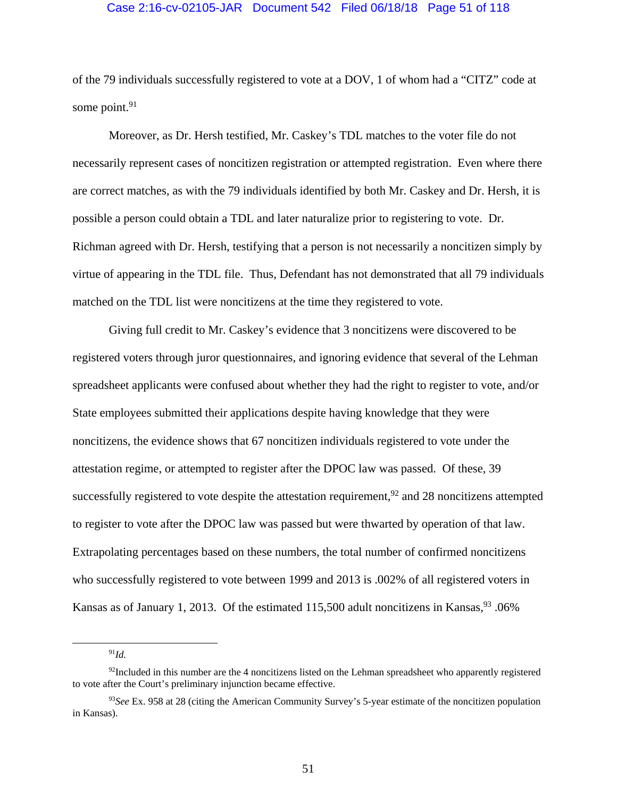#### Case 2:16-cv-02105-JAR Document 542 Filed 06/18/18 Page 51 of 118

of the 79 individuals successfully registered to vote at a DOV, 1 of whom had a "CITZ" code at some point. $91$ 

Moreover, as Dr. Hersh testified, Mr. Caskey's TDL matches to the voter file do not necessarily represent cases of noncitizen registration or attempted registration. Even where there are correct matches, as with the 79 individuals identified by both Mr. Caskey and Dr. Hersh, it is possible a person could obtain a TDL and later naturalize prior to registering to vote. Dr. Richman agreed with Dr. Hersh, testifying that a person is not necessarily a noncitizen simply by virtue of appearing in the TDL file. Thus, Defendant has not demonstrated that all 79 individuals matched on the TDL list were noncitizens at the time they registered to vote.

Giving full credit to Mr. Caskey's evidence that 3 noncitizens were discovered to be registered voters through juror questionnaires, and ignoring evidence that several of the Lehman spreadsheet applicants were confused about whether they had the right to register to vote, and/or State employees submitted their applications despite having knowledge that they were noncitizens, the evidence shows that 67 noncitizen individuals registered to vote under the attestation regime, or attempted to register after the DPOC law was passed. Of these, 39 successfully registered to vote despite the attestation requirement,  $92$  and 28 noncitizens attempted to register to vote after the DPOC law was passed but were thwarted by operation of that law. Extrapolating percentages based on these numbers, the total number of confirmed noncitizens who successfully registered to vote between 1999 and 2013 is .002% of all registered voters in Kansas as of January 1, 2013. Of the estimated  $115,500$  adult noncitizens in Kansas,  $93 \cdot 06\%$ 

91*Id.*

 $92$ Included in this number are the 4 noncitizens listed on the Lehman spreadsheet who apparently registered to vote after the Court's preliminary injunction became effective.

<sup>93</sup>*See* Ex. 958 at 28 (citing the American Community Survey's 5-year estimate of the noncitizen population in Kansas).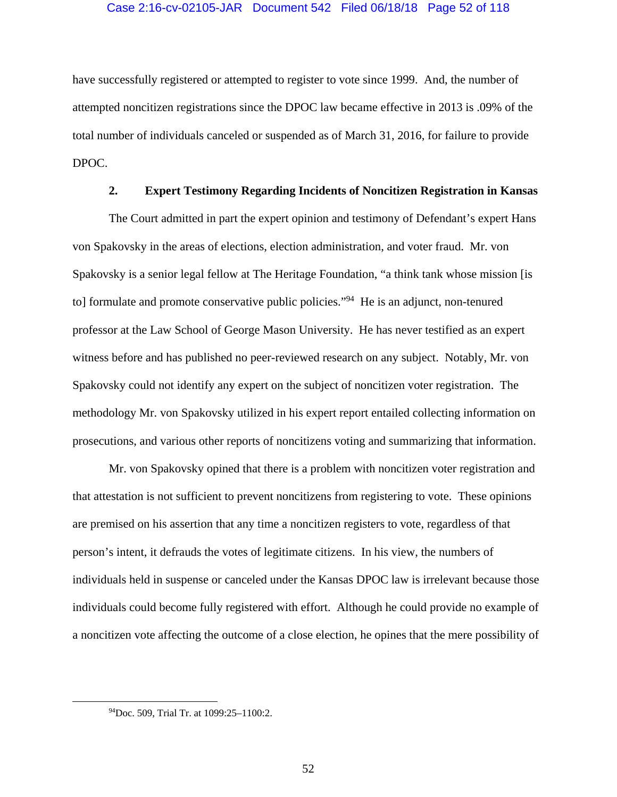### Case 2:16-cv-02105-JAR Document 542 Filed 06/18/18 Page 52 of 118

have successfully registered or attempted to register to vote since 1999. And, the number of attempted noncitizen registrations since the DPOC law became effective in 2013 is .09% of the total number of individuals canceled or suspended as of March 31, 2016, for failure to provide DPOC.

## **2. Expert Testimony Regarding Incidents of Noncitizen Registration in Kansas**

The Court admitted in part the expert opinion and testimony of Defendant's expert Hans von Spakovsky in the areas of elections, election administration, and voter fraud. Mr. von Spakovsky is a senior legal fellow at The Heritage Foundation, "a think tank whose mission [is to] formulate and promote conservative public policies."94 He is an adjunct, non-tenured professor at the Law School of George Mason University. He has never testified as an expert witness before and has published no peer-reviewed research on any subject. Notably, Mr. von Spakovsky could not identify any expert on the subject of noncitizen voter registration. The methodology Mr. von Spakovsky utilized in his expert report entailed collecting information on prosecutions, and various other reports of noncitizens voting and summarizing that information.

 Mr. von Spakovsky opined that there is a problem with noncitizen voter registration and that attestation is not sufficient to prevent noncitizens from registering to vote. These opinions are premised on his assertion that any time a noncitizen registers to vote, regardless of that person's intent, it defrauds the votes of legitimate citizens. In his view, the numbers of individuals held in suspense or canceled under the Kansas DPOC law is irrelevant because those individuals could become fully registered with effort. Although he could provide no example of a noncitizen vote affecting the outcome of a close election, he opines that the mere possibility of

 <sup>94</sup>Doc. 509, Trial Tr. at 1099:25–1100:2.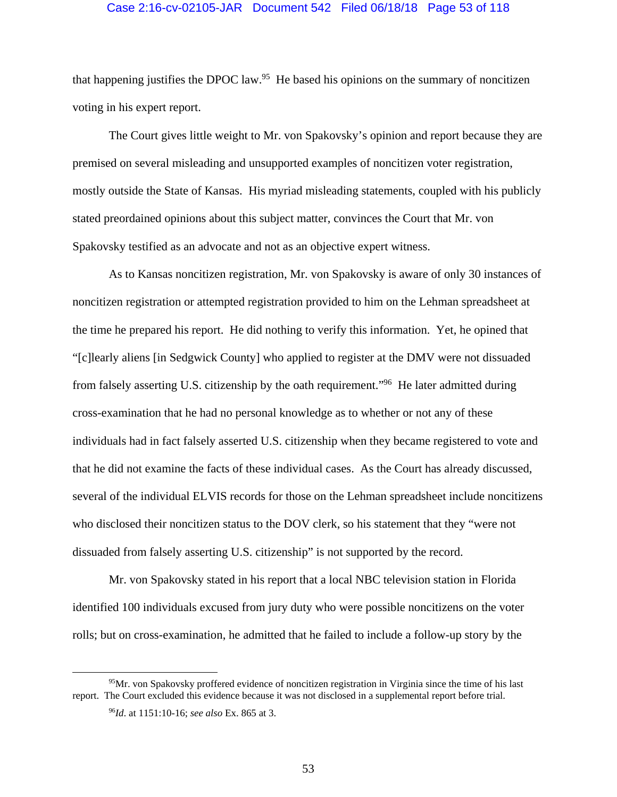#### Case 2:16-cv-02105-JAR Document 542 Filed 06/18/18 Page 53 of 118

that happening justifies the DPOC law.<sup>95</sup> He based his opinions on the summary of noncitizen voting in his expert report.

The Court gives little weight to Mr. von Spakovsky's opinion and report because they are premised on several misleading and unsupported examples of noncitizen voter registration, mostly outside the State of Kansas. His myriad misleading statements, coupled with his publicly stated preordained opinions about this subject matter, convinces the Court that Mr. von Spakovsky testified as an advocate and not as an objective expert witness.

As to Kansas noncitizen registration, Mr. von Spakovsky is aware of only 30 instances of noncitizen registration or attempted registration provided to him on the Lehman spreadsheet at the time he prepared his report. He did nothing to verify this information. Yet, he opined that "[c]learly aliens [in Sedgwick County] who applied to register at the DMV were not dissuaded from falsely asserting U.S. citizenship by the oath requirement."96 He later admitted during cross-examination that he had no personal knowledge as to whether or not any of these individuals had in fact falsely asserted U.S. citizenship when they became registered to vote and that he did not examine the facts of these individual cases. As the Court has already discussed, several of the individual ELVIS records for those on the Lehman spreadsheet include noncitizens who disclosed their noncitizen status to the DOV clerk, so his statement that they "were not dissuaded from falsely asserting U.S. citizenship" is not supported by the record.

Mr. von Spakovsky stated in his report that a local NBC television station in Florida identified 100 individuals excused from jury duty who were possible noncitizens on the voter rolls; but on cross-examination, he admitted that he failed to include a follow-up story by the

<sup>&</sup>lt;sup>95</sup>Mr. von Spakovsky proffered evidence of noncitizen registration in Virginia since the time of his last report. The Court excluded this evidence because it was not disclosed in a supplemental report before trial.

<sup>96</sup>*Id*. at 1151:10-16; *see also* Ex. 865 at 3.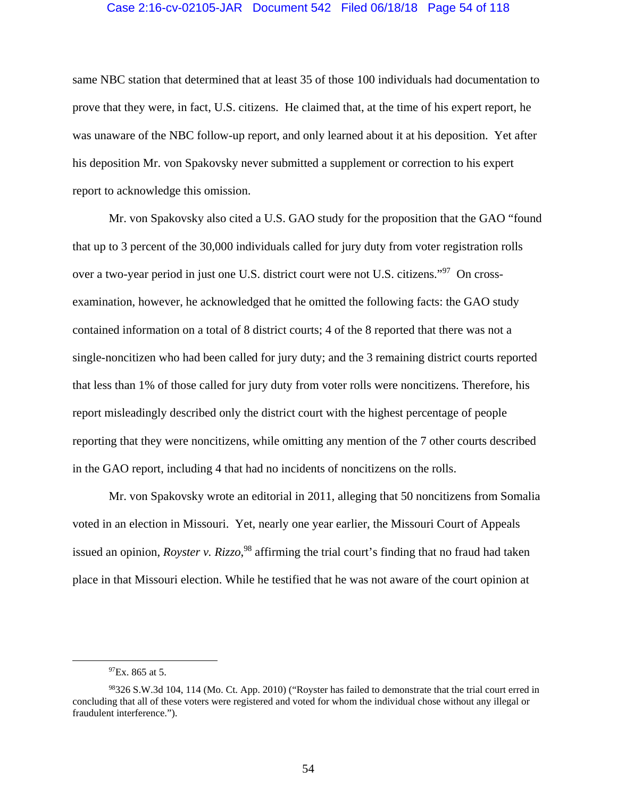#### Case 2:16-cv-02105-JAR Document 542 Filed 06/18/18 Page 54 of 118

same NBC station that determined that at least 35 of those 100 individuals had documentation to prove that they were, in fact, U.S. citizens. He claimed that, at the time of his expert report, he was unaware of the NBC follow-up report, and only learned about it at his deposition. Yet after his deposition Mr. von Spakovsky never submitted a supplement or correction to his expert report to acknowledge this omission.

Mr. von Spakovsky also cited a U.S. GAO study for the proposition that the GAO "found that up to 3 percent of the 30,000 individuals called for jury duty from voter registration rolls over a two-year period in just one U.S. district court were not U.S. citizens."97 On crossexamination, however, he acknowledged that he omitted the following facts: the GAO study contained information on a total of 8 district courts; 4 of the 8 reported that there was not a single-noncitizen who had been called for jury duty; and the 3 remaining district courts reported that less than 1% of those called for jury duty from voter rolls were noncitizens. Therefore, his report misleadingly described only the district court with the highest percentage of people reporting that they were noncitizens, while omitting any mention of the 7 other courts described in the GAO report, including 4 that had no incidents of noncitizens on the rolls.

 Mr. von Spakovsky wrote an editorial in 2011, alleging that 50 noncitizens from Somalia voted in an election in Missouri. Yet, nearly one year earlier, the Missouri Court of Appeals issued an opinion, *Royster v. Rizzo*, 98 affirming the trial court's finding that no fraud had taken place in that Missouri election. While he testified that he was not aware of the court opinion at

 $^{97}Ex.865$  at 5.

<sup>98326</sup> S.W.3d 104, 114 (Mo. Ct. App. 2010) ("Royster has failed to demonstrate that the trial court erred in concluding that all of these voters were registered and voted for whom the individual chose without any illegal or fraudulent interference.").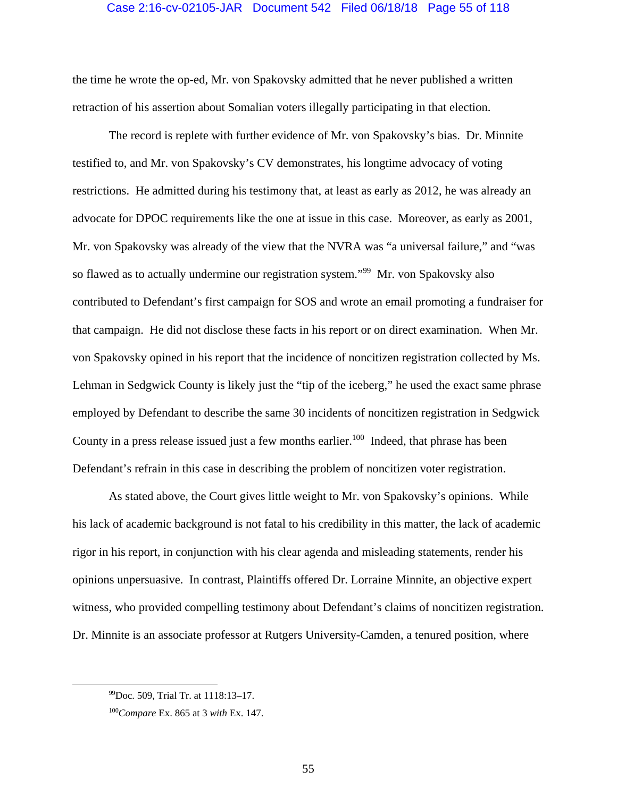### Case 2:16-cv-02105-JAR Document 542 Filed 06/18/18 Page 55 of 118

the time he wrote the op-ed, Mr. von Spakovsky admitted that he never published a written retraction of his assertion about Somalian voters illegally participating in that election.

 The record is replete with further evidence of Mr. von Spakovsky's bias. Dr. Minnite testified to, and Mr. von Spakovsky's CV demonstrates, his longtime advocacy of voting restrictions. He admitted during his testimony that, at least as early as 2012, he was already an advocate for DPOC requirements like the one at issue in this case. Moreover, as early as 2001, Mr. von Spakovsky was already of the view that the NVRA was "a universal failure," and "was so flawed as to actually undermine our registration system."99 Mr. von Spakovsky also contributed to Defendant's first campaign for SOS and wrote an email promoting a fundraiser for that campaign. He did not disclose these facts in his report or on direct examination. When Mr. von Spakovsky opined in his report that the incidence of noncitizen registration collected by Ms. Lehman in Sedgwick County is likely just the "tip of the iceberg," he used the exact same phrase employed by Defendant to describe the same 30 incidents of noncitizen registration in Sedgwick County in a press release issued just a few months earlier.<sup>100</sup> Indeed, that phrase has been Defendant's refrain in this case in describing the problem of noncitizen voter registration.

 As stated above, the Court gives little weight to Mr. von Spakovsky's opinions. While his lack of academic background is not fatal to his credibility in this matter, the lack of academic rigor in his report, in conjunction with his clear agenda and misleading statements, render his opinions unpersuasive. In contrast, Plaintiffs offered Dr. Lorraine Minnite, an objective expert witness, who provided compelling testimony about Defendant's claims of noncitizen registration. Dr. Minnite is an associate professor at Rutgers University-Camden, a tenured position, where

 <sup>99</sup>Doc. 509, Trial Tr. at 1118:13–17.

<sup>100</sup>*Compare* Ex. 865 at 3 *with* Ex. 147.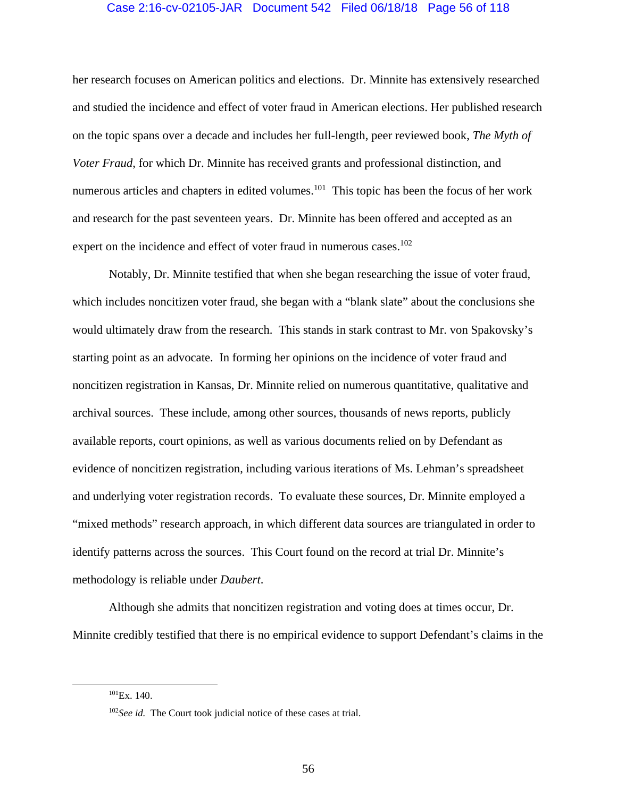### Case 2:16-cv-02105-JAR Document 542 Filed 06/18/18 Page 56 of 118

her research focuses on American politics and elections. Dr. Minnite has extensively researched and studied the incidence and effect of voter fraud in American elections. Her published research on the topic spans over a decade and includes her full-length, peer reviewed book, *The Myth of Voter Fraud*, for which Dr. Minnite has received grants and professional distinction, and numerous articles and chapters in edited volumes.<sup>101</sup> This topic has been the focus of her work and research for the past seventeen years. Dr. Minnite has been offered and accepted as an expert on the incidence and effect of voter fraud in numerous cases.<sup>102</sup>

 Notably, Dr. Minnite testified that when she began researching the issue of voter fraud, which includes noncitizen voter fraud, she began with a "blank slate" about the conclusions she would ultimately draw from the research. This stands in stark contrast to Mr. von Spakovsky's starting point as an advocate. In forming her opinions on the incidence of voter fraud and noncitizen registration in Kansas, Dr. Minnite relied on numerous quantitative, qualitative and archival sources. These include, among other sources, thousands of news reports, publicly available reports, court opinions, as well as various documents relied on by Defendant as evidence of noncitizen registration, including various iterations of Ms. Lehman's spreadsheet and underlying voter registration records. To evaluate these sources, Dr. Minnite employed a "mixed methods" research approach, in which different data sources are triangulated in order to identify patterns across the sources. This Court found on the record at trial Dr. Minnite's methodology is reliable under *Daubert*.

Although she admits that noncitizen registration and voting does at times occur, Dr. Minnite credibly testified that there is no empirical evidence to support Defendant's claims in the

 $^{101}Ex. 140.$ 

<sup>102</sup>*See id.* The Court took judicial notice of these cases at trial.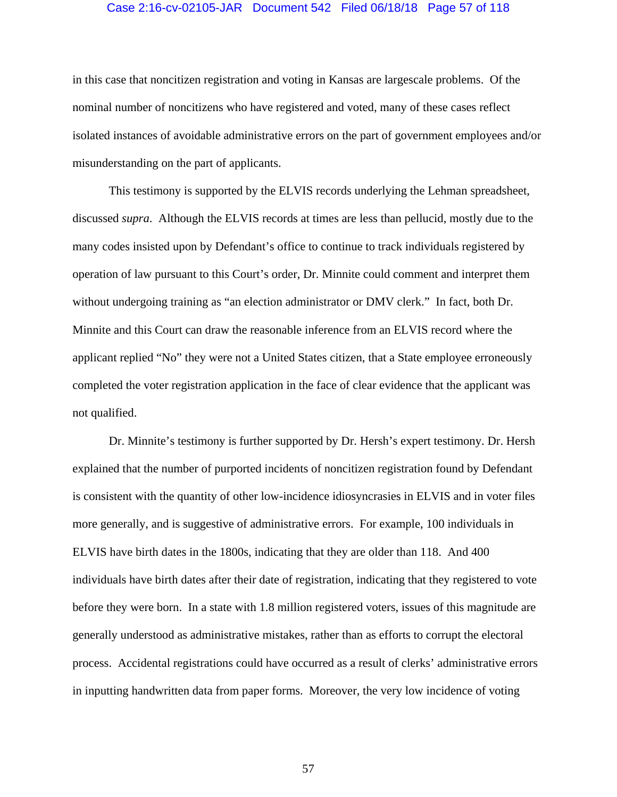### Case 2:16-cv-02105-JAR Document 542 Filed 06/18/18 Page 57 of 118

in this case that noncitizen registration and voting in Kansas are largescale problems. Of the nominal number of noncitizens who have registered and voted, many of these cases reflect isolated instances of avoidable administrative errors on the part of government employees and/or misunderstanding on the part of applicants.

This testimony is supported by the ELVIS records underlying the Lehman spreadsheet, discussed *supra*. Although the ELVIS records at times are less than pellucid, mostly due to the many codes insisted upon by Defendant's office to continue to track individuals registered by operation of law pursuant to this Court's order, Dr. Minnite could comment and interpret them without undergoing training as "an election administrator or DMV clerk." In fact, both Dr. Minnite and this Court can draw the reasonable inference from an ELVIS record where the applicant replied "No" they were not a United States citizen, that a State employee erroneously completed the voter registration application in the face of clear evidence that the applicant was not qualified.

Dr. Minnite's testimony is further supported by Dr. Hersh's expert testimony. Dr. Hersh explained that the number of purported incidents of noncitizen registration found by Defendant is consistent with the quantity of other low-incidence idiosyncrasies in ELVIS and in voter files more generally, and is suggestive of administrative errors. For example, 100 individuals in ELVIS have birth dates in the 1800s, indicating that they are older than 118. And 400 individuals have birth dates after their date of registration, indicating that they registered to vote before they were born. In a state with 1.8 million registered voters, issues of this magnitude are generally understood as administrative mistakes, rather than as efforts to corrupt the electoral process. Accidental registrations could have occurred as a result of clerks' administrative errors in inputting handwritten data from paper forms. Moreover, the very low incidence of voting

57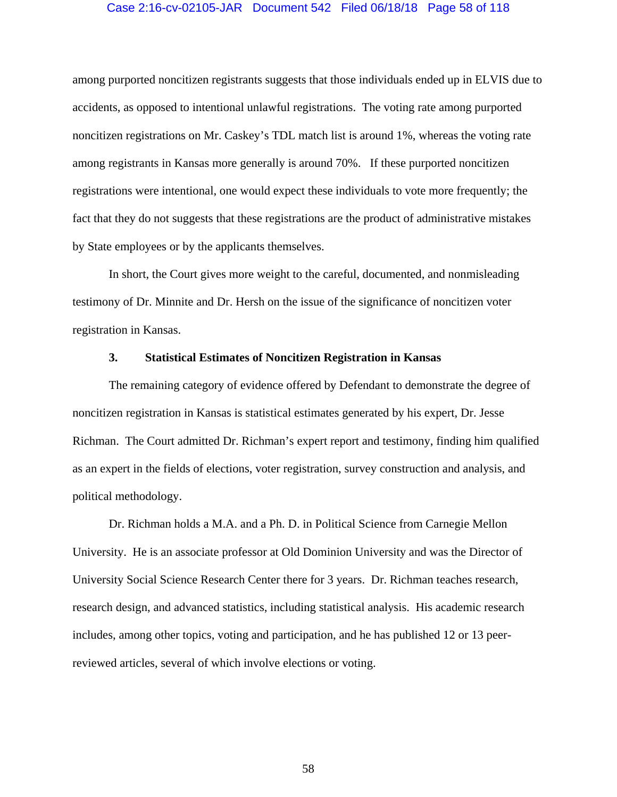### Case 2:16-cv-02105-JAR Document 542 Filed 06/18/18 Page 58 of 118

among purported noncitizen registrants suggests that those individuals ended up in ELVIS due to accidents, as opposed to intentional unlawful registrations. The voting rate among purported noncitizen registrations on Mr. Caskey's TDL match list is around 1%, whereas the voting rate among registrants in Kansas more generally is around 70%. If these purported noncitizen registrations were intentional, one would expect these individuals to vote more frequently; the fact that they do not suggests that these registrations are the product of administrative mistakes by State employees or by the applicants themselves.

In short, the Court gives more weight to the careful, documented, and nonmisleading testimony of Dr. Minnite and Dr. Hersh on the issue of the significance of noncitizen voter registration in Kansas.

### **3. Statistical Estimates of Noncitizen Registration in Kansas**

The remaining category of evidence offered by Defendant to demonstrate the degree of noncitizen registration in Kansas is statistical estimates generated by his expert, Dr. Jesse Richman. The Court admitted Dr. Richman's expert report and testimony, finding him qualified as an expert in the fields of elections, voter registration, survey construction and analysis, and political methodology.

 Dr. Richman holds a M.A. and a Ph. D. in Political Science from Carnegie Mellon University. He is an associate professor at Old Dominion University and was the Director of University Social Science Research Center there for 3 years. Dr. Richman teaches research, research design, and advanced statistics, including statistical analysis. His academic research includes, among other topics, voting and participation, and he has published 12 or 13 peerreviewed articles, several of which involve elections or voting.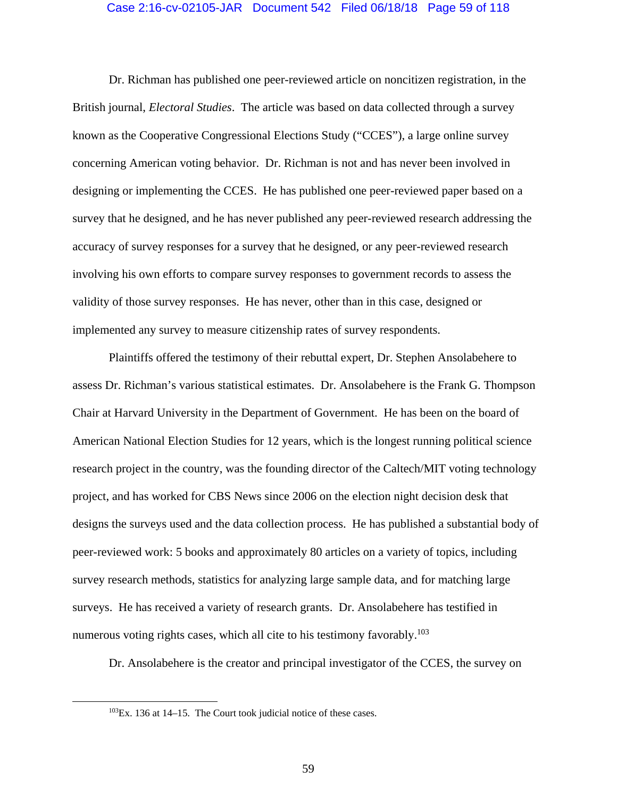### Case 2:16-cv-02105-JAR Document 542 Filed 06/18/18 Page 59 of 118

Dr. Richman has published one peer-reviewed article on noncitizen registration, in the British journal, *Electoral Studies*. The article was based on data collected through a survey known as the Cooperative Congressional Elections Study ("CCES"), a large online survey concerning American voting behavior. Dr. Richman is not and has never been involved in designing or implementing the CCES. He has published one peer-reviewed paper based on a survey that he designed, and he has never published any peer-reviewed research addressing the accuracy of survey responses for a survey that he designed, or any peer-reviewed research involving his own efforts to compare survey responses to government records to assess the validity of those survey responses. He has never, other than in this case, designed or implemented any survey to measure citizenship rates of survey respondents.

Plaintiffs offered the testimony of their rebuttal expert, Dr. Stephen Ansolabehere to assess Dr. Richman's various statistical estimates. Dr. Ansolabehere is the Frank G. Thompson Chair at Harvard University in the Department of Government. He has been on the board of American National Election Studies for 12 years, which is the longest running political science research project in the country, was the founding director of the Caltech/MIT voting technology project, and has worked for CBS News since 2006 on the election night decision desk that designs the surveys used and the data collection process. He has published a substantial body of peer-reviewed work: 5 books and approximately 80 articles on a variety of topics, including survey research methods, statistics for analyzing large sample data, and for matching large surveys. He has received a variety of research grants. Dr. Ansolabehere has testified in numerous voting rights cases, which all cite to his testimony favorably.<sup>103</sup>

Dr. Ansolabehere is the creator and principal investigator of the CCES, the survey on

 $103$ Ex. 136 at 14–15. The Court took judicial notice of these cases.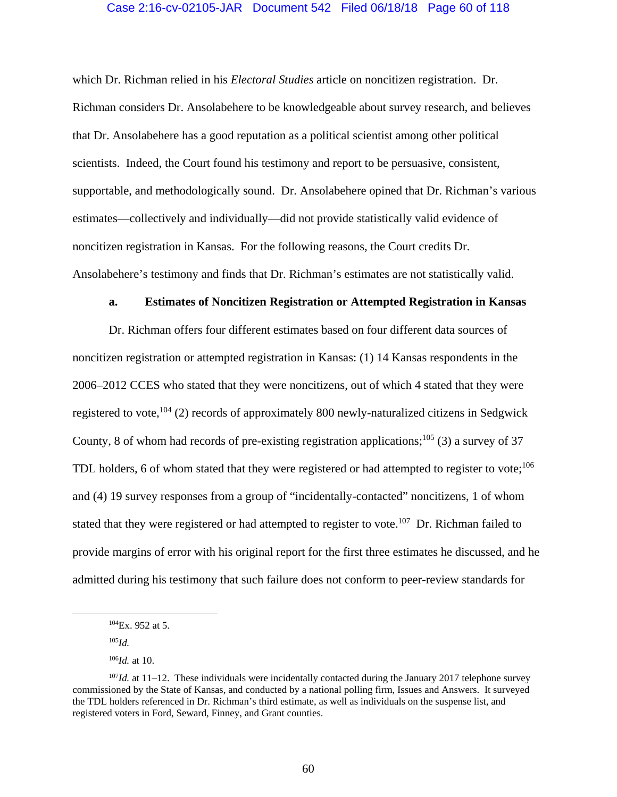### Case 2:16-cv-02105-JAR Document 542 Filed 06/18/18 Page 60 of 118

which Dr. Richman relied in his *Electoral Studies* article on noncitizen registration. Dr. Richman considers Dr. Ansolabehere to be knowledgeable about survey research, and believes that Dr. Ansolabehere has a good reputation as a political scientist among other political scientists. Indeed, the Court found his testimony and report to be persuasive, consistent, supportable, and methodologically sound. Dr. Ansolabehere opined that Dr. Richman's various estimates—collectively and individually—did not provide statistically valid evidence of noncitizen registration in Kansas. For the following reasons, the Court credits Dr. Ansolabehere's testimony and finds that Dr. Richman's estimates are not statistically valid.

#### **a. Estimates of Noncitizen Registration or Attempted Registration in Kansas**

Dr. Richman offers four different estimates based on four different data sources of noncitizen registration or attempted registration in Kansas: (1) 14 Kansas respondents in the 2006–2012 CCES who stated that they were noncitizens, out of which 4 stated that they were registered to vote,  $^{104}$  (2) records of approximately 800 newly-naturalized citizens in Sedgwick County, 8 of whom had records of pre-existing registration applications;<sup>105</sup> (3) a survey of 37 TDL holders, 6 of whom stated that they were registered or had attempted to register to vote; $106$ and (4) 19 survey responses from a group of "incidentally-contacted" noncitizens, 1 of whom stated that they were registered or had attempted to register to vote.<sup>107</sup> Dr. Richman failed to provide margins of error with his original report for the first three estimates he discussed, and he admitted during his testimony that such failure does not conform to peer-review standards for

<sup>105</sup>*Id.*

 <sup>104</sup>Ex. 952 at 5.

<sup>106</sup>*Id.* at 10.

<sup>107</sup>*Id.* at 11–12. These individuals were incidentally contacted during the January 2017 telephone survey commissioned by the State of Kansas, and conducted by a national polling firm, Issues and Answers. It surveyed the TDL holders referenced in Dr. Richman's third estimate, as well as individuals on the suspense list, and registered voters in Ford, Seward, Finney, and Grant counties.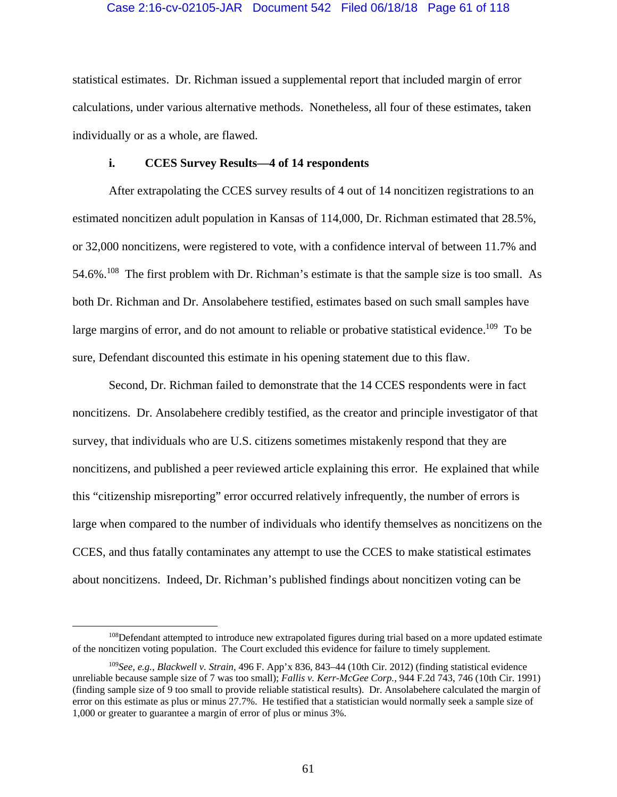### Case 2:16-cv-02105-JAR Document 542 Filed 06/18/18 Page 61 of 118

statistical estimates. Dr. Richman issued a supplemental report that included margin of error calculations, under various alternative methods. Nonetheless, all four of these estimates, taken individually or as a whole, are flawed.

## **i. CCES Survey Results—4 of 14 respondents**

After extrapolating the CCES survey results of 4 out of 14 noncitizen registrations to an estimated noncitizen adult population in Kansas of 114,000, Dr. Richman estimated that 28.5%, or 32,000 noncitizens, were registered to vote, with a confidence interval of between 11.7% and 54.6%.<sup>108</sup> The first problem with Dr. Richman's estimate is that the sample size is too small. As both Dr. Richman and Dr. Ansolabehere testified, estimates based on such small samples have large margins of error, and do not amount to reliable or probative statistical evidence.<sup>109</sup> To be sure, Defendant discounted this estimate in his opening statement due to this flaw.

Second, Dr. Richman failed to demonstrate that the 14 CCES respondents were in fact noncitizens. Dr. Ansolabehere credibly testified, as the creator and principle investigator of that survey, that individuals who are U.S. citizens sometimes mistakenly respond that they are noncitizens, and published a peer reviewed article explaining this error. He explained that while this "citizenship misreporting" error occurred relatively infrequently, the number of errors is large when compared to the number of individuals who identify themselves as noncitizens on the CCES, and thus fatally contaminates any attempt to use the CCES to make statistical estimates about noncitizens. Indeed, Dr. Richman's published findings about noncitizen voting can be

<sup>&</sup>lt;sup>108</sup>Defendant attempted to introduce new extrapolated figures during trial based on a more updated estimate of the noncitizen voting population. The Court excluded this evidence for failure to timely supplement.

<sup>109</sup>*See, e.g.*, *Blackwell v. Strain*, 496 F. App'x 836, 843–44 (10th Cir. 2012) (finding statistical evidence unreliable because sample size of 7 was too small); *Fallis v. Kerr-McGee Corp.*, 944 F.2d 743, 746 (10th Cir. 1991) (finding sample size of 9 too small to provide reliable statistical results). Dr. Ansolabehere calculated the margin of error on this estimate as plus or minus 27.7%. He testified that a statistician would normally seek a sample size of 1,000 or greater to guarantee a margin of error of plus or minus 3%.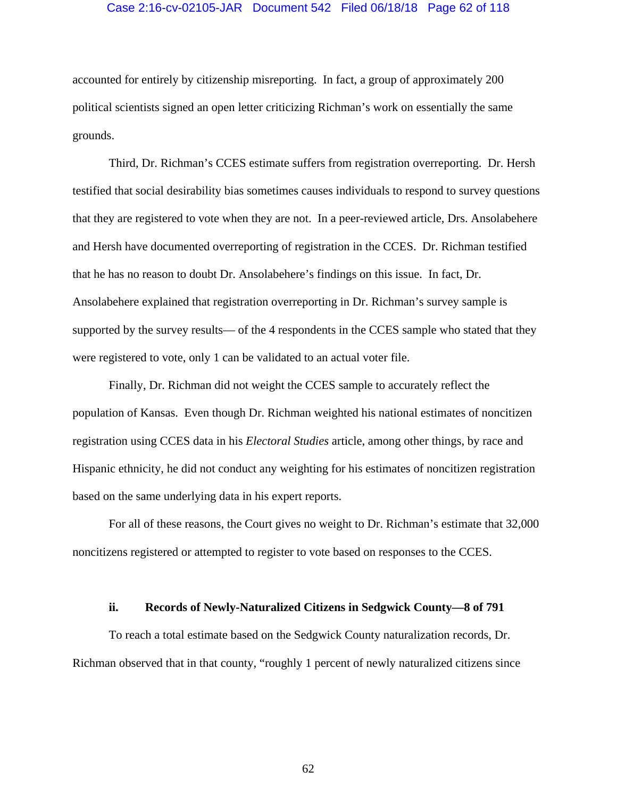### Case 2:16-cv-02105-JAR Document 542 Filed 06/18/18 Page 62 of 118

accounted for entirely by citizenship misreporting. In fact, a group of approximately 200 political scientists signed an open letter criticizing Richman's work on essentially the same grounds.

Third, Dr. Richman's CCES estimate suffers from registration overreporting. Dr. Hersh testified that social desirability bias sometimes causes individuals to respond to survey questions that they are registered to vote when they are not. In a peer-reviewed article, Drs. Ansolabehere and Hersh have documented overreporting of registration in the CCES. Dr. Richman testified that he has no reason to doubt Dr. Ansolabehere's findings on this issue. In fact, Dr. Ansolabehere explained that registration overreporting in Dr. Richman's survey sample is supported by the survey results— of the 4 respondents in the CCES sample who stated that they were registered to vote, only 1 can be validated to an actual voter file.

Finally, Dr. Richman did not weight the CCES sample to accurately reflect the population of Kansas. Even though Dr. Richman weighted his national estimates of noncitizen registration using CCES data in his *Electoral Studies* article, among other things, by race and Hispanic ethnicity, he did not conduct any weighting for his estimates of noncitizen registration based on the same underlying data in his expert reports.

For all of these reasons, the Court gives no weight to Dr. Richman's estimate that 32,000 noncitizens registered or attempted to register to vote based on responses to the CCES.

#### **ii. Records of Newly-Naturalized Citizens in Sedgwick County—8 of 791**

To reach a total estimate based on the Sedgwick County naturalization records, Dr. Richman observed that in that county, "roughly 1 percent of newly naturalized citizens since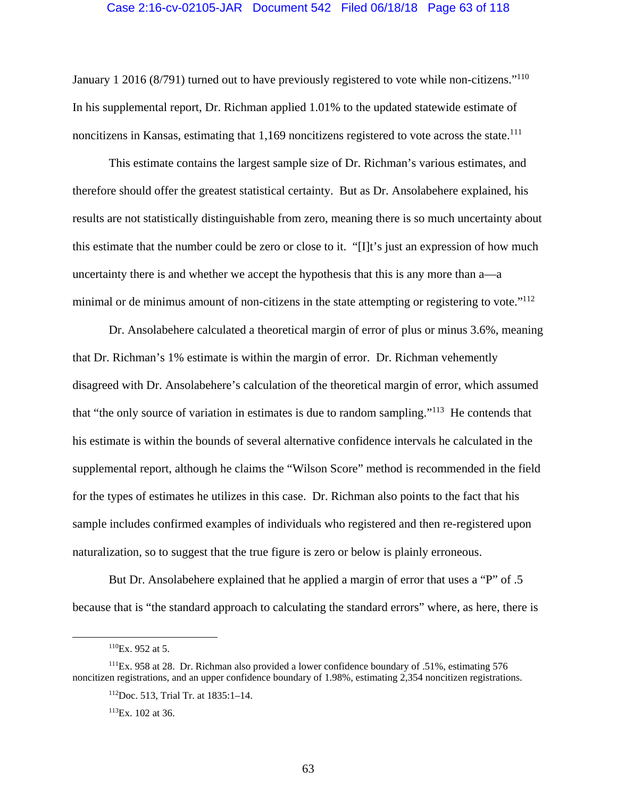#### Case 2:16-cv-02105-JAR Document 542 Filed 06/18/18 Page 63 of 118

January 1 2016 (8/791) turned out to have previously registered to vote while non-citizens."<sup>110</sup> In his supplemental report, Dr. Richman applied 1.01% to the updated statewide estimate of noncitizens in Kansas, estimating that  $1,169$  noncitizens registered to vote across the state.<sup>111</sup>

This estimate contains the largest sample size of Dr. Richman's various estimates, and therefore should offer the greatest statistical certainty. But as Dr. Ansolabehere explained, his results are not statistically distinguishable from zero, meaning there is so much uncertainty about this estimate that the number could be zero or close to it. "[I]t's just an expression of how much uncertainty there is and whether we accept the hypothesis that this is any more than a—a minimal or de minimus amount of non-citizens in the state attempting or registering to vote."<sup>112</sup>

Dr. Ansolabehere calculated a theoretical margin of error of plus or minus 3.6%, meaning that Dr. Richman's 1% estimate is within the margin of error. Dr. Richman vehemently disagreed with Dr. Ansolabehere's calculation of the theoretical margin of error, which assumed that "the only source of variation in estimates is due to random sampling."113 He contends that his estimate is within the bounds of several alternative confidence intervals he calculated in the supplemental report, although he claims the "Wilson Score" method is recommended in the field for the types of estimates he utilizes in this case. Dr. Richman also points to the fact that his sample includes confirmed examples of individuals who registered and then re-registered upon naturalization, so to suggest that the true figure is zero or below is plainly erroneous.

But Dr. Ansolabehere explained that he applied a margin of error that uses a "P" of .5 because that is "the standard approach to calculating the standard errors" where, as here, there is

113Ex. 102 at 36.

 <sup>110</sup>Ex. 952 at 5.

<sup>111</sup>Ex. 958 at 28. Dr. Richman also provided a lower confidence boundary of .51%, estimating 576 noncitizen registrations, and an upper confidence boundary of 1.98%, estimating 2,354 noncitizen registrations.

<sup>112</sup>Doc. 513, Trial Tr. at 1835:1–14.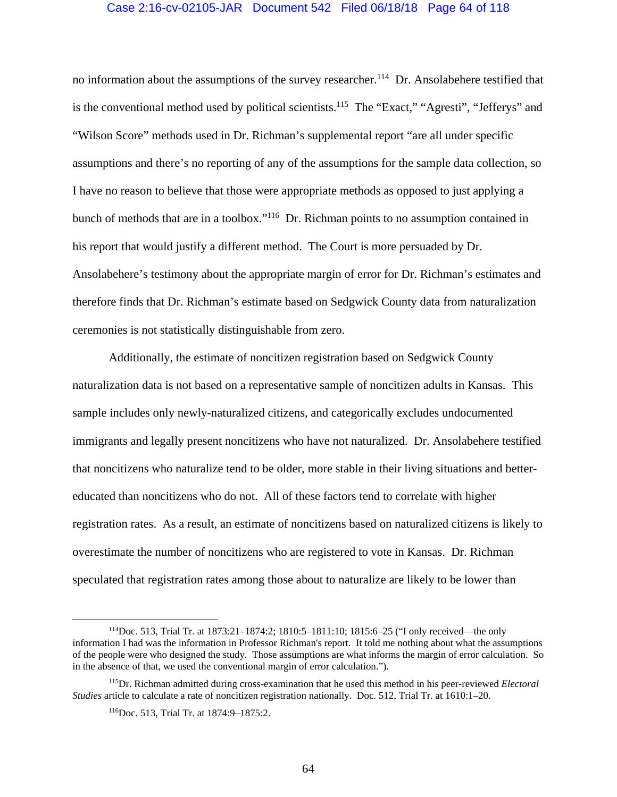#### Case 2:16-cv-02105-JAR Document 542 Filed 06/18/18 Page 64 of 118

no information about the assumptions of the survey researcher.<sup>114</sup> Dr. Ansolabehere testified that is the conventional method used by political scientists.<sup>115</sup> The "Exact," "Agresti", "Jefferys" and "Wilson Score" methods used in Dr. Richman's supplemental report "are all under specific assumptions and there's no reporting of any of the assumptions for the sample data collection, so I have no reason to believe that those were appropriate methods as opposed to just applying a bunch of methods that are in a toolbox."116 Dr. Richman points to no assumption contained in his report that would justify a different method. The Court is more persuaded by Dr. Ansolabehere's testimony about the appropriate margin of error for Dr. Richman's estimates and therefore finds that Dr. Richman's estimate based on Sedgwick County data from naturalization ceremonies is not statistically distinguishable from zero.

Additionally, the estimate of noncitizen registration based on Sedgwick County naturalization data is not based on a representative sample of noncitizen adults in Kansas. This sample includes only newly-naturalized citizens, and categorically excludes undocumented immigrants and legally present noncitizens who have not naturalized. Dr. Ansolabehere testified that noncitizens who naturalize tend to be older, more stable in their living situations and bettereducated than noncitizens who do not. All of these factors tend to correlate with higher registration rates. As a result, an estimate of noncitizens based on naturalized citizens is likely to overestimate the number of noncitizens who are registered to vote in Kansas. Dr. Richman speculated that registration rates among those about to naturalize are likely to be lower than

 <sup>114</sup>Doc. 513, Trial Tr. at 1873:21–1874:2; 1810:5–1811:10; 1815:6–25 ("I only received—the only information I had was the information in Professor Richman's report. It told me nothing about what the assumptions of the people were who designed the study. Those assumptions are what informs the margin of error calculation. So in the absence of that, we used the conventional margin of error calculation.").

<sup>115</sup>Dr. Richman admitted during cross-examination that he used this method in his peer-reviewed *Electoral Studies* article to calculate a rate of noncitizen registration nationally. Doc. 512, Trial Tr. at 1610:1–20.

<sup>116</sup>Doc. 513, Trial Tr. at 1874:9–1875:2.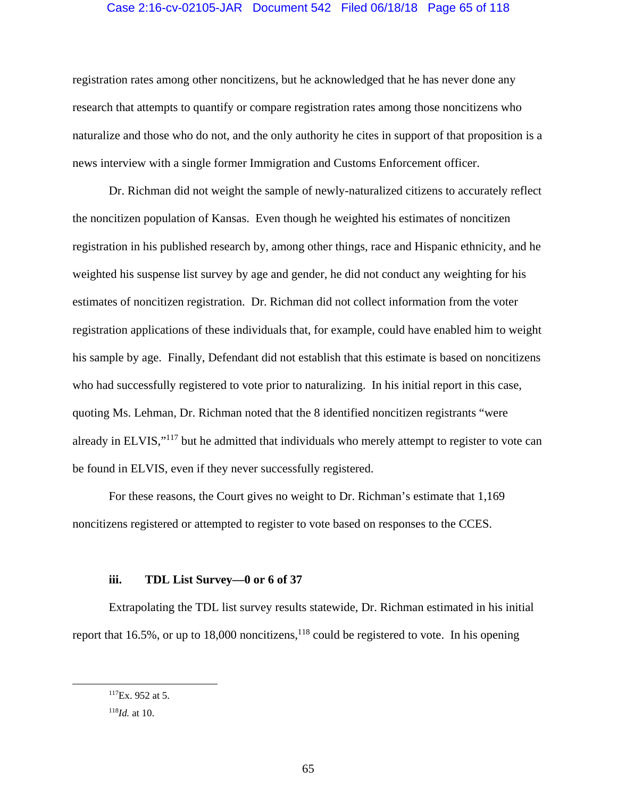## Case 2:16-cv-02105-JAR Document 542 Filed 06/18/18 Page 65 of 118

registration rates among other noncitizens, but he acknowledged that he has never done any research that attempts to quantify or compare registration rates among those noncitizens who naturalize and those who do not, and the only authority he cites in support of that proposition is a news interview with a single former Immigration and Customs Enforcement officer.

Dr. Richman did not weight the sample of newly-naturalized citizens to accurately reflect the noncitizen population of Kansas. Even though he weighted his estimates of noncitizen registration in his published research by, among other things, race and Hispanic ethnicity, and he weighted his suspense list survey by age and gender, he did not conduct any weighting for his estimates of noncitizen registration. Dr. Richman did not collect information from the voter registration applications of these individuals that, for example, could have enabled him to weight his sample by age. Finally, Defendant did not establish that this estimate is based on noncitizens who had successfully registered to vote prior to naturalizing. In his initial report in this case, quoting Ms. Lehman, Dr. Richman noted that the 8 identified noncitizen registrants "were already in ELVIS,"<sup>117</sup> but he admitted that individuals who merely attempt to register to vote can be found in ELVIS, even if they never successfully registered.

For these reasons, the Court gives no weight to Dr. Richman's estimate that 1,169 noncitizens registered or attempted to register to vote based on responses to the CCES.

### **iii. TDL List Survey—0 or 6 of 37**

Extrapolating the TDL list survey results statewide, Dr. Richman estimated in his initial report that 16.5%, or up to 18,000 noncitizens,  $118$  could be registered to vote. In his opening

 $^{117}$ Ex. 952 at 5.

<sup>118</sup>*Id.* at 10.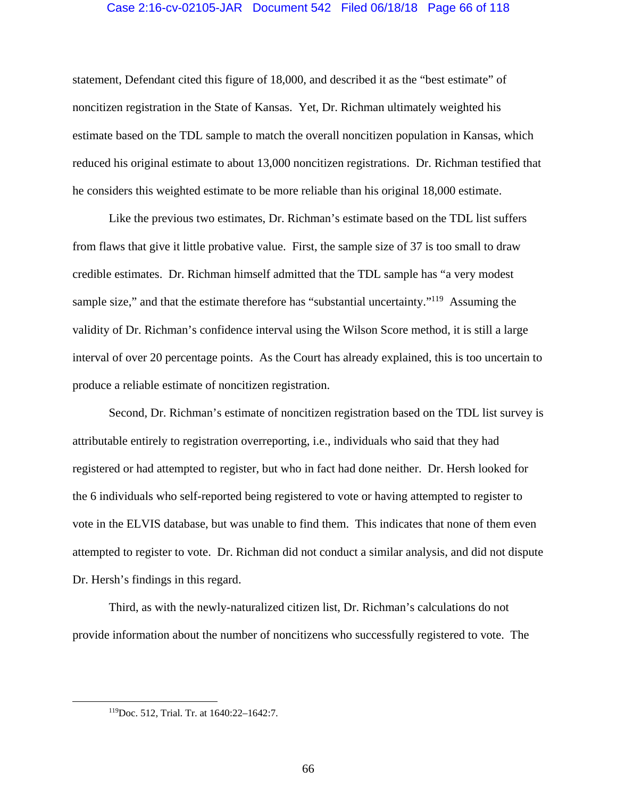### Case 2:16-cv-02105-JAR Document 542 Filed 06/18/18 Page 66 of 118

statement, Defendant cited this figure of 18,000, and described it as the "best estimate" of noncitizen registration in the State of Kansas. Yet, Dr. Richman ultimately weighted his estimate based on the TDL sample to match the overall noncitizen population in Kansas, which reduced his original estimate to about 13,000 noncitizen registrations. Dr. Richman testified that he considers this weighted estimate to be more reliable than his original 18,000 estimate.

Like the previous two estimates, Dr. Richman's estimate based on the TDL list suffers from flaws that give it little probative value. First, the sample size of 37 is too small to draw credible estimates. Dr. Richman himself admitted that the TDL sample has "a very modest sample size," and that the estimate therefore has "substantial uncertainty."<sup>119</sup> Assuming the validity of Dr. Richman's confidence interval using the Wilson Score method, it is still a large interval of over 20 percentage points. As the Court has already explained, this is too uncertain to produce a reliable estimate of noncitizen registration.

Second, Dr. Richman's estimate of noncitizen registration based on the TDL list survey is attributable entirely to registration overreporting, i.e., individuals who said that they had registered or had attempted to register, but who in fact had done neither. Dr. Hersh looked for the 6 individuals who self-reported being registered to vote or having attempted to register to vote in the ELVIS database, but was unable to find them. This indicates that none of them even attempted to register to vote. Dr. Richman did not conduct a similar analysis, and did not dispute Dr. Hersh's findings in this regard.

Third, as with the newly-naturalized citizen list, Dr. Richman's calculations do not provide information about the number of noncitizens who successfully registered to vote. The

 <sup>119</sup>Doc. 512, Trial. Tr. at 1640:22–1642:7.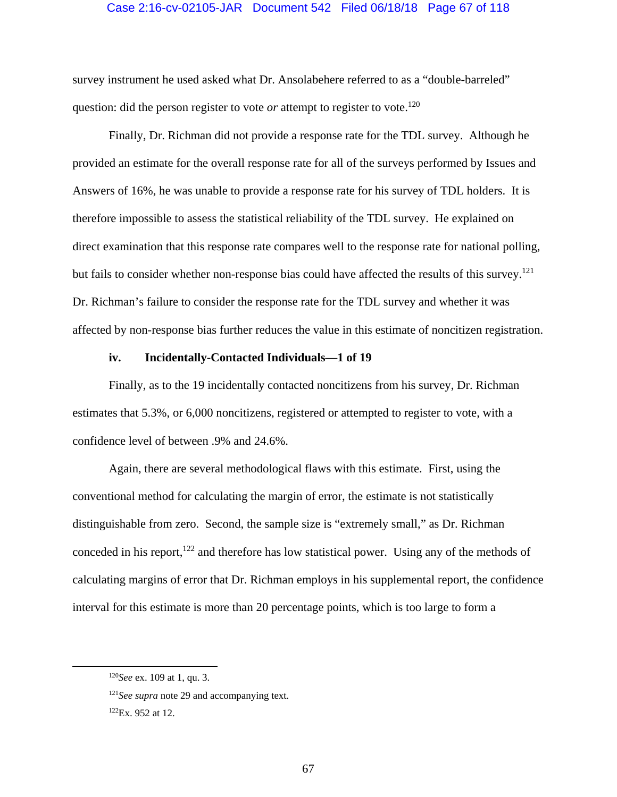#### Case 2:16-cv-02105-JAR Document 542 Filed 06/18/18 Page 67 of 118

survey instrument he used asked what Dr. Ansolabehere referred to as a "double-barreled" question: did the person register to vote *or* attempt to register to vote.<sup>120</sup>

Finally, Dr. Richman did not provide a response rate for the TDL survey. Although he provided an estimate for the overall response rate for all of the surveys performed by Issues and Answers of 16%, he was unable to provide a response rate for his survey of TDL holders. It is therefore impossible to assess the statistical reliability of the TDL survey. He explained on direct examination that this response rate compares well to the response rate for national polling, but fails to consider whether non-response bias could have affected the results of this survey.<sup>121</sup> Dr. Richman's failure to consider the response rate for the TDL survey and whether it was affected by non-response bias further reduces the value in this estimate of noncitizen registration.

### **iv. Incidentally-Contacted Individuals—1 of 19**

Finally, as to the 19 incidentally contacted noncitizens from his survey, Dr. Richman estimates that 5.3%, or 6,000 noncitizens, registered or attempted to register to vote, with a confidence level of between .9% and 24.6%.

Again, there are several methodological flaws with this estimate. First, using the conventional method for calculating the margin of error, the estimate is not statistically distinguishable from zero. Second, the sample size is "extremely small," as Dr. Richman conceded in his report, $122$  and therefore has low statistical power. Using any of the methods of calculating margins of error that Dr. Richman employs in his supplemental report, the confidence interval for this estimate is more than 20 percentage points, which is too large to form a

 <sup>120</sup>*See* ex. 109 at 1, qu. 3.

<sup>&</sup>lt;sup>121</sup>See supra note 29 and accompanying text.

<sup>122</sup>Ex. 952 at 12.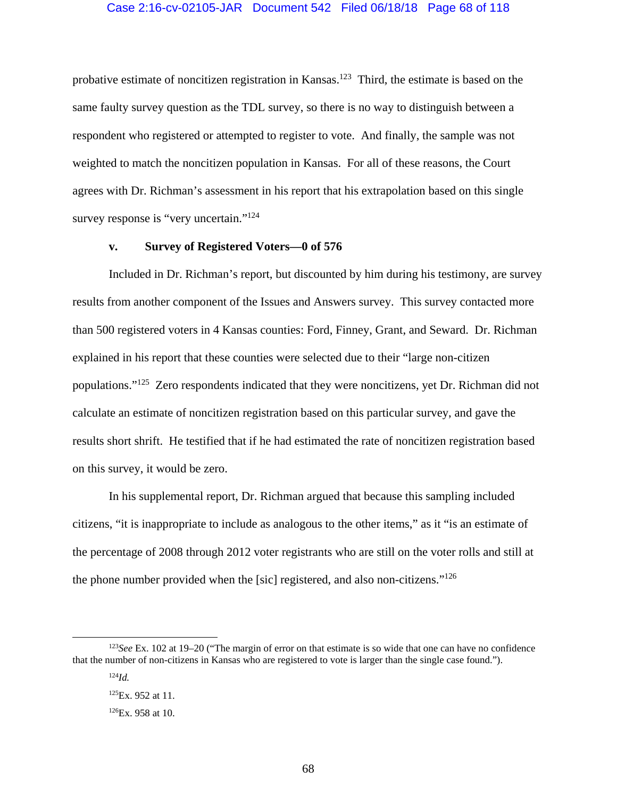probative estimate of noncitizen registration in Kansas.<sup>123</sup> Third, the estimate is based on the same faulty survey question as the TDL survey, so there is no way to distinguish between a respondent who registered or attempted to register to vote. And finally, the sample was not weighted to match the noncitizen population in Kansas. For all of these reasons, the Court agrees with Dr. Richman's assessment in his report that his extrapolation based on this single survey response is "very uncertain."<sup>124</sup>

## **v. Survey of Registered Voters—0 of 576**

Included in Dr. Richman's report, but discounted by him during his testimony, are survey results from another component of the Issues and Answers survey. This survey contacted more than 500 registered voters in 4 Kansas counties: Ford, Finney, Grant, and Seward. Dr. Richman explained in his report that these counties were selected due to their "large non-citizen populations."125 Zero respondents indicated that they were noncitizens, yet Dr. Richman did not calculate an estimate of noncitizen registration based on this particular survey, and gave the results short shrift. He testified that if he had estimated the rate of noncitizen registration based on this survey, it would be zero.

In his supplemental report, Dr. Richman argued that because this sampling included citizens, "it is inappropriate to include as analogous to the other items," as it "is an estimate of the percentage of 2008 through 2012 voter registrants who are still on the voter rolls and still at the phone number provided when the [sic] registered, and also non-citizens."<sup>126</sup>

<sup>&</sup>lt;sup>123</sup>See Ex. 102 at 19–20 ("The margin of error on that estimate is so wide that one can have no confidence that the number of non-citizens in Kansas who are registered to vote is larger than the single case found.").

<sup>124</sup>*Id.*

<sup>&</sup>lt;sup>125</sup>Ex. 952 at 11.

<sup>126</sup>Ex. 958 at 10.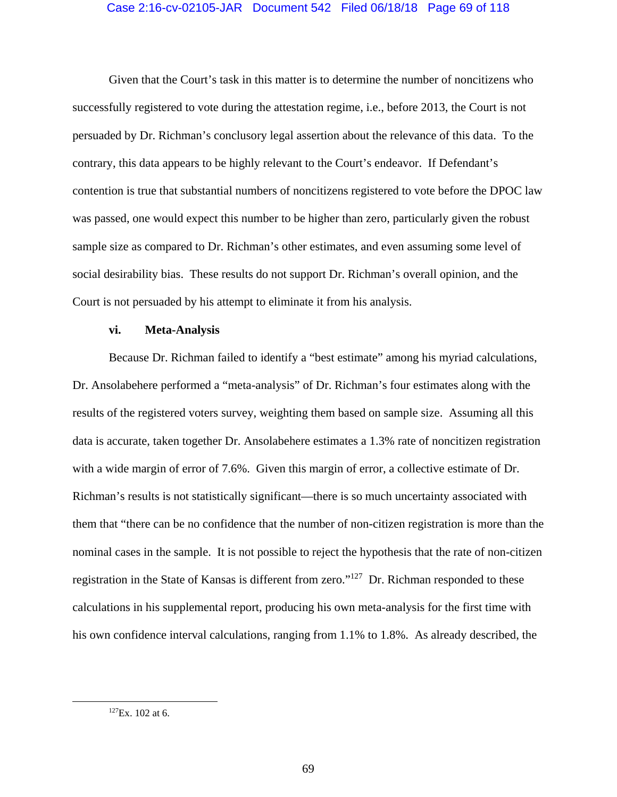### Case 2:16-cv-02105-JAR Document 542 Filed 06/18/18 Page 69 of 118

Given that the Court's task in this matter is to determine the number of noncitizens who successfully registered to vote during the attestation regime, i.e., before 2013, the Court is not persuaded by Dr. Richman's conclusory legal assertion about the relevance of this data. To the contrary, this data appears to be highly relevant to the Court's endeavor. If Defendant's contention is true that substantial numbers of noncitizens registered to vote before the DPOC law was passed, one would expect this number to be higher than zero, particularly given the robust sample size as compared to Dr. Richman's other estimates, and even assuming some level of social desirability bias. These results do not support Dr. Richman's overall opinion, and the Court is not persuaded by his attempt to eliminate it from his analysis.

#### **vi. Meta-Analysis**

Because Dr. Richman failed to identify a "best estimate" among his myriad calculations, Dr. Ansolabehere performed a "meta-analysis" of Dr. Richman's four estimates along with the results of the registered voters survey, weighting them based on sample size. Assuming all this data is accurate, taken together Dr. Ansolabehere estimates a 1.3% rate of noncitizen registration with a wide margin of error of 7.6%. Given this margin of error, a collective estimate of Dr. Richman's results is not statistically significant—there is so much uncertainty associated with them that "there can be no confidence that the number of non-citizen registration is more than the nominal cases in the sample. It is not possible to reject the hypothesis that the rate of non-citizen registration in the State of Kansas is different from zero."127 Dr. Richman responded to these calculations in his supplemental report, producing his own meta-analysis for the first time with his own confidence interval calculations, ranging from 1.1% to 1.8%. As already described, the

 $127Ex.$  102 at 6.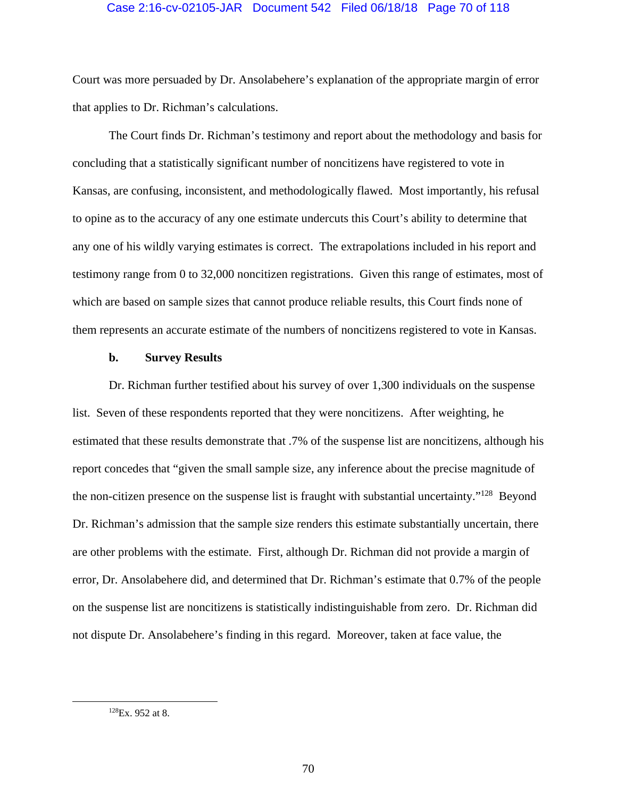### Case 2:16-cv-02105-JAR Document 542 Filed 06/18/18 Page 70 of 118

Court was more persuaded by Dr. Ansolabehere's explanation of the appropriate margin of error that applies to Dr. Richman's calculations.

 The Court finds Dr. Richman's testimony and report about the methodology and basis for concluding that a statistically significant number of noncitizens have registered to vote in Kansas, are confusing, inconsistent, and methodologically flawed. Most importantly, his refusal to opine as to the accuracy of any one estimate undercuts this Court's ability to determine that any one of his wildly varying estimates is correct. The extrapolations included in his report and testimony range from 0 to 32,000 noncitizen registrations. Given this range of estimates, most of which are based on sample sizes that cannot produce reliable results, this Court finds none of them represents an accurate estimate of the numbers of noncitizens registered to vote in Kansas.

#### **b. Survey Results**

Dr. Richman further testified about his survey of over 1,300 individuals on the suspense list. Seven of these respondents reported that they were noncitizens. After weighting, he estimated that these results demonstrate that .7% of the suspense list are noncitizens, although his report concedes that "given the small sample size, any inference about the precise magnitude of the non-citizen presence on the suspense list is fraught with substantial uncertainty."128 Beyond Dr. Richman's admission that the sample size renders this estimate substantially uncertain, there are other problems with the estimate. First, although Dr. Richman did not provide a margin of error, Dr. Ansolabehere did, and determined that Dr. Richman's estimate that 0.7% of the people on the suspense list are noncitizens is statistically indistinguishable from zero. Dr. Richman did not dispute Dr. Ansolabehere's finding in this regard. Moreover, taken at face value, the

 <sup>128</sup>Ex. 952 at 8.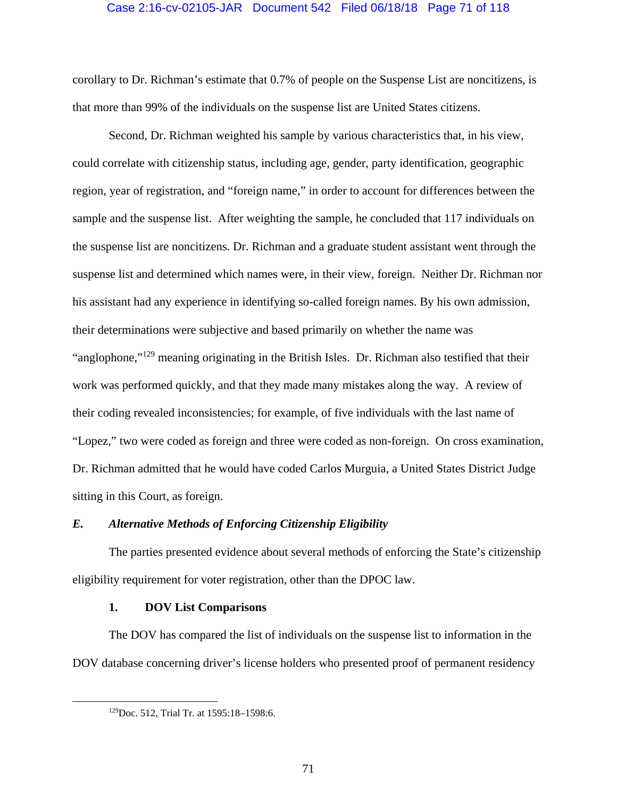### Case 2:16-cv-02105-JAR Document 542 Filed 06/18/18 Page 71 of 118

corollary to Dr. Richman's estimate that 0.7% of people on the Suspense List are noncitizens, is that more than 99% of the individuals on the suspense list are United States citizens.

Second, Dr. Richman weighted his sample by various characteristics that, in his view, could correlate with citizenship status, including age, gender, party identification, geographic region, year of registration, and "foreign name," in order to account for differences between the sample and the suspense list. After weighting the sample, he concluded that 117 individuals on the suspense list are noncitizens. Dr. Richman and a graduate student assistant went through the suspense list and determined which names were, in their view, foreign. Neither Dr. Richman nor his assistant had any experience in identifying so-called foreign names. By his own admission, their determinations were subjective and based primarily on whether the name was "anglophone,"<sup>129</sup> meaning originating in the British Isles. Dr. Richman also testified that their work was performed quickly, and that they made many mistakes along the way. A review of their coding revealed inconsistencies; for example, of five individuals with the last name of "Lopez," two were coded as foreign and three were coded as non-foreign. On cross examination, Dr. Richman admitted that he would have coded Carlos Murguia, a United States District Judge sitting in this Court, as foreign.

## *E. Alternative Methods of Enforcing Citizenship Eligibility*

The parties presented evidence about several methods of enforcing the State's citizenship eligibility requirement for voter registration, other than the DPOC law.

### **1. DOV List Comparisons**

The DOV has compared the list of individuals on the suspense list to information in the DOV database concerning driver's license holders who presented proof of permanent residency

 <sup>129</sup>Doc. 512, Trial Tr. at 1595:18–1598:6.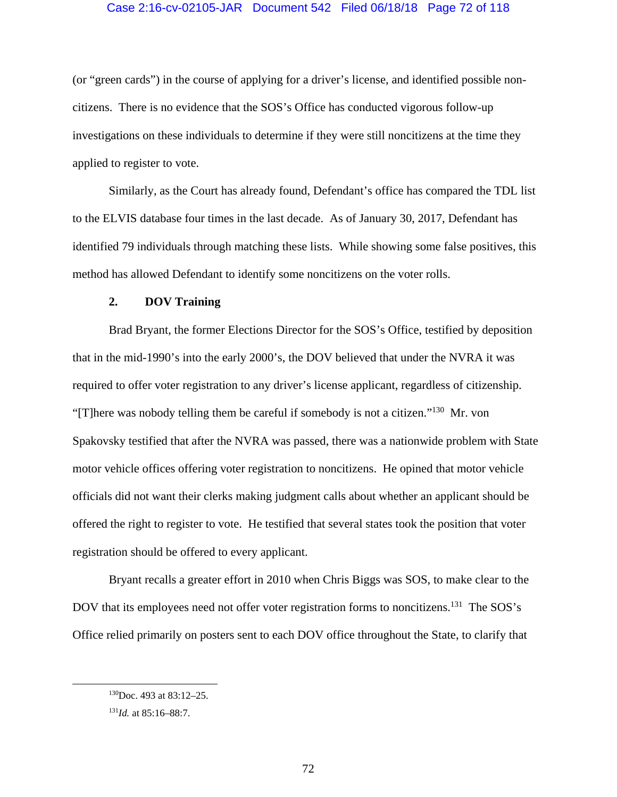### Case 2:16-cv-02105-JAR Document 542 Filed 06/18/18 Page 72 of 118

(or "green cards") in the course of applying for a driver's license, and identified possible noncitizens. There is no evidence that the SOS's Office has conducted vigorous follow-up investigations on these individuals to determine if they were still noncitizens at the time they applied to register to vote.

Similarly, as the Court has already found, Defendant's office has compared the TDL list to the ELVIS database four times in the last decade. As of January 30, 2017, Defendant has identified 79 individuals through matching these lists. While showing some false positives, this method has allowed Defendant to identify some noncitizens on the voter rolls.

### **2. DOV Training**

Brad Bryant, the former Elections Director for the SOS's Office, testified by deposition that in the mid-1990's into the early 2000's, the DOV believed that under the NVRA it was required to offer voter registration to any driver's license applicant, regardless of citizenship. "[T]here was nobody telling them be careful if somebody is not a citizen."130 Mr. von Spakovsky testified that after the NVRA was passed, there was a nationwide problem with State motor vehicle offices offering voter registration to noncitizens. He opined that motor vehicle officials did not want their clerks making judgment calls about whether an applicant should be offered the right to register to vote. He testified that several states took the position that voter registration should be offered to every applicant.

Bryant recalls a greater effort in 2010 when Chris Biggs was SOS, to make clear to the DOV that its employees need not offer voter registration forms to noncitizens.<sup>131</sup> The SOS's Office relied primarily on posters sent to each DOV office throughout the State, to clarify that

 <sup>130</sup>Doc. 493 at 83:12–25.

<sup>131</sup>*Id.* at 85:16–88:7.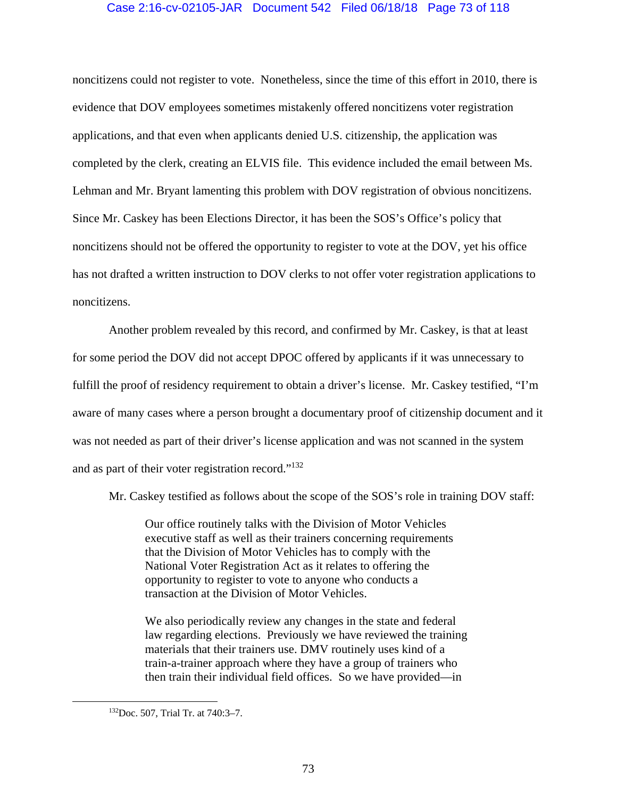## Case 2:16-cv-02105-JAR Document 542 Filed 06/18/18 Page 73 of 118

noncitizens could not register to vote. Nonetheless, since the time of this effort in 2010, there is evidence that DOV employees sometimes mistakenly offered noncitizens voter registration applications, and that even when applicants denied U.S. citizenship, the application was completed by the clerk, creating an ELVIS file. This evidence included the email between Ms. Lehman and Mr. Bryant lamenting this problem with DOV registration of obvious noncitizens. Since Mr. Caskey has been Elections Director, it has been the SOS's Office's policy that noncitizens should not be offered the opportunity to register to vote at the DOV, yet his office has not drafted a written instruction to DOV clerks to not offer voter registration applications to noncitizens.

Another problem revealed by this record, and confirmed by Mr. Caskey, is that at least for some period the DOV did not accept DPOC offered by applicants if it was unnecessary to fulfill the proof of residency requirement to obtain a driver's license. Mr. Caskey testified, "I'm aware of many cases where a person brought a documentary proof of citizenship document and it was not needed as part of their driver's license application and was not scanned in the system and as part of their voter registration record."132

Mr. Caskey testified as follows about the scope of the SOS's role in training DOV staff:

Our office routinely talks with the Division of Motor Vehicles executive staff as well as their trainers concerning requirements that the Division of Motor Vehicles has to comply with the National Voter Registration Act as it relates to offering the opportunity to register to vote to anyone who conducts a transaction at the Division of Motor Vehicles.

We also periodically review any changes in the state and federal law regarding elections. Previously we have reviewed the training materials that their trainers use. DMV routinely uses kind of a train-a-trainer approach where they have a group of trainers who then train their individual field offices. So we have provided—in

 <sup>132</sup>Doc. 507, Trial Tr. at 740:3–7.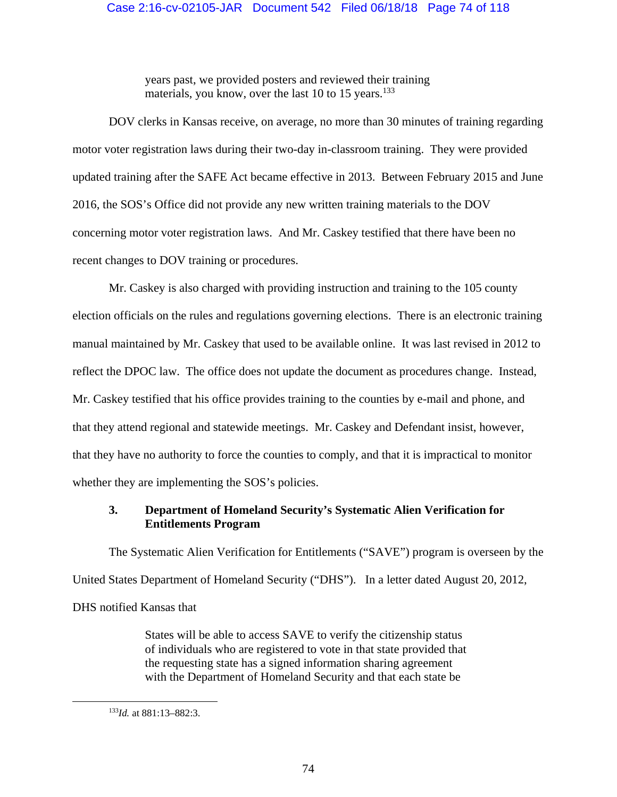## Case 2:16-cv-02105-JAR Document 542 Filed 06/18/18 Page 74 of 118

years past, we provided posters and reviewed their training materials, you know, over the last 10 to 15 years.<sup>133</sup>

DOV clerks in Kansas receive, on average, no more than 30 minutes of training regarding motor voter registration laws during their two-day in-classroom training. They were provided updated training after the SAFE Act became effective in 2013. Between February 2015 and June 2016, the SOS's Office did not provide any new written training materials to the DOV concerning motor voter registration laws. And Mr. Caskey testified that there have been no recent changes to DOV training or procedures.

Mr. Caskey is also charged with providing instruction and training to the 105 county election officials on the rules and regulations governing elections. There is an electronic training manual maintained by Mr. Caskey that used to be available online. It was last revised in 2012 to reflect the DPOC law. The office does not update the document as procedures change. Instead, Mr. Caskey testified that his office provides training to the counties by e-mail and phone, and that they attend regional and statewide meetings. Mr. Caskey and Defendant insist, however, that they have no authority to force the counties to comply, and that it is impractical to monitor whether they are implementing the SOS's policies.

# **3. Department of Homeland Security's Systematic Alien Verification for Entitlements Program**

The Systematic Alien Verification for Entitlements ("SAVE") program is overseen by the United States Department of Homeland Security ("DHS"). In a letter dated August 20, 2012, DHS notified Kansas that

> States will be able to access SAVE to verify the citizenship status of individuals who are registered to vote in that state provided that the requesting state has a signed information sharing agreement with the Department of Homeland Security and that each state be

 <sup>133</sup>*Id.* at 881:13–882:3.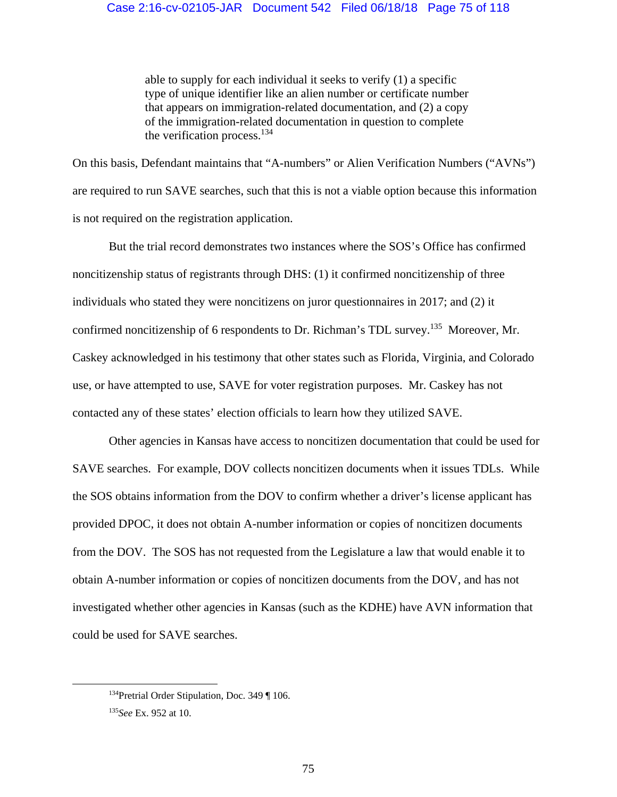able to supply for each individual it seeks to verify (1) a specific type of unique identifier like an alien number or certificate number that appears on immigration-related documentation, and (2) a copy of the immigration-related documentation in question to complete the verification process. $134$ 

On this basis, Defendant maintains that "A-numbers" or Alien Verification Numbers ("AVNs") are required to run SAVE searches, such that this is not a viable option because this information is not required on the registration application.

But the trial record demonstrates two instances where the SOS's Office has confirmed noncitizenship status of registrants through DHS: (1) it confirmed noncitizenship of three individuals who stated they were noncitizens on juror questionnaires in 2017; and (2) it confirmed noncitizenship of 6 respondents to Dr. Richman's TDL survey.<sup>135</sup> Moreover, Mr. Caskey acknowledged in his testimony that other states such as Florida, Virginia, and Colorado use, or have attempted to use, SAVE for voter registration purposes. Mr. Caskey has not contacted any of these states' election officials to learn how they utilized SAVE.

Other agencies in Kansas have access to noncitizen documentation that could be used for SAVE searches. For example, DOV collects noncitizen documents when it issues TDLs. While the SOS obtains information from the DOV to confirm whether a driver's license applicant has provided DPOC, it does not obtain A-number information or copies of noncitizen documents from the DOV. The SOS has not requested from the Legislature a law that would enable it to obtain A-number information or copies of noncitizen documents from the DOV, and has not investigated whether other agencies in Kansas (such as the KDHE) have AVN information that could be used for SAVE searches.

<sup>&</sup>lt;sup>134</sup>Pretrial Order Stipulation, Doc. 349 ¶ 106.

<sup>135</sup>*See* Ex. 952 at 10.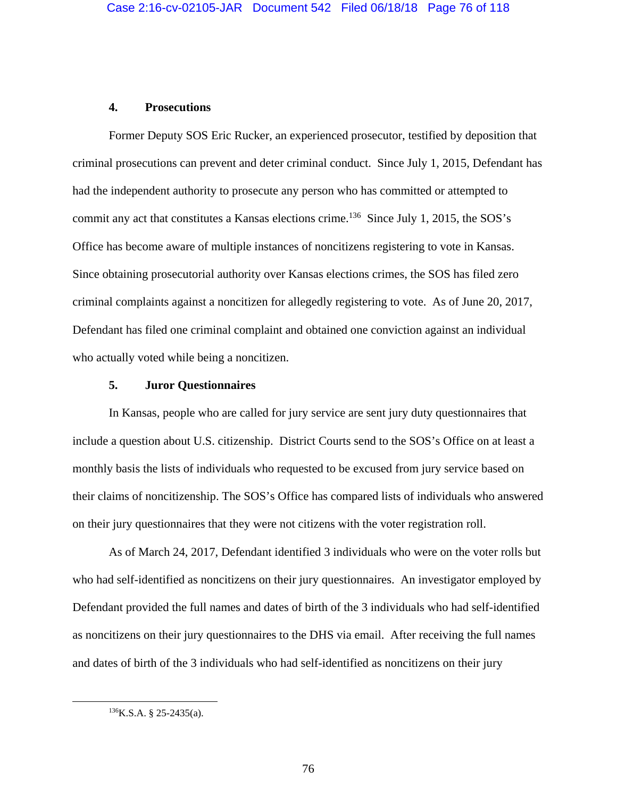## **4. Prosecutions**

Former Deputy SOS Eric Rucker, an experienced prosecutor, testified by deposition that criminal prosecutions can prevent and deter criminal conduct. Since July 1, 2015, Defendant has had the independent authority to prosecute any person who has committed or attempted to commit any act that constitutes a Kansas elections crime.<sup>136</sup> Since July 1, 2015, the SOS's Office has become aware of multiple instances of noncitizens registering to vote in Kansas. Since obtaining prosecutorial authority over Kansas elections crimes, the SOS has filed zero criminal complaints against a noncitizen for allegedly registering to vote. As of June 20, 2017, Defendant has filed one criminal complaint and obtained one conviction against an individual who actually voted while being a noncitizen.

## **5. Juror Questionnaires**

In Kansas, people who are called for jury service are sent jury duty questionnaires that include a question about U.S. citizenship. District Courts send to the SOS's Office on at least a monthly basis the lists of individuals who requested to be excused from jury service based on their claims of noncitizenship. The SOS's Office has compared lists of individuals who answered on their jury questionnaires that they were not citizens with the voter registration roll.

As of March 24, 2017, Defendant identified 3 individuals who were on the voter rolls but who had self-identified as noncitizens on their jury questionnaires. An investigator employed by Defendant provided the full names and dates of birth of the 3 individuals who had self-identified as noncitizens on their jury questionnaires to the DHS via email. After receiving the full names and dates of birth of the 3 individuals who had self-identified as noncitizens on their jury

 $136$ K.S.A. § 25-2435(a).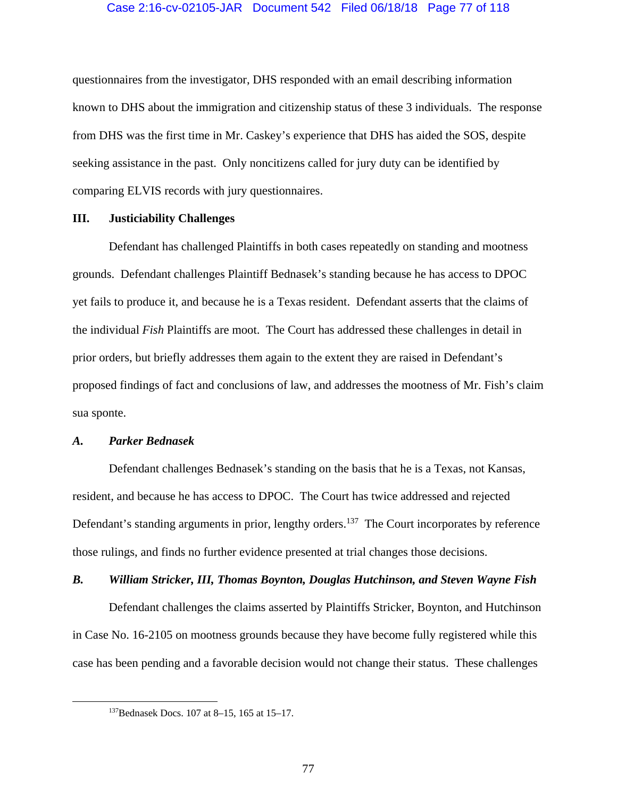## Case 2:16-cv-02105-JAR Document 542 Filed 06/18/18 Page 77 of 118

questionnaires from the investigator, DHS responded with an email describing information known to DHS about the immigration and citizenship status of these 3 individuals. The response from DHS was the first time in Mr. Caskey's experience that DHS has aided the SOS, despite seeking assistance in the past. Only noncitizens called for jury duty can be identified by comparing ELVIS records with jury questionnaires.

## **III. Justiciability Challenges**

Defendant has challenged Plaintiffs in both cases repeatedly on standing and mootness grounds. Defendant challenges Plaintiff Bednasek's standing because he has access to DPOC yet fails to produce it, and because he is a Texas resident. Defendant asserts that the claims of the individual *Fish* Plaintiffs are moot. The Court has addressed these challenges in detail in prior orders, but briefly addresses them again to the extent they are raised in Defendant's proposed findings of fact and conclusions of law, and addresses the mootness of Mr. Fish's claim sua sponte.

#### *A. Parker Bednasek*

Defendant challenges Bednasek's standing on the basis that he is a Texas, not Kansas, resident, and because he has access to DPOC. The Court has twice addressed and rejected Defendant's standing arguments in prior, lengthy orders.<sup>137</sup> The Court incorporates by reference those rulings, and finds no further evidence presented at trial changes those decisions.

## *B. William Stricker, III, Thomas Boynton, Douglas Hutchinson, and Steven Wayne Fish*

Defendant challenges the claims asserted by Plaintiffs Stricker, Boynton, and Hutchinson in Case No. 16-2105 on mootness grounds because they have become fully registered while this case has been pending and a favorable decision would not change their status. These challenges

 <sup>137</sup>Bednasek Docs. 107 at 8–15, 165 at 15–17.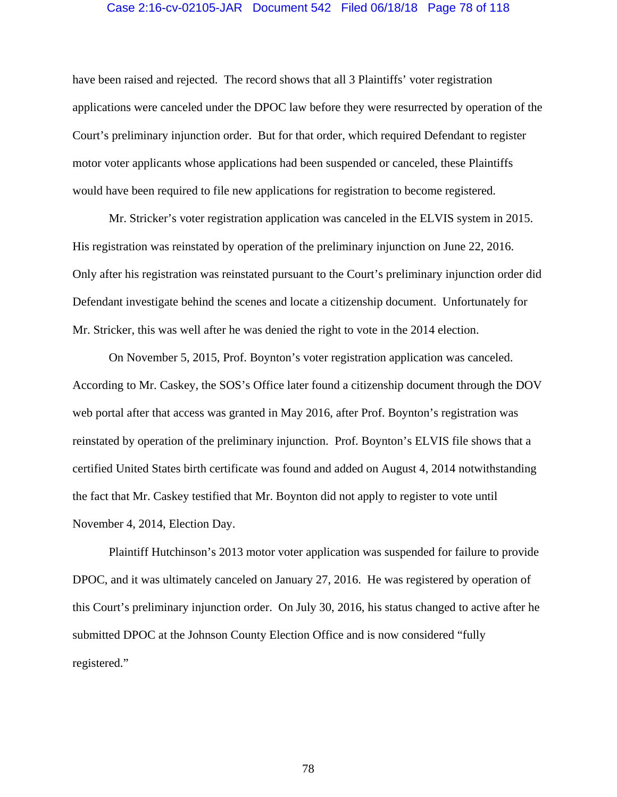### Case 2:16-cv-02105-JAR Document 542 Filed 06/18/18 Page 78 of 118

have been raised and rejected. The record shows that all 3 Plaintiffs' voter registration applications were canceled under the DPOC law before they were resurrected by operation of the Court's preliminary injunction order. But for that order, which required Defendant to register motor voter applicants whose applications had been suspended or canceled, these Plaintiffs would have been required to file new applications for registration to become registered.

Mr. Stricker's voter registration application was canceled in the ELVIS system in 2015. His registration was reinstated by operation of the preliminary injunction on June 22, 2016. Only after his registration was reinstated pursuant to the Court's preliminary injunction order did Defendant investigate behind the scenes and locate a citizenship document. Unfortunately for Mr. Stricker, this was well after he was denied the right to vote in the 2014 election.

On November 5, 2015, Prof. Boynton's voter registration application was canceled. According to Mr. Caskey, the SOS's Office later found a citizenship document through the DOV web portal after that access was granted in May 2016, after Prof. Boynton's registration was reinstated by operation of the preliminary injunction. Prof. Boynton's ELVIS file shows that a certified United States birth certificate was found and added on August 4, 2014 notwithstanding the fact that Mr. Caskey testified that Mr. Boynton did not apply to register to vote until November 4, 2014, Election Day.

Plaintiff Hutchinson's 2013 motor voter application was suspended for failure to provide DPOC, and it was ultimately canceled on January 27, 2016. He was registered by operation of this Court's preliminary injunction order. On July 30, 2016, his status changed to active after he submitted DPOC at the Johnson County Election Office and is now considered "fully registered."

78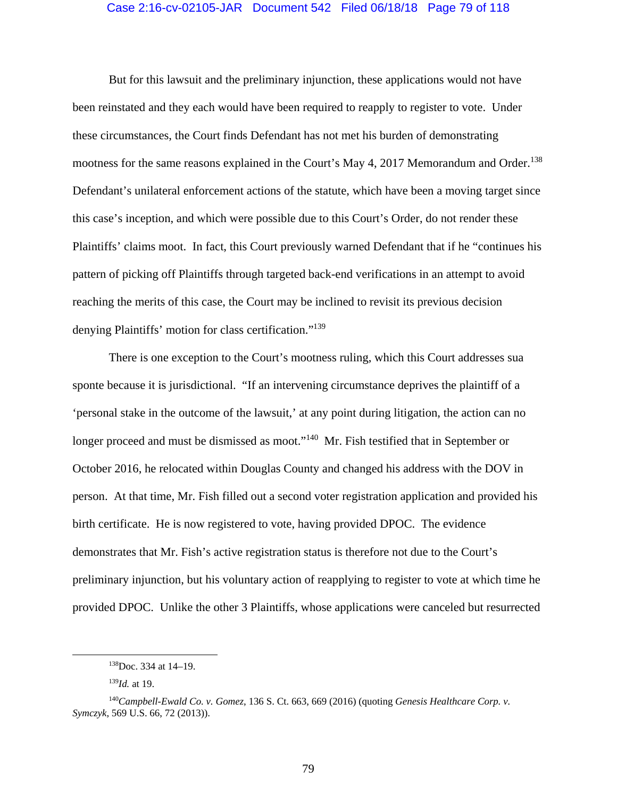#### Case 2:16-cv-02105-JAR Document 542 Filed 06/18/18 Page 79 of 118

 But for this lawsuit and the preliminary injunction, these applications would not have been reinstated and they each would have been required to reapply to register to vote. Under these circumstances, the Court finds Defendant has not met his burden of demonstrating mootness for the same reasons explained in the Court's May 4, 2017 Memorandum and Order.<sup>138</sup> Defendant's unilateral enforcement actions of the statute, which have been a moving target since this case's inception, and which were possible due to this Court's Order, do not render these Plaintiffs' claims moot. In fact, this Court previously warned Defendant that if he "continues his pattern of picking off Plaintiffs through targeted back-end verifications in an attempt to avoid reaching the merits of this case, the Court may be inclined to revisit its previous decision denying Plaintiffs' motion for class certification."139

There is one exception to the Court's mootness ruling, which this Court addresses sua sponte because it is jurisdictional. "If an intervening circumstance deprives the plaintiff of a 'personal stake in the outcome of the lawsuit,' at any point during litigation, the action can no longer proceed and must be dismissed as moot."<sup>140</sup> Mr. Fish testified that in September or October 2016, he relocated within Douglas County and changed his address with the DOV in person. At that time, Mr. Fish filled out a second voter registration application and provided his birth certificate. He is now registered to vote, having provided DPOC. The evidence demonstrates that Mr. Fish's active registration status is therefore not due to the Court's preliminary injunction, but his voluntary action of reapplying to register to vote at which time he provided DPOC. Unlike the other 3 Plaintiffs, whose applications were canceled but resurrected

 <sup>138</sup>Doc. 334 at 14–19.

<sup>139</sup>*Id.* at 19.

<sup>140</sup>*Campbell-Ewald Co. v. Gomez*, 136 S. Ct. 663, 669 (2016) (quoting *Genesis Healthcare Corp. v. Symczyk*, 569 U.S. 66, 72 (2013)).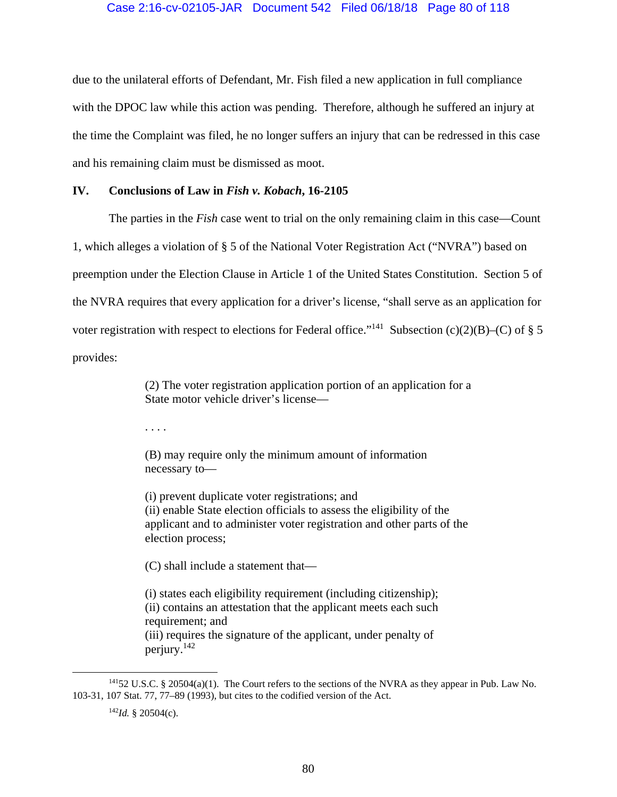## Case 2:16-cv-02105-JAR Document 542 Filed 06/18/18 Page 80 of 118

due to the unilateral efforts of Defendant, Mr. Fish filed a new application in full compliance with the DPOC law while this action was pending. Therefore, although he suffered an injury at the time the Complaint was filed, he no longer suffers an injury that can be redressed in this case and his remaining claim must be dismissed as moot.

## **IV. Conclusions of Law in** *Fish v. Kobach***, 16-2105**

The parties in the *Fish* case went to trial on the only remaining claim in this case—Count

1, which alleges a violation of § 5 of the National Voter Registration Act ("NVRA") based on

preemption under the Election Clause in Article 1 of the United States Constitution. Section 5 of

the NVRA requires that every application for a driver's license, "shall serve as an application for

voter registration with respect to elections for Federal office."<sup>141</sup> Subsection (c)(2)(B)–(C) of § 5

provides:

(2) The voter registration application portion of an application for a State motor vehicle driver's license—

. . . .

(B) may require only the minimum amount of information necessary to—

(i) prevent duplicate voter registrations; and (ii) enable State election officials to assess the eligibility of the applicant and to administer voter registration and other parts of the election process;

(C) shall include a statement that—

(i) states each eligibility requirement (including citizenship); (ii) contains an attestation that the applicant meets each such requirement; and (iii) requires the signature of the applicant, under penalty of perjury.142

 $14152$  U.S.C. § 20504(a)(1). The Court refers to the sections of the NVRA as they appear in Pub. Law No. 103-31, 107 Stat. 77, 77–89 (1993), but cites to the codified version of the Act.

<sup>142</sup>*Id.* § 20504(c).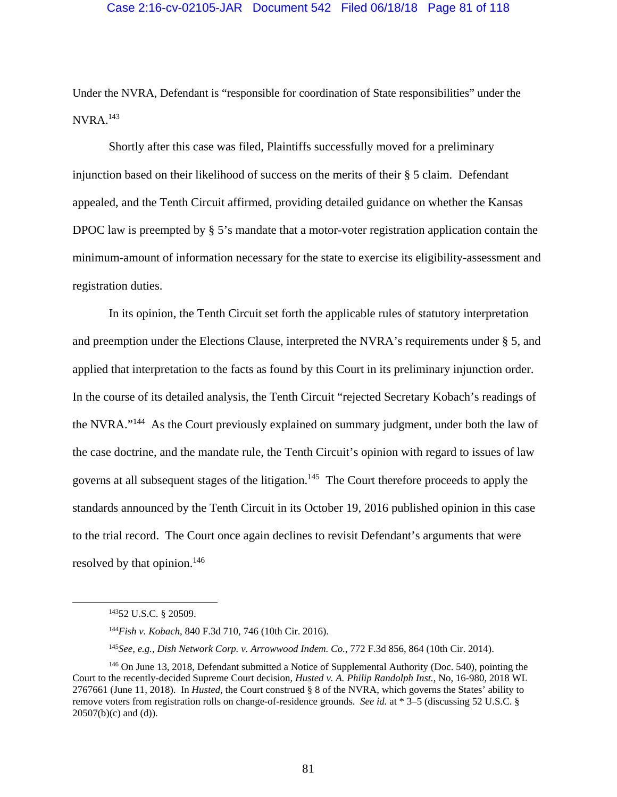### Case 2:16-cv-02105-JAR Document 542 Filed 06/18/18 Page 81 of 118

Under the NVRA, Defendant is "responsible for coordination of State responsibilities" under the  $NVRA.<sup>143</sup>$ 

Shortly after this case was filed, Plaintiffs successfully moved for a preliminary injunction based on their likelihood of success on the merits of their § 5 claim. Defendant appealed, and the Tenth Circuit affirmed, providing detailed guidance on whether the Kansas DPOC law is preempted by § 5's mandate that a motor-voter registration application contain the minimum-amount of information necessary for the state to exercise its eligibility-assessment and registration duties.

In its opinion, the Tenth Circuit set forth the applicable rules of statutory interpretation and preemption under the Elections Clause, interpreted the NVRA's requirements under § 5, and applied that interpretation to the facts as found by this Court in its preliminary injunction order. In the course of its detailed analysis, the Tenth Circuit "rejected Secretary Kobach's readings of the NVRA."144 As the Court previously explained on summary judgment, under both the law of the case doctrine, and the mandate rule, the Tenth Circuit's opinion with regard to issues of law governs at all subsequent stages of the litigation.<sup>145</sup> The Court therefore proceeds to apply the standards announced by the Tenth Circuit in its October 19, 2016 published opinion in this case to the trial record. The Court once again declines to revisit Defendant's arguments that were resolved by that opinion.<sup>146</sup>

 <sup>14352</sup> U.S.C. § 20509.

<sup>144</sup>*Fish v. Kobach*, 840 F.3d 710, 746 (10th Cir. 2016).

<sup>145</sup>*See, e.g.*, *Dish Network Corp. v. Arrowwood Indem. Co.*, 772 F.3d 856, 864 (10th Cir. 2014).

<sup>146</sup> On June 13, 2018, Defendant submitted a Notice of Supplemental Authority (Doc. 540), pointing the Court to the recently-decided Supreme Court decision, *Husted v. A. Philip Randolph Inst.*, No, 16-980, 2018 WL 2767661 (June 11, 2018). In *Husted*, the Court construed § 8 of the NVRA, which governs the States' ability to remove voters from registration rolls on change-of-residence grounds. *See id.* at \* 3–5 (discussing 52 U.S.C. §  $20507(b)(c)$  and (d)).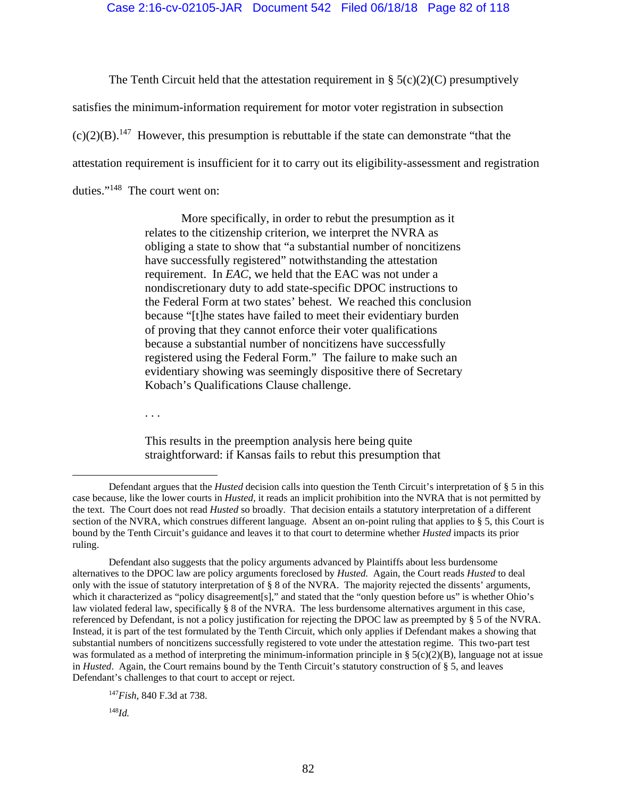The Tenth Circuit held that the attestation requirement in  $\S$  5(c)(2)(C) presumptively

satisfies the minimum-information requirement for motor voter registration in subsection

 $(c)(2)(B)$ <sup>147</sup> However, this presumption is rebuttable if the state can demonstrate "that the

attestation requirement is insufficient for it to carry out its eligibility-assessment and registration

duties."148 The court went on:

 More specifically, in order to rebut the presumption as it relates to the citizenship criterion, we interpret the NVRA as obliging a state to show that "a substantial number of noncitizens have successfully registered" notwithstanding the attestation requirement. In *EAC*, we held that the EAC was not under a nondiscretionary duty to add state-specific DPOC instructions to the Federal Form at two states' behest. We reached this conclusion because "[t]he states have failed to meet their evidentiary burden of proving that they cannot enforce their voter qualifications because a substantial number of noncitizens have successfully registered using the Federal Form." The failure to make such an evidentiary showing was seemingly dispositive there of Secretary Kobach's Qualifications Clause challenge.

. . .

This results in the preemption analysis here being quite straightforward: if Kansas fails to rebut this presumption that

82

<sup>147</sup>*Fish*, 840 F.3d at 738. <sup>148</sup>*Id.*

Defendant argues that the *Husted* decision calls into question the Tenth Circuit's interpretation of § 5 in this case because, like the lower courts in *Husted*, it reads an implicit prohibition into the NVRA that is not permitted by the text. The Court does not read *Husted* so broadly. That decision entails a statutory interpretation of a different section of the NVRA, which construes different language. Absent an on-point ruling that applies to § 5, this Court is bound by the Tenth Circuit's guidance and leaves it to that court to determine whether *Husted* impacts its prior ruling.

Defendant also suggests that the policy arguments advanced by Plaintiffs about less burdensome alternatives to the DPOC law are policy arguments foreclosed by *Husted.* Again, the Court reads *Husted* to deal only with the issue of statutory interpretation of § 8 of the NVRA. The majority rejected the dissents' arguments, which it characterized as "policy disagreement[s]," and stated that the "only question before us" is whether Ohio's law violated federal law, specifically § 8 of the NVRA. The less burdensome alternatives argument in this case, referenced by Defendant, is not a policy justification for rejecting the DPOC law as preempted by § 5 of the NVRA. Instead, it is part of the test formulated by the Tenth Circuit, which only applies if Defendant makes a showing that substantial numbers of noncitizens successfully registered to vote under the attestation regime. This two-part test was formulated as a method of interpreting the minimum-information principle in §  $5(c)(2)(B)$ , language not at issue in *Husted*. Again, the Court remains bound by the Tenth Circuit's statutory construction of § 5, and leaves Defendant's challenges to that court to accept or reject.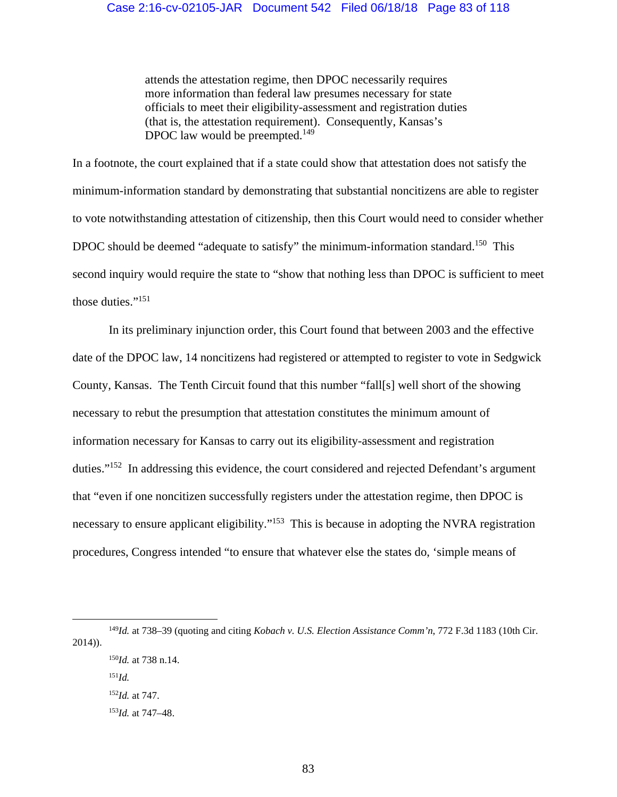attends the attestation regime, then DPOC necessarily requires more information than federal law presumes necessary for state officials to meet their eligibility-assessment and registration duties (that is, the attestation requirement). Consequently, Kansas's DPOC law would be preempted.<sup>149</sup>

In a footnote, the court explained that if a state could show that attestation does not satisfy the minimum-information standard by demonstrating that substantial noncitizens are able to register to vote notwithstanding attestation of citizenship, then this Court would need to consider whether DPOC should be deemed "adequate to satisfy" the minimum-information standard.<sup>150</sup> This second inquiry would require the state to "show that nothing less than DPOC is sufficient to meet those duties."151

 In its preliminary injunction order, this Court found that between 2003 and the effective date of the DPOC law, 14 noncitizens had registered or attempted to register to vote in Sedgwick County, Kansas. The Tenth Circuit found that this number "fall[s] well short of the showing necessary to rebut the presumption that attestation constitutes the minimum amount of information necessary for Kansas to carry out its eligibility-assessment and registration duties."152 In addressing this evidence, the court considered and rejected Defendant's argument that "even if one noncitizen successfully registers under the attestation regime, then DPOC is necessary to ensure applicant eligibility."<sup>153</sup> This is because in adopting the NVRA registration procedures, Congress intended "to ensure that whatever else the states do, 'simple means of

 <sup>149</sup>*Id.* at 738–39 (quoting and citing *Kobach v. U.S. Election Assistance Comm'n*, 772 F.3d 1183 (10th Cir. 2014)).

<sup>150</sup>*Id.* at 738 n.14.

<sup>151</sup>*Id.* <sup>152</sup>*Id.* at 747.

<sup>153</sup>*Id.* at 747–48.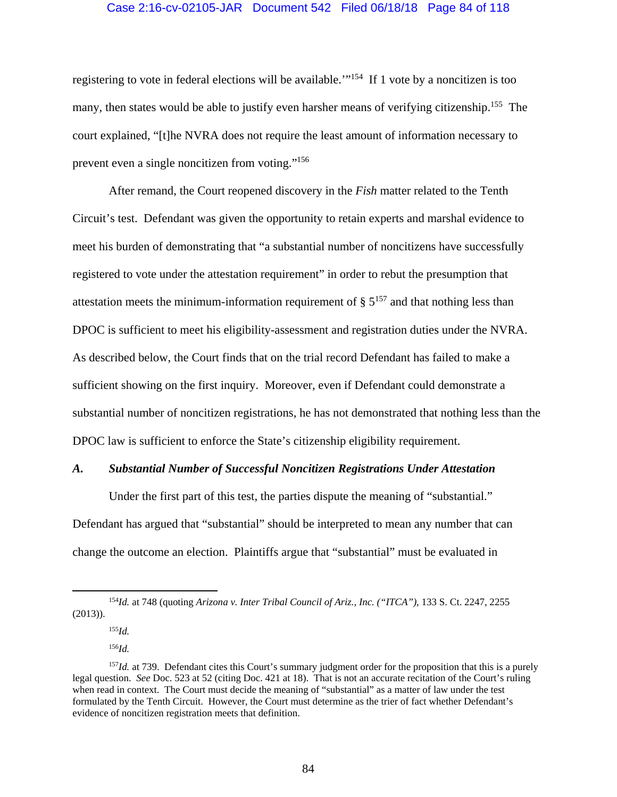## Case 2:16-cv-02105-JAR Document 542 Filed 06/18/18 Page 84 of 118

registering to vote in federal elections will be available.'"154 If 1 vote by a noncitizen is too many, then states would be able to justify even harsher means of verifying citizenship.<sup>155</sup> The court explained, "[t]he NVRA does not require the least amount of information necessary to prevent even a single noncitizen from voting."156

 After remand, the Court reopened discovery in the *Fish* matter related to the Tenth Circuit's test. Defendant was given the opportunity to retain experts and marshal evidence to meet his burden of demonstrating that "a substantial number of noncitizens have successfully registered to vote under the attestation requirement" in order to rebut the presumption that attestation meets the minimum-information requirement of  $\S 5^{157}$  and that nothing less than DPOC is sufficient to meet his eligibility-assessment and registration duties under the NVRA. As described below, the Court finds that on the trial record Defendant has failed to make a sufficient showing on the first inquiry. Moreover, even if Defendant could demonstrate a substantial number of noncitizen registrations, he has not demonstrated that nothing less than the DPOC law is sufficient to enforce the State's citizenship eligibility requirement.

#### *A. Substantial Number of Successful Noncitizen Registrations Under Attestation*

 Under the first part of this test, the parties dispute the meaning of "substantial." Defendant has argued that "substantial" should be interpreted to mean any number that can change the outcome an election. Plaintiffs argue that "substantial" must be evaluated in

<sup>155</sup>*Id.*

<sup>156</sup>*Id.*

 <sup>154</sup>*Id.* at 748 (quoting *Arizona v. Inter Tribal Council of Ariz., Inc. ("ITCA")*, 133 S. Ct. 2247, 2255 (2013)).

<sup>&</sup>lt;sup>157</sup>*Id.* at 739. Defendant cites this Court's summary judgment order for the proposition that this is a purely legal question. *See* Doc. 523 at 52 (citing Doc. 421 at 18). That is not an accurate recitation of the Court's ruling when read in context. The Court must decide the meaning of "substantial" as a matter of law under the test formulated by the Tenth Circuit. However, the Court must determine as the trier of fact whether Defendant's evidence of noncitizen registration meets that definition.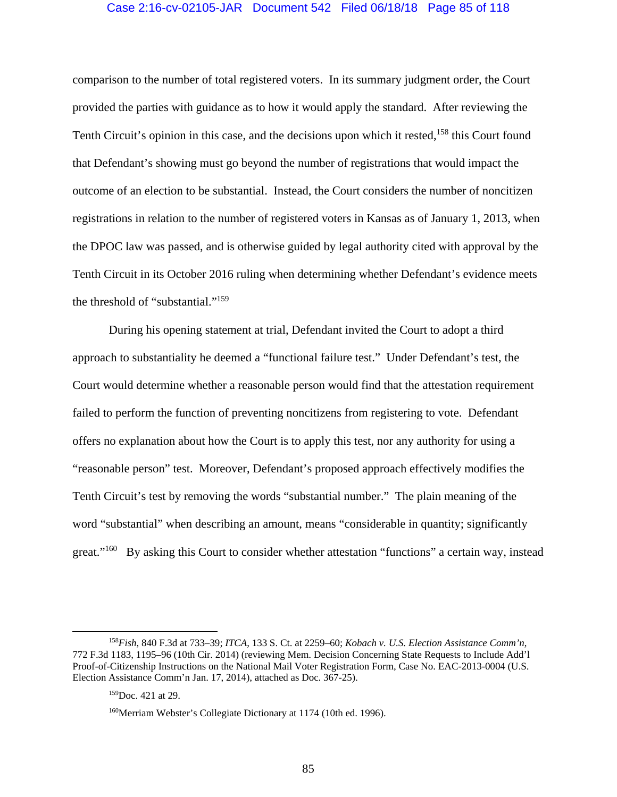#### Case 2:16-cv-02105-JAR Document 542 Filed 06/18/18 Page 85 of 118

comparison to the number of total registered voters. In its summary judgment order, the Court provided the parties with guidance as to how it would apply the standard. After reviewing the Tenth Circuit's opinion in this case, and the decisions upon which it rested,<sup>158</sup> this Court found that Defendant's showing must go beyond the number of registrations that would impact the outcome of an election to be substantial. Instead, the Court considers the number of noncitizen registrations in relation to the number of registered voters in Kansas as of January 1, 2013, when the DPOC law was passed, and is otherwise guided by legal authority cited with approval by the Tenth Circuit in its October 2016 ruling when determining whether Defendant's evidence meets the threshold of "substantial."159

 During his opening statement at trial, Defendant invited the Court to adopt a third approach to substantiality he deemed a "functional failure test." Under Defendant's test, the Court would determine whether a reasonable person would find that the attestation requirement failed to perform the function of preventing noncitizens from registering to vote. Defendant offers no explanation about how the Court is to apply this test, nor any authority for using a "reasonable person" test. Moreover, Defendant's proposed approach effectively modifies the Tenth Circuit's test by removing the words "substantial number." The plain meaning of the word "substantial" when describing an amount, means "considerable in quantity; significantly great."<sup>160</sup> By asking this Court to consider whether attestation "functions" a certain way, instead

 <sup>158</sup>*Fish*, 840 F.3d at 733–39; *ITCA*, 133 S. Ct. at 2259–60; *Kobach v. U.S. Election Assistance Comm'n*, 772 F.3d 1183, 1195–96 (10th Cir. 2014) (reviewing Mem. Decision Concerning State Requests to Include Add'l Proof-of-Citizenship Instructions on the National Mail Voter Registration Form, Case No. EAC-2013-0004 (U.S. Election Assistance Comm'n Jan. 17, 2014), attached as Doc. 367-25).

<sup>159</sup>Doc. 421 at 29.

<sup>160</sup>Merriam Webster's Collegiate Dictionary at 1174 (10th ed. 1996).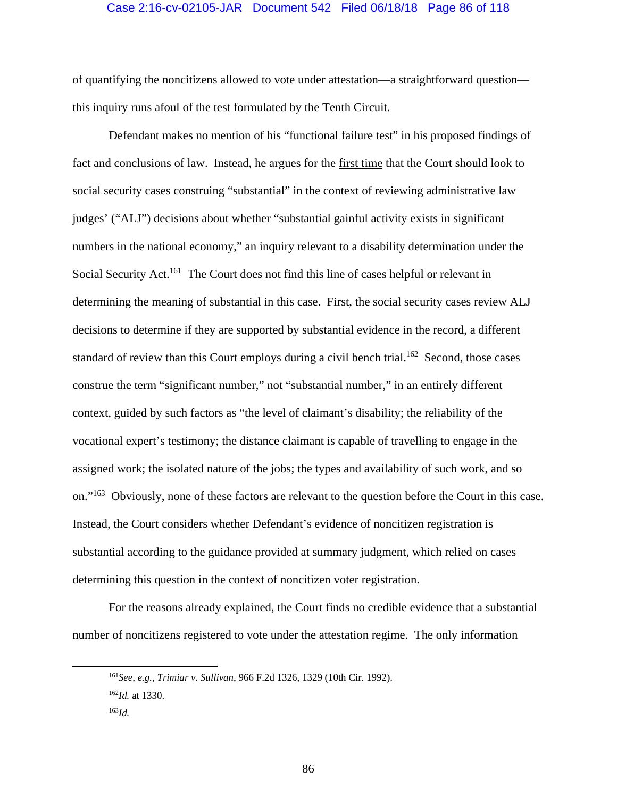#### Case 2:16-cv-02105-JAR Document 542 Filed 06/18/18 Page 86 of 118

of quantifying the noncitizens allowed to vote under attestation—a straightforward question this inquiry runs afoul of the test formulated by the Tenth Circuit.

 Defendant makes no mention of his "functional failure test" in his proposed findings of fact and conclusions of law. Instead, he argues for the first time that the Court should look to social security cases construing "substantial" in the context of reviewing administrative law judges' ("ALJ") decisions about whether "substantial gainful activity exists in significant numbers in the national economy," an inquiry relevant to a disability determination under the Social Security Act.<sup>161</sup> The Court does not find this line of cases helpful or relevant in determining the meaning of substantial in this case. First, the social security cases review ALJ decisions to determine if they are supported by substantial evidence in the record, a different standard of review than this Court employs during a civil bench trial.<sup>162</sup> Second, those cases construe the term "significant number," not "substantial number," in an entirely different context, guided by such factors as "the level of claimant's disability; the reliability of the vocational expert's testimony; the distance claimant is capable of travelling to engage in the assigned work; the isolated nature of the jobs; the types and availability of such work, and so on."163 Obviously, none of these factors are relevant to the question before the Court in this case. Instead, the Court considers whether Defendant's evidence of noncitizen registration is substantial according to the guidance provided at summary judgment, which relied on cases determining this question in the context of noncitizen voter registration.

For the reasons already explained, the Court finds no credible evidence that a substantial number of noncitizens registered to vote under the attestation regime. The only information

 <sup>161</sup>*See, e.g.*, *Trimiar v. Sullivan*, 966 F.2d 1326, 1329 (10th Cir. 1992). <sup>162</sup>*Id.* at 1330.

<sup>163</sup>*Id.*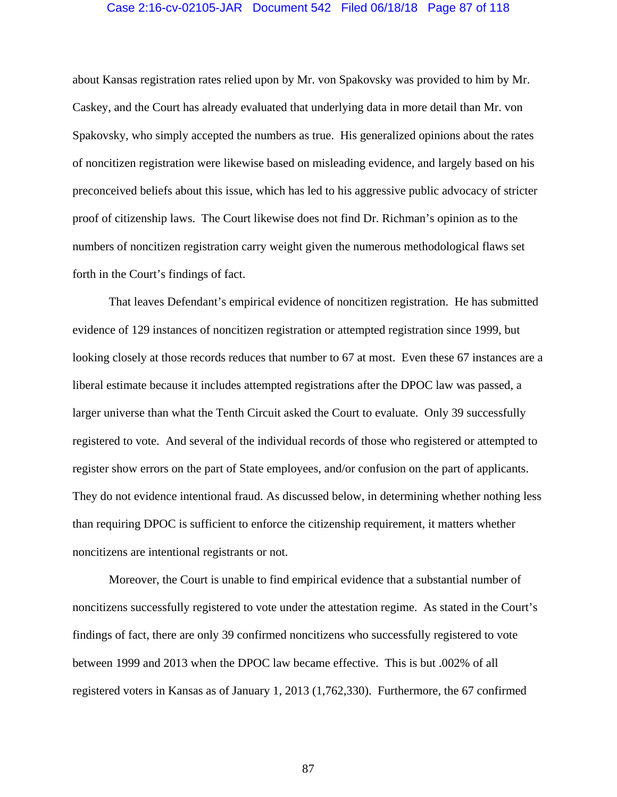#### Case 2:16-cv-02105-JAR Document 542 Filed 06/18/18 Page 87 of 118

about Kansas registration rates relied upon by Mr. von Spakovsky was provided to him by Mr. Caskey, and the Court has already evaluated that underlying data in more detail than Mr. von Spakovsky, who simply accepted the numbers as true. His generalized opinions about the rates of noncitizen registration were likewise based on misleading evidence, and largely based on his preconceived beliefs about this issue, which has led to his aggressive public advocacy of stricter proof of citizenship laws. The Court likewise does not find Dr. Richman's opinion as to the numbers of noncitizen registration carry weight given the numerous methodological flaws set forth in the Court's findings of fact.

That leaves Defendant's empirical evidence of noncitizen registration. He has submitted evidence of 129 instances of noncitizen registration or attempted registration since 1999, but looking closely at those records reduces that number to 67 at most. Even these 67 instances are a liberal estimate because it includes attempted registrations after the DPOC law was passed, a larger universe than what the Tenth Circuit asked the Court to evaluate. Only 39 successfully registered to vote. And several of the individual records of those who registered or attempted to register show errors on the part of State employees, and/or confusion on the part of applicants. They do not evidence intentional fraud. As discussed below, in determining whether nothing less than requiring DPOC is sufficient to enforce the citizenship requirement, it matters whether noncitizens are intentional registrants or not.

Moreover, the Court is unable to find empirical evidence that a substantial number of noncitizens successfully registered to vote under the attestation regime. As stated in the Court's findings of fact, there are only 39 confirmed noncitizens who successfully registered to vote between 1999 and 2013 when the DPOC law became effective. This is but .002% of all registered voters in Kansas as of January 1, 2013 (1,762,330). Furthermore, the 67 confirmed

87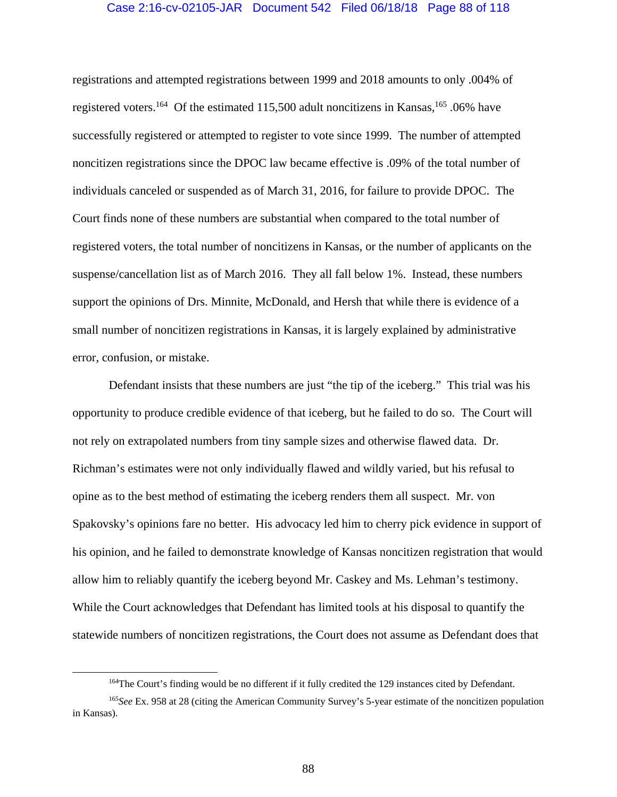#### Case 2:16-cv-02105-JAR Document 542 Filed 06/18/18 Page 88 of 118

registrations and attempted registrations between 1999 and 2018 amounts to only .004% of registered voters.<sup>164</sup> Of the estimated 115,500 adult noncitizens in Kansas,<sup>165</sup> .06% have successfully registered or attempted to register to vote since 1999. The number of attempted noncitizen registrations since the DPOC law became effective is .09% of the total number of individuals canceled or suspended as of March 31, 2016, for failure to provide DPOC. The Court finds none of these numbers are substantial when compared to the total number of registered voters, the total number of noncitizens in Kansas, or the number of applicants on the suspense/cancellation list as of March 2016. They all fall below 1%. Instead, these numbers support the opinions of Drs. Minnite, McDonald, and Hersh that while there is evidence of a small number of noncitizen registrations in Kansas, it is largely explained by administrative error, confusion, or mistake.

Defendant insists that these numbers are just "the tip of the iceberg." This trial was his opportunity to produce credible evidence of that iceberg, but he failed to do so. The Court will not rely on extrapolated numbers from tiny sample sizes and otherwise flawed data. Dr. Richman's estimates were not only individually flawed and wildly varied, but his refusal to opine as to the best method of estimating the iceberg renders them all suspect. Mr. von Spakovsky's opinions fare no better. His advocacy led him to cherry pick evidence in support of his opinion, and he failed to demonstrate knowledge of Kansas noncitizen registration that would allow him to reliably quantify the iceberg beyond Mr. Caskey and Ms. Lehman's testimony. While the Court acknowledges that Defendant has limited tools at his disposal to quantify the statewide numbers of noncitizen registrations, the Court does not assume as Defendant does that

 <sup>164</sup>The Court's finding would be no different if it fully credited the 129 instances cited by Defendant.

<sup>165</sup>*See* Ex. 958 at 28 (citing the American Community Survey's 5-year estimate of the noncitizen population in Kansas).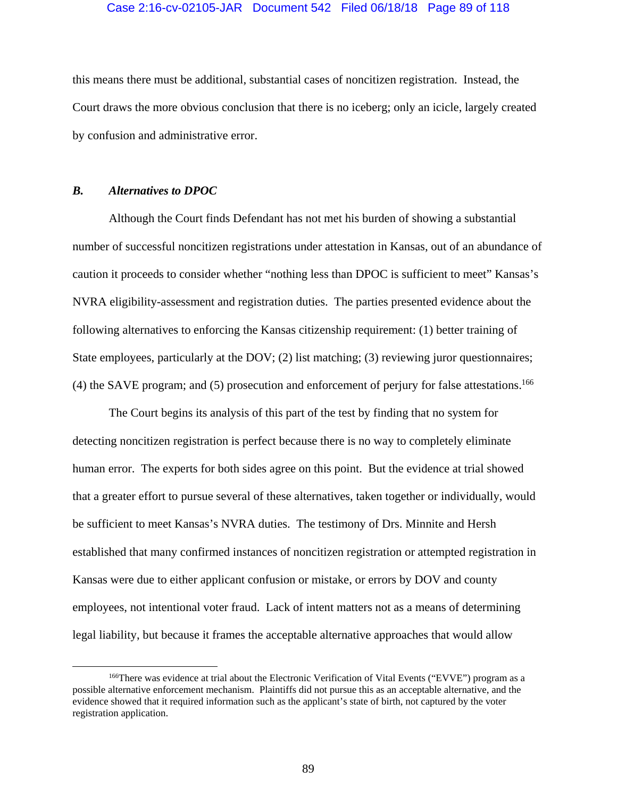#### Case 2:16-cv-02105-JAR Document 542 Filed 06/18/18 Page 89 of 118

this means there must be additional, substantial cases of noncitizen registration. Instead, the Court draws the more obvious conclusion that there is no iceberg; only an icicle, largely created by confusion and administrative error.

## *B. Alternatives to DPOC*

 Although the Court finds Defendant has not met his burden of showing a substantial number of successful noncitizen registrations under attestation in Kansas, out of an abundance of caution it proceeds to consider whether "nothing less than DPOC is sufficient to meet" Kansas's NVRA eligibility-assessment and registration duties. The parties presented evidence about the following alternatives to enforcing the Kansas citizenship requirement: (1) better training of State employees, particularly at the DOV; (2) list matching; (3) reviewing juror questionnaires; (4) the SAVE program; and (5) prosecution and enforcement of perjury for false attestations.166

 The Court begins its analysis of this part of the test by finding that no system for detecting noncitizen registration is perfect because there is no way to completely eliminate human error. The experts for both sides agree on this point. But the evidence at trial showed that a greater effort to pursue several of these alternatives, taken together or individually, would be sufficient to meet Kansas's NVRA duties. The testimony of Drs. Minnite and Hersh established that many confirmed instances of noncitizen registration or attempted registration in Kansas were due to either applicant confusion or mistake, or errors by DOV and county employees, not intentional voter fraud. Lack of intent matters not as a means of determining legal liability, but because it frames the acceptable alternative approaches that would allow

<sup>&</sup>lt;sup>166</sup>There was evidence at trial about the Electronic Verification of Vital Events ("EVVE") program as a possible alternative enforcement mechanism. Plaintiffs did not pursue this as an acceptable alternative, and the evidence showed that it required information such as the applicant's state of birth, not captured by the voter registration application.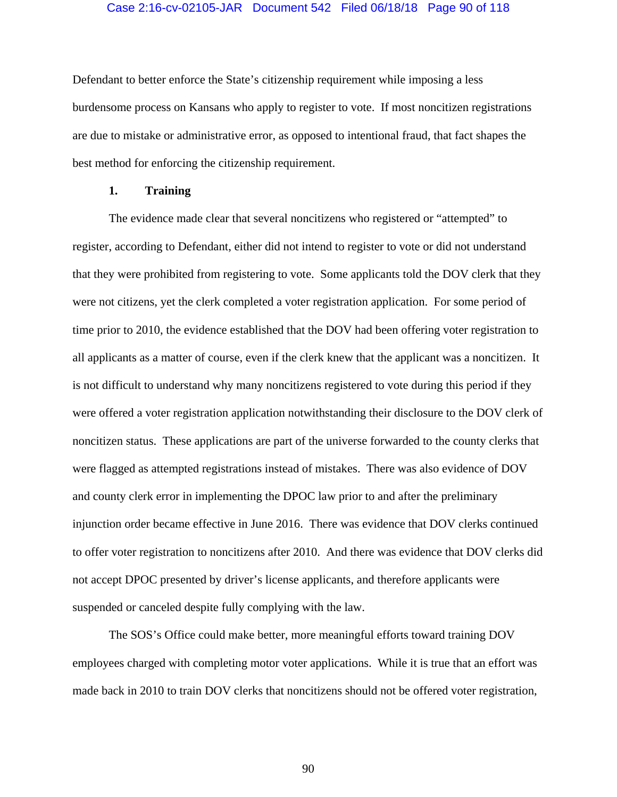#### Case 2:16-cv-02105-JAR Document 542 Filed 06/18/18 Page 90 of 118

Defendant to better enforce the State's citizenship requirement while imposing a less burdensome process on Kansans who apply to register to vote. If most noncitizen registrations are due to mistake or administrative error, as opposed to intentional fraud, that fact shapes the best method for enforcing the citizenship requirement.

## **1. Training**

 The evidence made clear that several noncitizens who registered or "attempted" to register, according to Defendant, either did not intend to register to vote or did not understand that they were prohibited from registering to vote. Some applicants told the DOV clerk that they were not citizens, yet the clerk completed a voter registration application. For some period of time prior to 2010, the evidence established that the DOV had been offering voter registration to all applicants as a matter of course, even if the clerk knew that the applicant was a noncitizen. It is not difficult to understand why many noncitizens registered to vote during this period if they were offered a voter registration application notwithstanding their disclosure to the DOV clerk of noncitizen status. These applications are part of the universe forwarded to the county clerks that were flagged as attempted registrations instead of mistakes. There was also evidence of DOV and county clerk error in implementing the DPOC law prior to and after the preliminary injunction order became effective in June 2016. There was evidence that DOV clerks continued to offer voter registration to noncitizens after 2010. And there was evidence that DOV clerks did not accept DPOC presented by driver's license applicants, and therefore applicants were suspended or canceled despite fully complying with the law.

The SOS's Office could make better, more meaningful efforts toward training DOV employees charged with completing motor voter applications. While it is true that an effort was made back in 2010 to train DOV clerks that noncitizens should not be offered voter registration,

90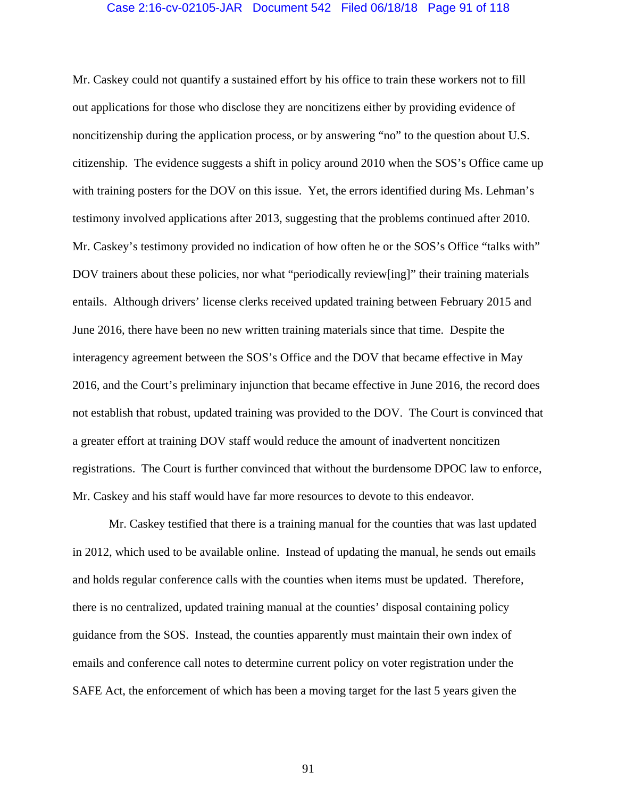#### Case 2:16-cv-02105-JAR Document 542 Filed 06/18/18 Page 91 of 118

Mr. Caskey could not quantify a sustained effort by his office to train these workers not to fill out applications for those who disclose they are noncitizens either by providing evidence of noncitizenship during the application process, or by answering "no" to the question about U.S. citizenship. The evidence suggests a shift in policy around 2010 when the SOS's Office came up with training posters for the DOV on this issue. Yet, the errors identified during Ms. Lehman's testimony involved applications after 2013, suggesting that the problems continued after 2010. Mr. Caskey's testimony provided no indication of how often he or the SOS's Office "talks with" DOV trainers about these policies, nor what "periodically review[ing]" their training materials entails. Although drivers' license clerks received updated training between February 2015 and June 2016, there have been no new written training materials since that time. Despite the interagency agreement between the SOS's Office and the DOV that became effective in May 2016, and the Court's preliminary injunction that became effective in June 2016, the record does not establish that robust, updated training was provided to the DOV. The Court is convinced that a greater effort at training DOV staff would reduce the amount of inadvertent noncitizen registrations. The Court is further convinced that without the burdensome DPOC law to enforce, Mr. Caskey and his staff would have far more resources to devote to this endeavor.

Mr. Caskey testified that there is a training manual for the counties that was last updated in 2012, which used to be available online. Instead of updating the manual, he sends out emails and holds regular conference calls with the counties when items must be updated. Therefore, there is no centralized, updated training manual at the counties' disposal containing policy guidance from the SOS. Instead, the counties apparently must maintain their own index of emails and conference call notes to determine current policy on voter registration under the SAFE Act, the enforcement of which has been a moving target for the last 5 years given the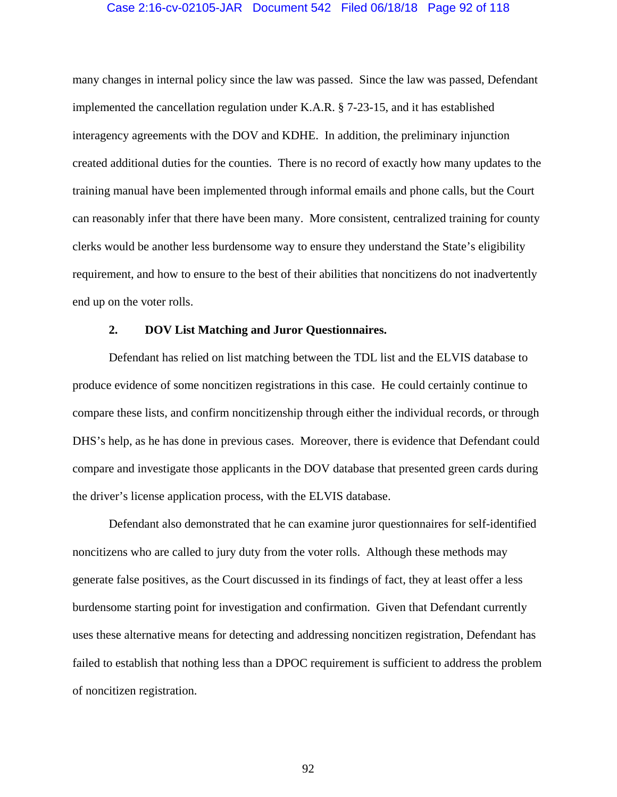#### Case 2:16-cv-02105-JAR Document 542 Filed 06/18/18 Page 92 of 118

many changes in internal policy since the law was passed. Since the law was passed, Defendant implemented the cancellation regulation under K.A.R. § 7-23-15, and it has established interagency agreements with the DOV and KDHE. In addition, the preliminary injunction created additional duties for the counties. There is no record of exactly how many updates to the training manual have been implemented through informal emails and phone calls, but the Court can reasonably infer that there have been many. More consistent, centralized training for county clerks would be another less burdensome way to ensure they understand the State's eligibility requirement, and how to ensure to the best of their abilities that noncitizens do not inadvertently end up on the voter rolls.

#### **2. DOV List Matching and Juror Questionnaires.**

Defendant has relied on list matching between the TDL list and the ELVIS database to produce evidence of some noncitizen registrations in this case. He could certainly continue to compare these lists, and confirm noncitizenship through either the individual records, or through DHS's help, as he has done in previous cases. Moreover, there is evidence that Defendant could compare and investigate those applicants in the DOV database that presented green cards during the driver's license application process, with the ELVIS database.

Defendant also demonstrated that he can examine juror questionnaires for self-identified noncitizens who are called to jury duty from the voter rolls. Although these methods may generate false positives, as the Court discussed in its findings of fact, they at least offer a less burdensome starting point for investigation and confirmation. Given that Defendant currently uses these alternative means for detecting and addressing noncitizen registration, Defendant has failed to establish that nothing less than a DPOC requirement is sufficient to address the problem of noncitizen registration.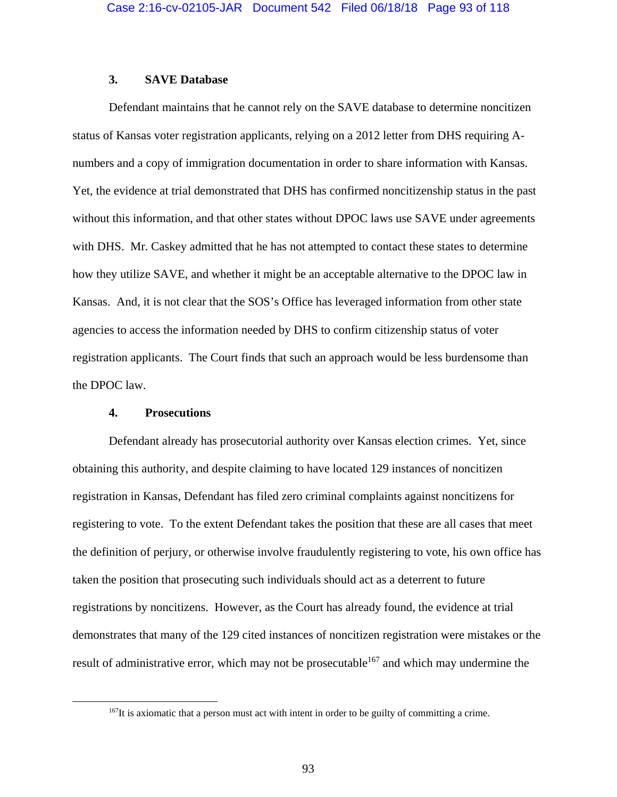## **3. SAVE Database**

Defendant maintains that he cannot rely on the SAVE database to determine noncitizen status of Kansas voter registration applicants, relying on a 2012 letter from DHS requiring Anumbers and a copy of immigration documentation in order to share information with Kansas. Yet, the evidence at trial demonstrated that DHS has confirmed noncitizenship status in the past without this information, and that other states without DPOC laws use SAVE under agreements with DHS. Mr. Caskey admitted that he has not attempted to contact these states to determine how they utilize SAVE, and whether it might be an acceptable alternative to the DPOC law in Kansas. And, it is not clear that the SOS's Office has leveraged information from other state agencies to access the information needed by DHS to confirm citizenship status of voter registration applicants. The Court finds that such an approach would be less burdensome than the DPOC law.

#### **4. Prosecutions**

Defendant already has prosecutorial authority over Kansas election crimes. Yet, since obtaining this authority, and despite claiming to have located 129 instances of noncitizen registration in Kansas, Defendant has filed zero criminal complaints against noncitizens for registering to vote. To the extent Defendant takes the position that these are all cases that meet the definition of perjury, or otherwise involve fraudulently registering to vote, his own office has taken the position that prosecuting such individuals should act as a deterrent to future registrations by noncitizens. However, as the Court has already found, the evidence at trial demonstrates that many of the 129 cited instances of noncitizen registration were mistakes or the result of administrative error, which may not be prosecutable<sup>167</sup> and which may undermine the

<sup>&</sup>lt;sup>167</sup>It is axiomatic that a person must act with intent in order to be guilty of committing a crime.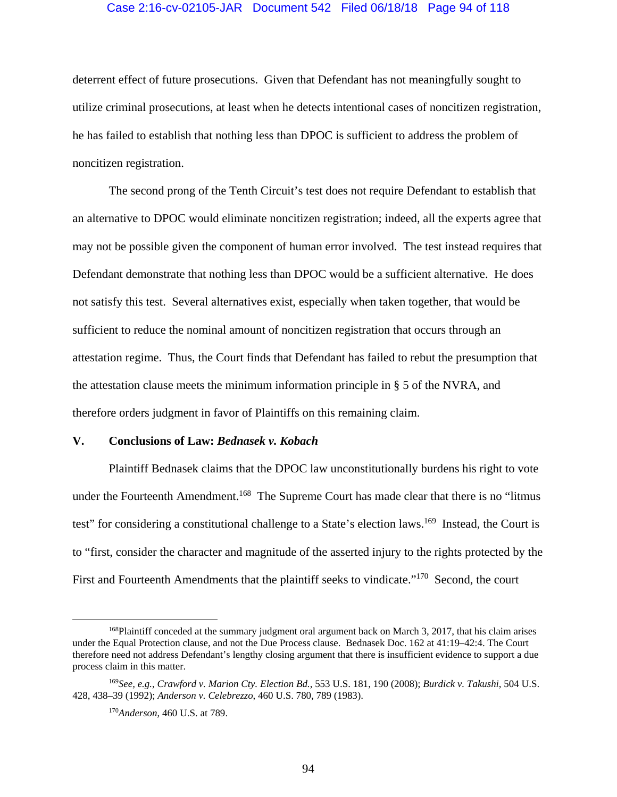#### Case 2:16-cv-02105-JAR Document 542 Filed 06/18/18 Page 94 of 118

deterrent effect of future prosecutions. Given that Defendant has not meaningfully sought to utilize criminal prosecutions, at least when he detects intentional cases of noncitizen registration, he has failed to establish that nothing less than DPOC is sufficient to address the problem of noncitizen registration.

The second prong of the Tenth Circuit's test does not require Defendant to establish that an alternative to DPOC would eliminate noncitizen registration; indeed, all the experts agree that may not be possible given the component of human error involved. The test instead requires that Defendant demonstrate that nothing less than DPOC would be a sufficient alternative. He does not satisfy this test. Several alternatives exist, especially when taken together, that would be sufficient to reduce the nominal amount of noncitizen registration that occurs through an attestation regime. Thus, the Court finds that Defendant has failed to rebut the presumption that the attestation clause meets the minimum information principle in § 5 of the NVRA, and therefore orders judgment in favor of Plaintiffs on this remaining claim.

#### **V. Conclusions of Law:** *Bednasek v. Kobach*

 Plaintiff Bednasek claims that the DPOC law unconstitutionally burdens his right to vote under the Fourteenth Amendment.<sup>168</sup> The Supreme Court has made clear that there is no "litmus" test" for considering a constitutional challenge to a State's election laws.<sup>169</sup> Instead, the Court is to "first, consider the character and magnitude of the asserted injury to the rights protected by the First and Fourteenth Amendments that the plaintiff seeks to vindicate."<sup>170</sup> Second, the court

<sup>&</sup>lt;sup>168</sup>Plaintiff conceded at the summary judgment oral argument back on March 3, 2017, that his claim arises under the Equal Protection clause, and not the Due Process clause. Bednasek Doc. 162 at 41:19–42:4. The Court therefore need not address Defendant's lengthy closing argument that there is insufficient evidence to support a due process claim in this matter.

<sup>169</sup>*See, e.g.*, *Crawford v. Marion Cty. Election Bd.*, 553 U.S. 181, 190 (2008); *Burdick v. Takushi*, 504 U.S. 428, 438–39 (1992); *Anderson v. Celebrezzo*, 460 U.S. 780, 789 (1983).

<sup>170</sup>*Anderson*, 460 U.S. at 789.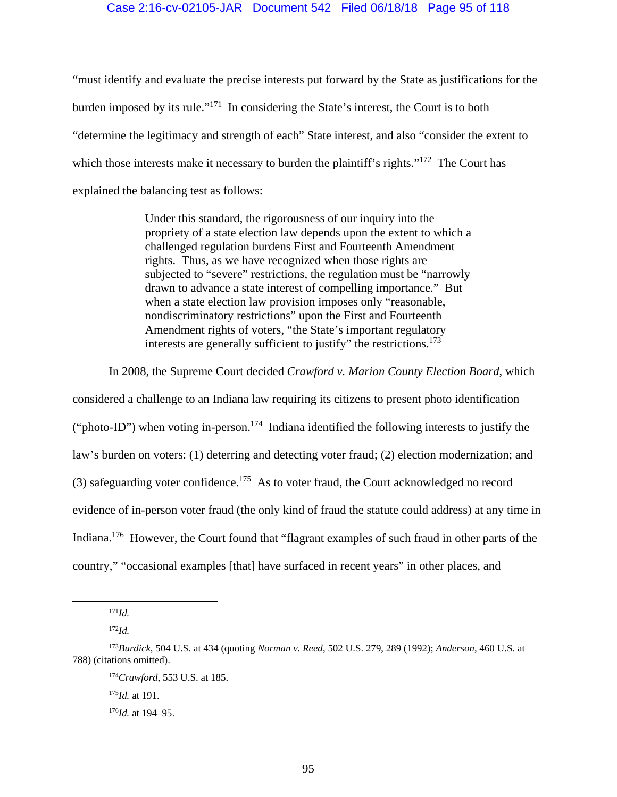"must identify and evaluate the precise interests put forward by the State as justifications for the burden imposed by its rule."171 In considering the State's interest, the Court is to both "determine the legitimacy and strength of each" State interest, and also "consider the extent to which those interests make it necessary to burden the plaintiff's rights."<sup>172</sup> The Court has explained the balancing test as follows:

> Under this standard, the rigorousness of our inquiry into the propriety of a state election law depends upon the extent to which a challenged regulation burdens First and Fourteenth Amendment rights. Thus, as we have recognized when those rights are subjected to "severe" restrictions, the regulation must be "narrowly drawn to advance a state interest of compelling importance." But when a state election law provision imposes only "reasonable, nondiscriminatory restrictions" upon the First and Fourteenth Amendment rights of voters, "the State's important regulatory interests are generally sufficient to justify" the restrictions.<sup>173</sup>

In 2008, the Supreme Court decided *Crawford v. Marion County Election Board*, which

considered a challenge to an Indiana law requiring its citizens to present photo identification ("photo-ID") when voting in-person.<sup>174</sup> Indiana identified the following interests to justify the law's burden on voters: (1) deterring and detecting voter fraud; (2) election modernization; and (3) safeguarding voter confidence.<sup>175</sup> As to voter fraud, the Court acknowledged no record evidence of in-person voter fraud (the only kind of fraud the statute could address) at any time in Indiana.<sup>176</sup> However, the Court found that "flagrant examples of such fraud in other parts of the country," "occasional examples [that] have surfaced in recent years" in other places, and

<sup>175</sup>*Id.* at 191.

 <sup>171</sup>*Id.*

<sup>172</sup>*Id.*

<sup>173</sup>*Burdick*, 504 U.S. at 434 (quoting *Norman v. Reed*, 502 U.S. 279, 289 (1992); *Anderson*, 460 U.S. at 788) (citations omitted).

<sup>174</sup>*Crawford*, 553 U.S. at 185.

<sup>176</sup>*Id.* at 194–95.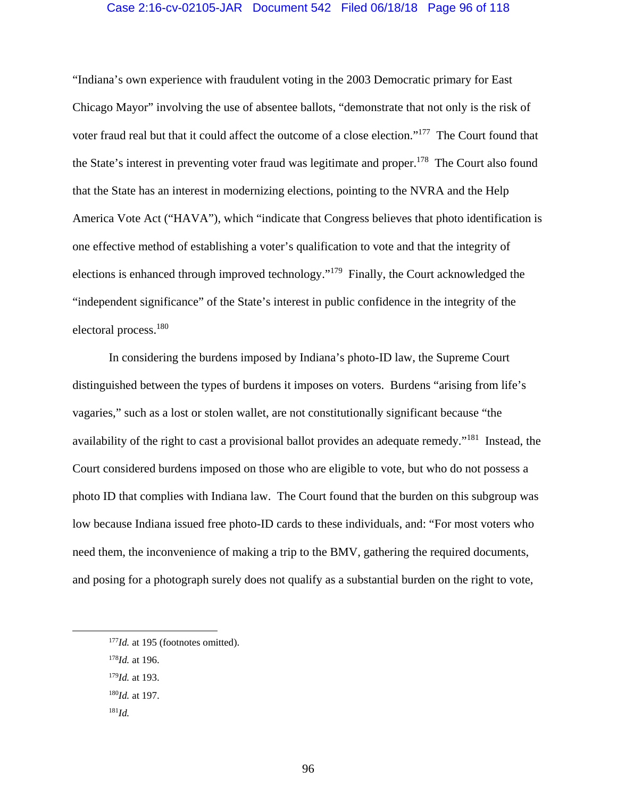#### Case 2:16-cv-02105-JAR Document 542 Filed 06/18/18 Page 96 of 118

"Indiana's own experience with fraudulent voting in the 2003 Democratic primary for East Chicago Mayor" involving the use of absentee ballots, "demonstrate that not only is the risk of voter fraud real but that it could affect the outcome of a close election."177 The Court found that the State's interest in preventing voter fraud was legitimate and proper.<sup>178</sup> The Court also found that the State has an interest in modernizing elections, pointing to the NVRA and the Help America Vote Act ("HAVA"), which "indicate that Congress believes that photo identification is one effective method of establishing a voter's qualification to vote and that the integrity of elections is enhanced through improved technology."179 Finally, the Court acknowledged the "independent significance" of the State's interest in public confidence in the integrity of the electoral process.180

 In considering the burdens imposed by Indiana's photo-ID law, the Supreme Court distinguished between the types of burdens it imposes on voters. Burdens "arising from life's vagaries," such as a lost or stolen wallet, are not constitutionally significant because "the availability of the right to cast a provisional ballot provides an adequate remedy."181 Instead, the Court considered burdens imposed on those who are eligible to vote, but who do not possess a photo ID that complies with Indiana law. The Court found that the burden on this subgroup was low because Indiana issued free photo-ID cards to these individuals, and: "For most voters who need them, the inconvenience of making a trip to the BMV, gathering the required documents, and posing for a photograph surely does not qualify as a substantial burden on the right to vote,

- <sup>178</sup>*Id.* at 196.
- <sup>179</sup>*Id.* at 193.
- <sup>180</sup>*Id.* at 197.
- <sup>181</sup>*Id.*

<sup>&</sup>lt;sup>177</sup>*Id.* at 195 (footnotes omitted).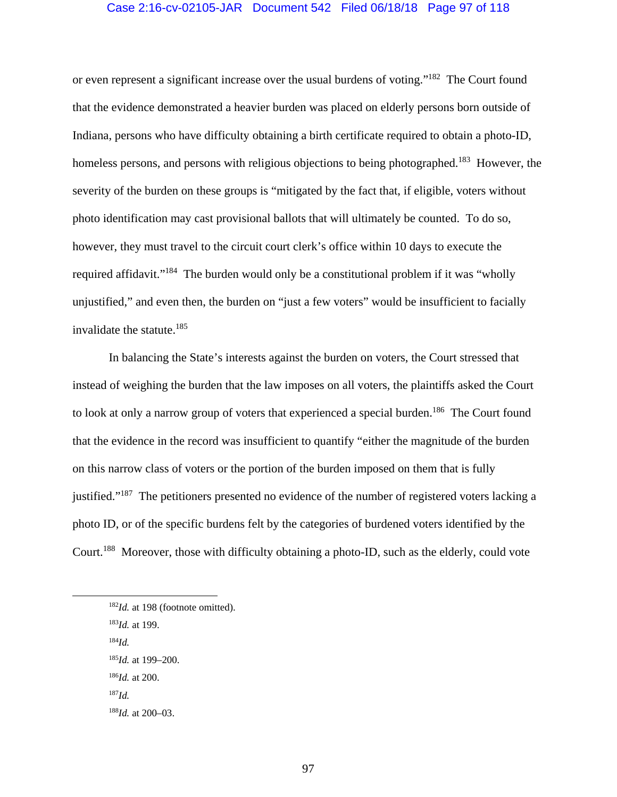#### Case 2:16-cv-02105-JAR Document 542 Filed 06/18/18 Page 97 of 118

or even represent a significant increase over the usual burdens of voting."182 The Court found that the evidence demonstrated a heavier burden was placed on elderly persons born outside of Indiana, persons who have difficulty obtaining a birth certificate required to obtain a photo-ID, homeless persons, and persons with religious objections to being photographed.<sup>183</sup> However, the severity of the burden on these groups is "mitigated by the fact that, if eligible, voters without photo identification may cast provisional ballots that will ultimately be counted. To do so, however, they must travel to the circuit court clerk's office within 10 days to execute the required affidavit."184 The burden would only be a constitutional problem if it was "wholly unjustified," and even then, the burden on "just a few voters" would be insufficient to facially invalidate the statute.185

 In balancing the State's interests against the burden on voters, the Court stressed that instead of weighing the burden that the law imposes on all voters, the plaintiffs asked the Court to look at only a narrow group of voters that experienced a special burden.<sup>186</sup> The Court found that the evidence in the record was insufficient to quantify "either the magnitude of the burden on this narrow class of voters or the portion of the burden imposed on them that is fully justified."187 The petitioners presented no evidence of the number of registered voters lacking a photo ID, or of the specific burdens felt by the categories of burdened voters identified by the Court.188 Moreover, those with difficulty obtaining a photo-ID, such as the elderly, could vote

- <sup>183</sup>*Id.* at 199.
- <sup>184</sup>*Id.*
- <sup>185</sup>*Id.* at 199–200.
- <sup>186</sup>*Id.* at 200.
- <sup>187</sup>*Id.*
- <sup>188</sup>*Id.* at 200–03.

<sup>&</sup>lt;sup>182</sup>*Id.* at 198 (footnote omitted).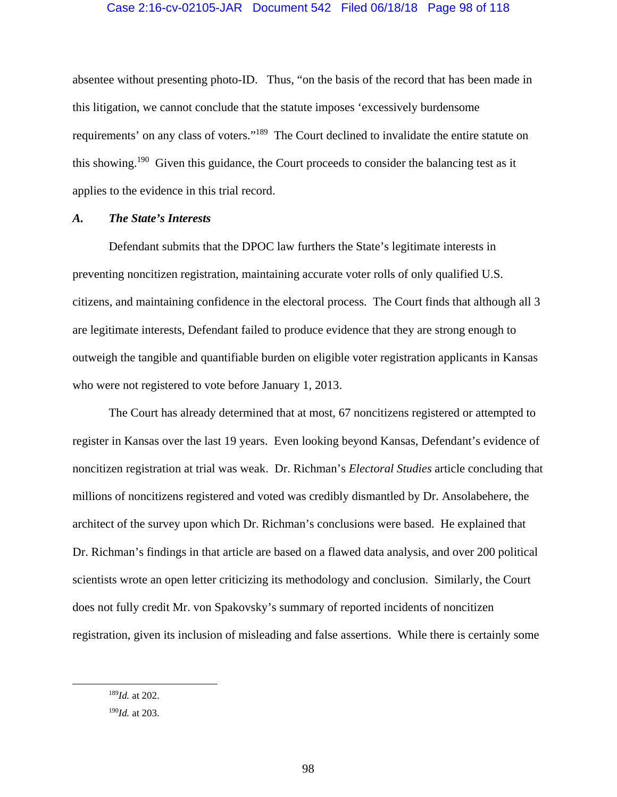absentee without presenting photo-ID. Thus, "on the basis of the record that has been made in this litigation, we cannot conclude that the statute imposes 'excessively burdensome requirements' on any class of voters."189 The Court declined to invalidate the entire statute on this showing.<sup>190</sup> Given this guidance, the Court proceeds to consider the balancing test as it applies to the evidence in this trial record.

## *A. The State's Interests*

Defendant submits that the DPOC law furthers the State's legitimate interests in preventing noncitizen registration, maintaining accurate voter rolls of only qualified U.S. citizens, and maintaining confidence in the electoral process. The Court finds that although all 3 are legitimate interests, Defendant failed to produce evidence that they are strong enough to outweigh the tangible and quantifiable burden on eligible voter registration applicants in Kansas who were not registered to vote before January 1, 2013.

The Court has already determined that at most, 67 noncitizens registered or attempted to register in Kansas over the last 19 years. Even looking beyond Kansas, Defendant's evidence of noncitizen registration at trial was weak. Dr. Richman's *Electoral Studies* article concluding that millions of noncitizens registered and voted was credibly dismantled by Dr. Ansolabehere, the architect of the survey upon which Dr. Richman's conclusions were based. He explained that Dr. Richman's findings in that article are based on a flawed data analysis, and over 200 political scientists wrote an open letter criticizing its methodology and conclusion. Similarly, the Court does not fully credit Mr. von Spakovsky's summary of reported incidents of noncitizen registration, given its inclusion of misleading and false assertions. While there is certainly some

 <sup>189</sup>*Id.* at 202.

<sup>190</sup>*Id.* at 203.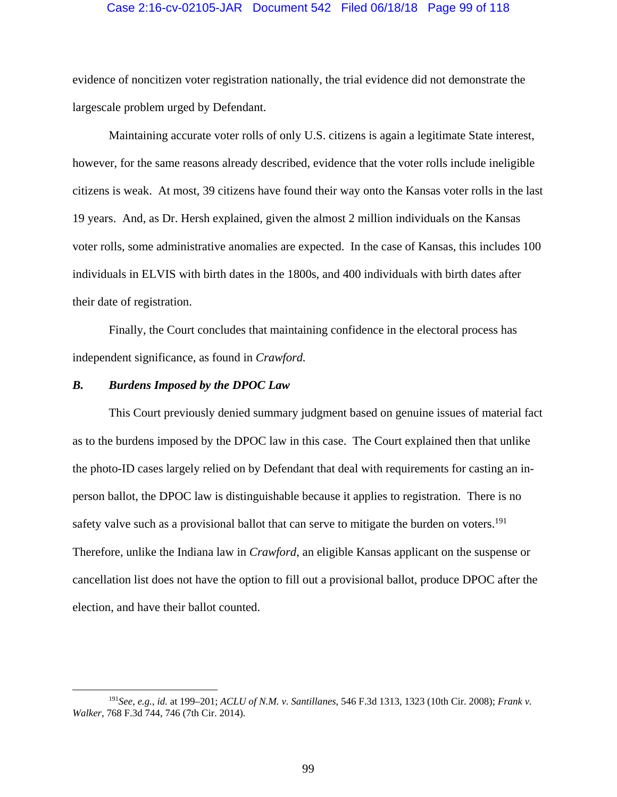#### Case 2:16-cv-02105-JAR Document 542 Filed 06/18/18 Page 99 of 118

evidence of noncitizen voter registration nationally, the trial evidence did not demonstrate the largescale problem urged by Defendant.

Maintaining accurate voter rolls of only U.S. citizens is again a legitimate State interest, however, for the same reasons already described, evidence that the voter rolls include ineligible citizens is weak. At most, 39 citizens have found their way onto the Kansas voter rolls in the last 19 years. And, as Dr. Hersh explained, given the almost 2 million individuals on the Kansas voter rolls, some administrative anomalies are expected. In the case of Kansas, this includes 100 individuals in ELVIS with birth dates in the 1800s, and 400 individuals with birth dates after their date of registration.

Finally, the Court concludes that maintaining confidence in the electoral process has independent significance, as found in *Crawford.*

#### *B. Burdens Imposed by the DPOC Law*

 This Court previously denied summary judgment based on genuine issues of material fact as to the burdens imposed by the DPOC law in this case. The Court explained then that unlike the photo-ID cases largely relied on by Defendant that deal with requirements for casting an inperson ballot, the DPOC law is distinguishable because it applies to registration. There is no safety valve such as a provisional ballot that can serve to mitigate the burden on voters.<sup>191</sup> Therefore, unlike the Indiana law in *Crawford*, an eligible Kansas applicant on the suspense or cancellation list does not have the option to fill out a provisional ballot, produce DPOC after the election, and have their ballot counted.

 <sup>191</sup>*See, e.g.*, *id.* at 199–201; *ACLU of N.M. v. Santillanes*, 546 F.3d 1313, 1323 (10th Cir. 2008); *Frank v. Walker*, 768 F.3d 744, 746 (7th Cir. 2014).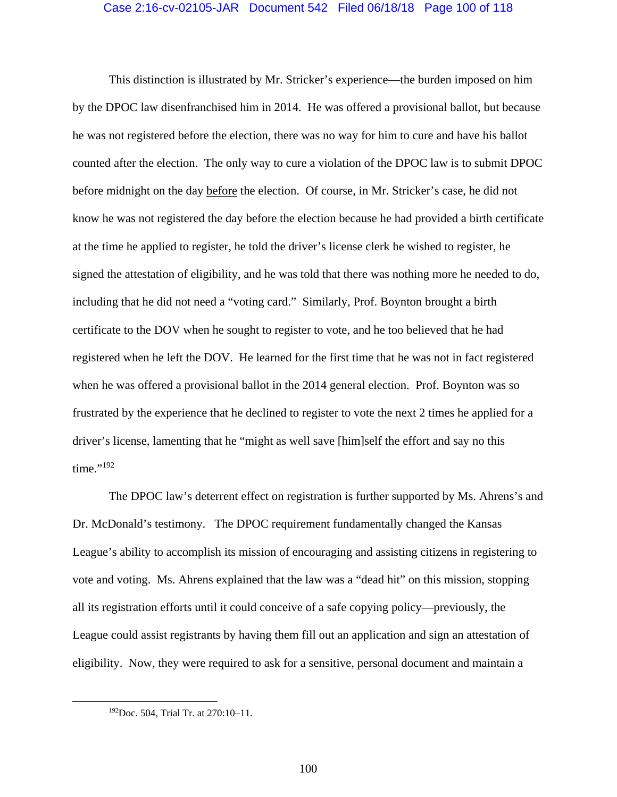### Case 2:16-cv-02105-JAR Document 542 Filed 06/18/18 Page 100 of 118

This distinction is illustrated by Mr. Stricker's experience—the burden imposed on him by the DPOC law disenfranchised him in 2014. He was offered a provisional ballot, but because he was not registered before the election, there was no way for him to cure and have his ballot counted after the election. The only way to cure a violation of the DPOC law is to submit DPOC before midnight on the day before the election. Of course, in Mr. Stricker's case, he did not know he was not registered the day before the election because he had provided a birth certificate at the time he applied to register, he told the driver's license clerk he wished to register, he signed the attestation of eligibility, and he was told that there was nothing more he needed to do, including that he did not need a "voting card." Similarly, Prof. Boynton brought a birth certificate to the DOV when he sought to register to vote, and he too believed that he had registered when he left the DOV. He learned for the first time that he was not in fact registered when he was offered a provisional ballot in the 2014 general election. Prof. Boynton was so frustrated by the experience that he declined to register to vote the next 2 times he applied for a driver's license, lamenting that he "might as well save [him]self the effort and say no this time."<sup>192</sup>

 The DPOC law's deterrent effect on registration is further supported by Ms. Ahrens's and Dr. McDonald's testimony. The DPOC requirement fundamentally changed the Kansas League's ability to accomplish its mission of encouraging and assisting citizens in registering to vote and voting. Ms. Ahrens explained that the law was a "dead hit" on this mission, stopping all its registration efforts until it could conceive of a safe copying policy—previously, the League could assist registrants by having them fill out an application and sign an attestation of eligibility. Now, they were required to ask for a sensitive, personal document and maintain a

 <sup>192</sup>Doc. 504, Trial Tr. at 270:10–11.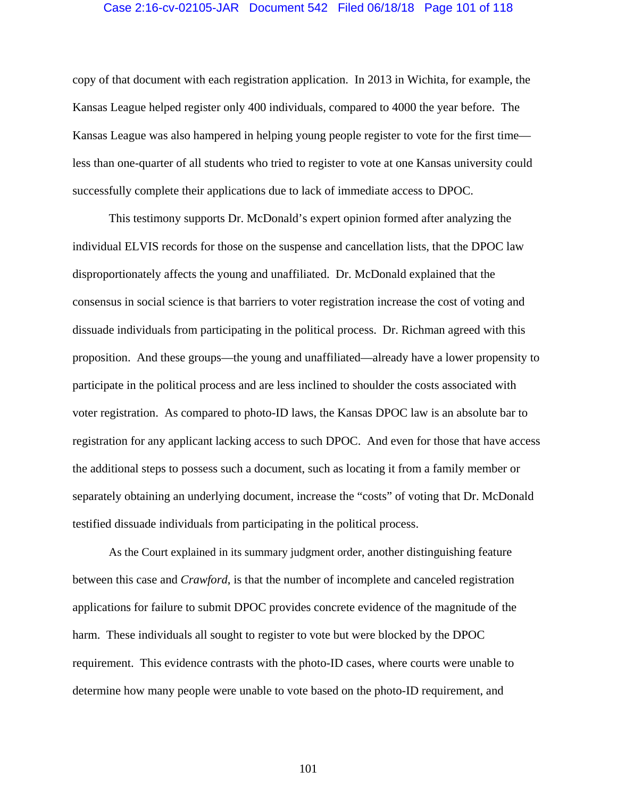#### Case 2:16-cv-02105-JAR Document 542 Filed 06/18/18 Page 101 of 118

copy of that document with each registration application. In 2013 in Wichita, for example, the Kansas League helped register only 400 individuals, compared to 4000 the year before. The Kansas League was also hampered in helping young people register to vote for the first time less than one-quarter of all students who tried to register to vote at one Kansas university could successfully complete their applications due to lack of immediate access to DPOC.

 This testimony supports Dr. McDonald's expert opinion formed after analyzing the individual ELVIS records for those on the suspense and cancellation lists, that the DPOC law disproportionately affects the young and unaffiliated. Dr. McDonald explained that the consensus in social science is that barriers to voter registration increase the cost of voting and dissuade individuals from participating in the political process. Dr. Richman agreed with this proposition. And these groups—the young and unaffiliated—already have a lower propensity to participate in the political process and are less inclined to shoulder the costs associated with voter registration. As compared to photo-ID laws, the Kansas DPOC law is an absolute bar to registration for any applicant lacking access to such DPOC. And even for those that have access the additional steps to possess such a document, such as locating it from a family member or separately obtaining an underlying document, increase the "costs" of voting that Dr. McDonald testified dissuade individuals from participating in the political process.

As the Court explained in its summary judgment order, another distinguishing feature between this case and *Crawford*, is that the number of incomplete and canceled registration applications for failure to submit DPOC provides concrete evidence of the magnitude of the harm. These individuals all sought to register to vote but were blocked by the DPOC requirement. This evidence contrasts with the photo-ID cases, where courts were unable to determine how many people were unable to vote based on the photo-ID requirement, and

101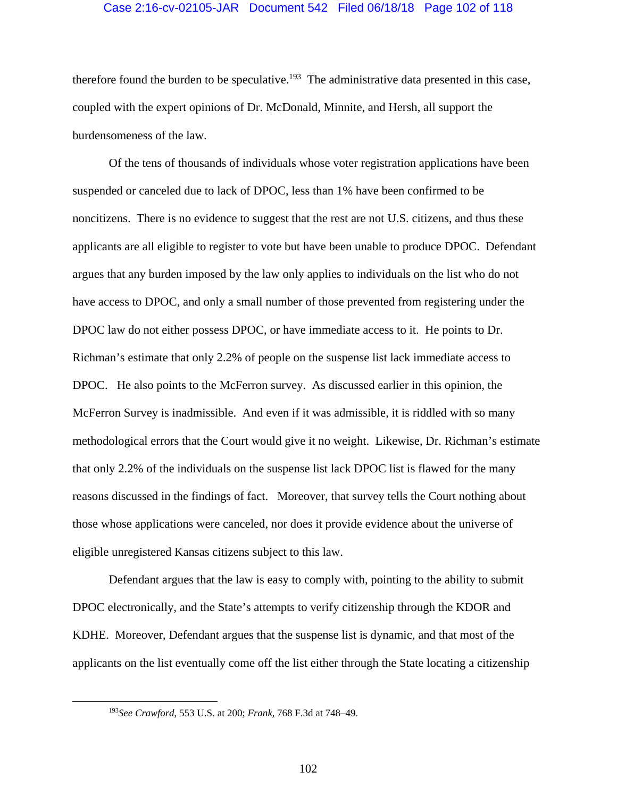### Case 2:16-cv-02105-JAR Document 542 Filed 06/18/18 Page 102 of 118

therefore found the burden to be speculative.<sup>193</sup> The administrative data presented in this case, coupled with the expert opinions of Dr. McDonald, Minnite, and Hersh, all support the burdensomeness of the law.

Of the tens of thousands of individuals whose voter registration applications have been suspended or canceled due to lack of DPOC, less than 1% have been confirmed to be noncitizens. There is no evidence to suggest that the rest are not U.S. citizens, and thus these applicants are all eligible to register to vote but have been unable to produce DPOC. Defendant argues that any burden imposed by the law only applies to individuals on the list who do not have access to DPOC, and only a small number of those prevented from registering under the DPOC law do not either possess DPOC, or have immediate access to it. He points to Dr. Richman's estimate that only 2.2% of people on the suspense list lack immediate access to DPOC. He also points to the McFerron survey. As discussed earlier in this opinion, the McFerron Survey is inadmissible. And even if it was admissible, it is riddled with so many methodological errors that the Court would give it no weight. Likewise, Dr. Richman's estimate that only 2.2% of the individuals on the suspense list lack DPOC list is flawed for the many reasons discussed in the findings of fact. Moreover, that survey tells the Court nothing about those whose applications were canceled, nor does it provide evidence about the universe of eligible unregistered Kansas citizens subject to this law.

Defendant argues that the law is easy to comply with, pointing to the ability to submit DPOC electronically, and the State's attempts to verify citizenship through the KDOR and KDHE. Moreover, Defendant argues that the suspense list is dynamic, and that most of the applicants on the list eventually come off the list either through the State locating a citizenship

 <sup>193</sup>*See Crawford*, 553 U.S. at 200; *Frank*, 768 F.3d at 748–49.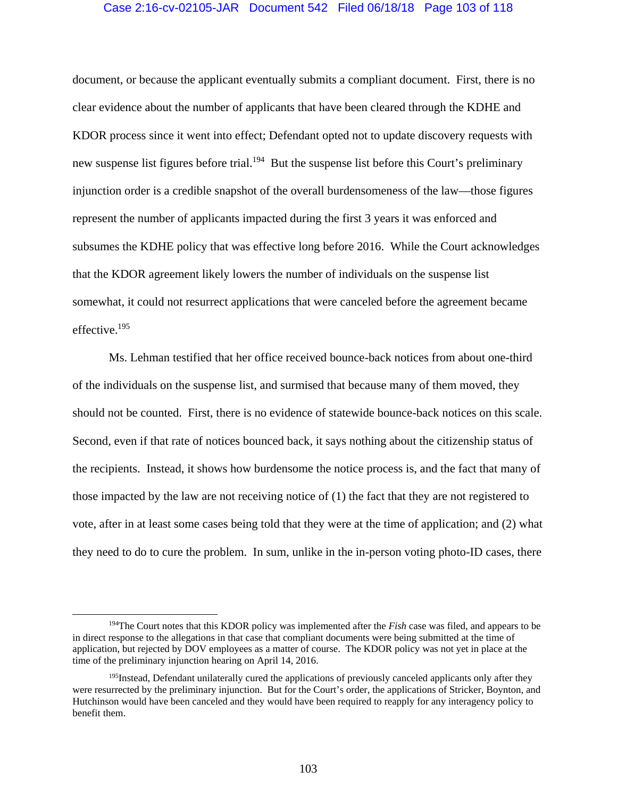## Case 2:16-cv-02105-JAR Document 542 Filed 06/18/18 Page 103 of 118

document, or because the applicant eventually submits a compliant document. First, there is no clear evidence about the number of applicants that have been cleared through the KDHE and KDOR process since it went into effect; Defendant opted not to update discovery requests with new suspense list figures before trial.<sup>194</sup> But the suspense list before this Court's preliminary injunction order is a credible snapshot of the overall burdensomeness of the law—those figures represent the number of applicants impacted during the first 3 years it was enforced and subsumes the KDHE policy that was effective long before 2016. While the Court acknowledges that the KDOR agreement likely lowers the number of individuals on the suspense list somewhat, it could not resurrect applications that were canceled before the agreement became effective.195

Ms. Lehman testified that her office received bounce-back notices from about one-third of the individuals on the suspense list, and surmised that because many of them moved, they should not be counted. First, there is no evidence of statewide bounce-back notices on this scale. Second, even if that rate of notices bounced back, it says nothing about the citizenship status of the recipients. Instead, it shows how burdensome the notice process is, and the fact that many of those impacted by the law are not receiving notice of (1) the fact that they are not registered to vote, after in at least some cases being told that they were at the time of application; and (2) what they need to do to cure the problem. In sum, unlike in the in-person voting photo-ID cases, there

<sup>&</sup>lt;sup>194</sup>The Court notes that this KDOR policy was implemented after the *Fish* case was filed, and appears to be in direct response to the allegations in that case that compliant documents were being submitted at the time of application, but rejected by DOV employees as a matter of course. The KDOR policy was not yet in place at the time of the preliminary injunction hearing on April 14, 2016.

<sup>&</sup>lt;sup>195</sup>Instead, Defendant unilaterally cured the applications of previously canceled applicants only after they were resurrected by the preliminary injunction. But for the Court's order, the applications of Stricker, Boynton, and Hutchinson would have been canceled and they would have been required to reapply for any interagency policy to benefit them.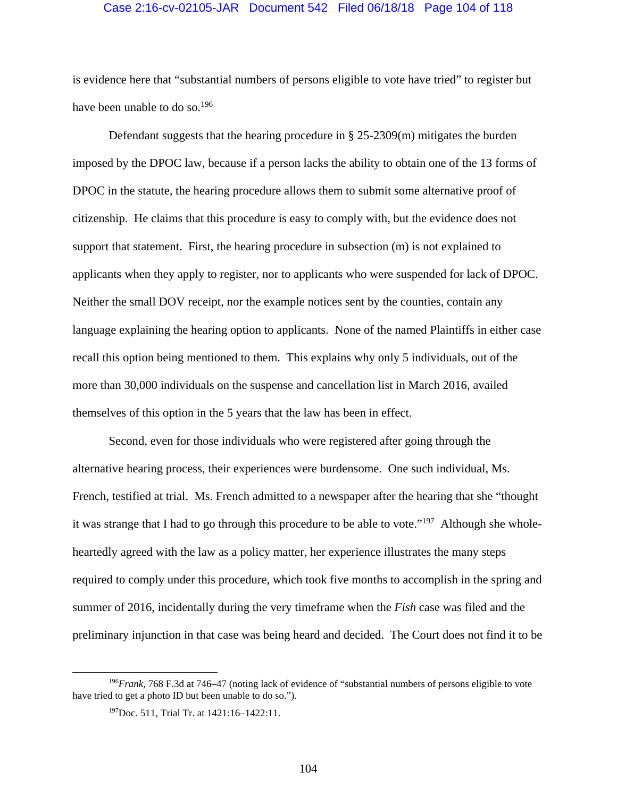#### Case 2:16-cv-02105-JAR Document 542 Filed 06/18/18 Page 104 of 118

is evidence here that "substantial numbers of persons eligible to vote have tried" to register but have been unable to do so.<sup>196</sup>

Defendant suggests that the hearing procedure in § 25-2309(m) mitigates the burden imposed by the DPOC law, because if a person lacks the ability to obtain one of the 13 forms of DPOC in the statute, the hearing procedure allows them to submit some alternative proof of citizenship. He claims that this procedure is easy to comply with, but the evidence does not support that statement. First, the hearing procedure in subsection (m) is not explained to applicants when they apply to register, nor to applicants who were suspended for lack of DPOC. Neither the small DOV receipt, nor the example notices sent by the counties, contain any language explaining the hearing option to applicants. None of the named Plaintiffs in either case recall this option being mentioned to them. This explains why only 5 individuals, out of the more than 30,000 individuals on the suspense and cancellation list in March 2016, availed themselves of this option in the 5 years that the law has been in effect.

Second, even for those individuals who were registered after going through the alternative hearing process, their experiences were burdensome. One such individual, Ms. French, testified at trial. Ms. French admitted to a newspaper after the hearing that she "thought it was strange that I had to go through this procedure to be able to vote."197 Although she wholeheartedly agreed with the law as a policy matter, her experience illustrates the many steps required to comply under this procedure, which took five months to accomplish in the spring and summer of 2016, incidentally during the very timeframe when the *Fish* case was filed and the preliminary injunction in that case was being heard and decided. The Court does not find it to be

 <sup>196</sup>*Frank*, 768 F.3d at 746–47 (noting lack of evidence of "substantial numbers of persons eligible to vote have tried to get a photo ID but been unable to do so.").

<sup>197</sup>Doc. 511, Trial Tr. at 1421:16–1422:11.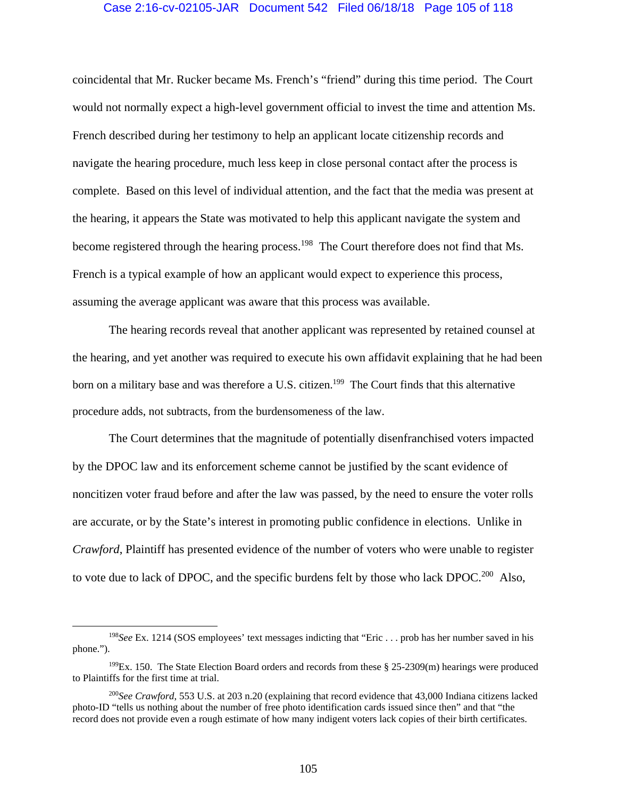#### Case 2:16-cv-02105-JAR Document 542 Filed 06/18/18 Page 105 of 118

coincidental that Mr. Rucker became Ms. French's "friend" during this time period. The Court would not normally expect a high-level government official to invest the time and attention Ms. French described during her testimony to help an applicant locate citizenship records and navigate the hearing procedure, much less keep in close personal contact after the process is complete. Based on this level of individual attention, and the fact that the media was present at the hearing, it appears the State was motivated to help this applicant navigate the system and become registered through the hearing process.<sup>198</sup> The Court therefore does not find that Ms. French is a typical example of how an applicant would expect to experience this process, assuming the average applicant was aware that this process was available.

The hearing records reveal that another applicant was represented by retained counsel at the hearing, and yet another was required to execute his own affidavit explaining that he had been born on a military base and was therefore a U.S. citizen.<sup>199</sup> The Court finds that this alternative procedure adds, not subtracts, from the burdensomeness of the law.

The Court determines that the magnitude of potentially disenfranchised voters impacted by the DPOC law and its enforcement scheme cannot be justified by the scant evidence of noncitizen voter fraud before and after the law was passed, by the need to ensure the voter rolls are accurate, or by the State's interest in promoting public confidence in elections. Unlike in *Crawford*, Plaintiff has presented evidence of the number of voters who were unable to register to vote due to lack of DPOC, and the specific burdens felt by those who lack DPOC.<sup>200</sup> Also,

 <sup>198</sup>*See* Ex. 1214 (SOS employees' text messages indicting that "Eric . . . prob has her number saved in his phone.").

<sup>&</sup>lt;sup>199</sup>Ex. 150. The State Election Board orders and records from these  $\S 25-2309(m)$  hearings were produced to Plaintiffs for the first time at trial.

<sup>200</sup>*See Crawford*, 553 U.S. at 203 n.20 (explaining that record evidence that 43,000 Indiana citizens lacked photo-ID "tells us nothing about the number of free photo identification cards issued since then" and that "the record does not provide even a rough estimate of how many indigent voters lack copies of their birth certificates.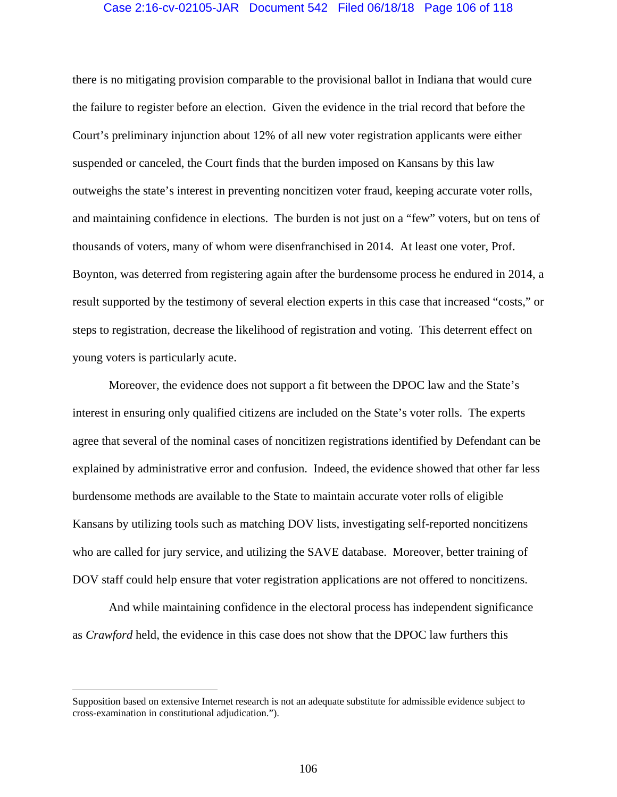### Case 2:16-cv-02105-JAR Document 542 Filed 06/18/18 Page 106 of 118

there is no mitigating provision comparable to the provisional ballot in Indiana that would cure the failure to register before an election. Given the evidence in the trial record that before the Court's preliminary injunction about 12% of all new voter registration applicants were either suspended or canceled, the Court finds that the burden imposed on Kansans by this law outweighs the state's interest in preventing noncitizen voter fraud, keeping accurate voter rolls, and maintaining confidence in elections. The burden is not just on a "few" voters, but on tens of thousands of voters, many of whom were disenfranchised in 2014. At least one voter, Prof. Boynton, was deterred from registering again after the burdensome process he endured in 2014, a result supported by the testimony of several election experts in this case that increased "costs," or steps to registration, decrease the likelihood of registration and voting. This deterrent effect on young voters is particularly acute.

Moreover, the evidence does not support a fit between the DPOC law and the State's interest in ensuring only qualified citizens are included on the State's voter rolls. The experts agree that several of the nominal cases of noncitizen registrations identified by Defendant can be explained by administrative error and confusion. Indeed, the evidence showed that other far less burdensome methods are available to the State to maintain accurate voter rolls of eligible Kansans by utilizing tools such as matching DOV lists, investigating self-reported noncitizens who are called for jury service, and utilizing the SAVE database. Moreover, better training of DOV staff could help ensure that voter registration applications are not offered to noncitizens.

And while maintaining confidence in the electoral process has independent significance as *Crawford* held, the evidence in this case does not show that the DPOC law furthers this

 $\overline{a}$ 

Supposition based on extensive Internet research is not an adequate substitute for admissible evidence subject to cross-examination in constitutional adjudication.").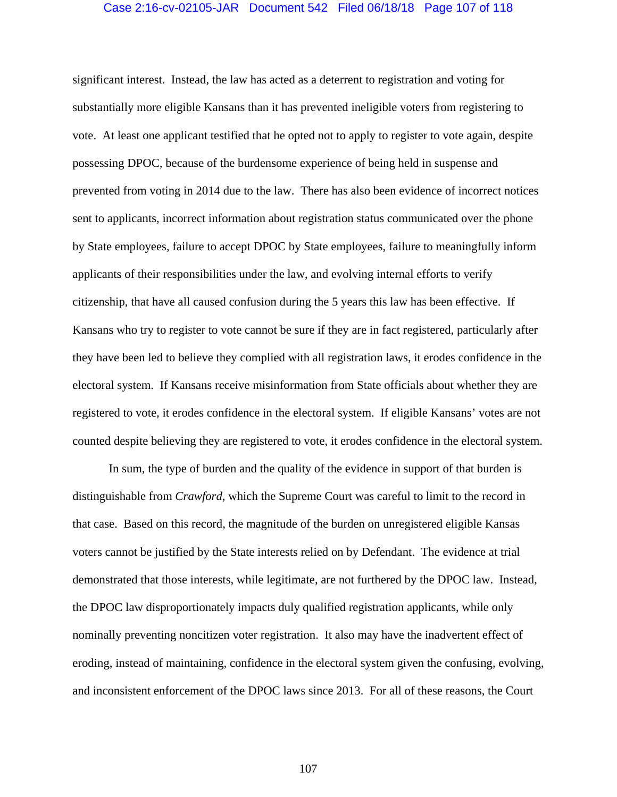## Case 2:16-cv-02105-JAR Document 542 Filed 06/18/18 Page 107 of 118

significant interest. Instead, the law has acted as a deterrent to registration and voting for substantially more eligible Kansans than it has prevented ineligible voters from registering to vote. At least one applicant testified that he opted not to apply to register to vote again, despite possessing DPOC, because of the burdensome experience of being held in suspense and prevented from voting in 2014 due to the law. There has also been evidence of incorrect notices sent to applicants, incorrect information about registration status communicated over the phone by State employees, failure to accept DPOC by State employees, failure to meaningfully inform applicants of their responsibilities under the law, and evolving internal efforts to verify citizenship, that have all caused confusion during the 5 years this law has been effective. If Kansans who try to register to vote cannot be sure if they are in fact registered, particularly after they have been led to believe they complied with all registration laws, it erodes confidence in the electoral system. If Kansans receive misinformation from State officials about whether they are registered to vote, it erodes confidence in the electoral system. If eligible Kansans' votes are not counted despite believing they are registered to vote, it erodes confidence in the electoral system.

In sum, the type of burden and the quality of the evidence in support of that burden is distinguishable from *Crawford*, which the Supreme Court was careful to limit to the record in that case. Based on this record, the magnitude of the burden on unregistered eligible Kansas voters cannot be justified by the State interests relied on by Defendant. The evidence at trial demonstrated that those interests, while legitimate, are not furthered by the DPOC law. Instead, the DPOC law disproportionately impacts duly qualified registration applicants, while only nominally preventing noncitizen voter registration. It also may have the inadvertent effect of eroding, instead of maintaining, confidence in the electoral system given the confusing, evolving, and inconsistent enforcement of the DPOC laws since 2013. For all of these reasons, the Court

107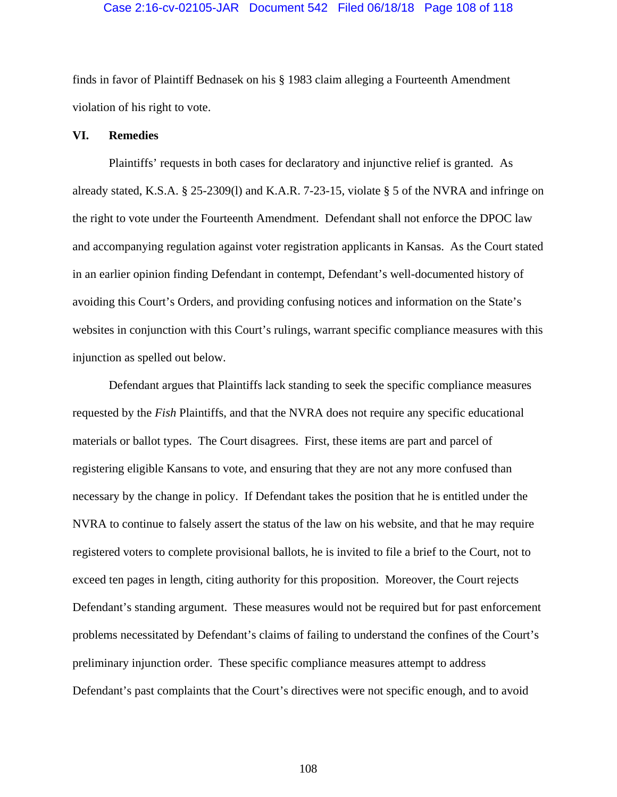#### Case 2:16-cv-02105-JAR Document 542 Filed 06/18/18 Page 108 of 118

finds in favor of Plaintiff Bednasek on his § 1983 claim alleging a Fourteenth Amendment violation of his right to vote.

### **VI. Remedies**

 Plaintiffs' requests in both cases for declaratory and injunctive relief is granted. As already stated, K.S.A. § 25-2309(l) and K.A.R. 7-23-15, violate § 5 of the NVRA and infringe on the right to vote under the Fourteenth Amendment. Defendant shall not enforce the DPOC law and accompanying regulation against voter registration applicants in Kansas. As the Court stated in an earlier opinion finding Defendant in contempt, Defendant's well-documented history of avoiding this Court's Orders, and providing confusing notices and information on the State's websites in conjunction with this Court's rulings, warrant specific compliance measures with this injunction as spelled out below.

Defendant argues that Plaintiffs lack standing to seek the specific compliance measures requested by the *Fish* Plaintiffs, and that the NVRA does not require any specific educational materials or ballot types. The Court disagrees. First, these items are part and parcel of registering eligible Kansans to vote, and ensuring that they are not any more confused than necessary by the change in policy. If Defendant takes the position that he is entitled under the NVRA to continue to falsely assert the status of the law on his website, and that he may require registered voters to complete provisional ballots, he is invited to file a brief to the Court, not to exceed ten pages in length, citing authority for this proposition. Moreover, the Court rejects Defendant's standing argument. These measures would not be required but for past enforcement problems necessitated by Defendant's claims of failing to understand the confines of the Court's preliminary injunction order. These specific compliance measures attempt to address Defendant's past complaints that the Court's directives were not specific enough, and to avoid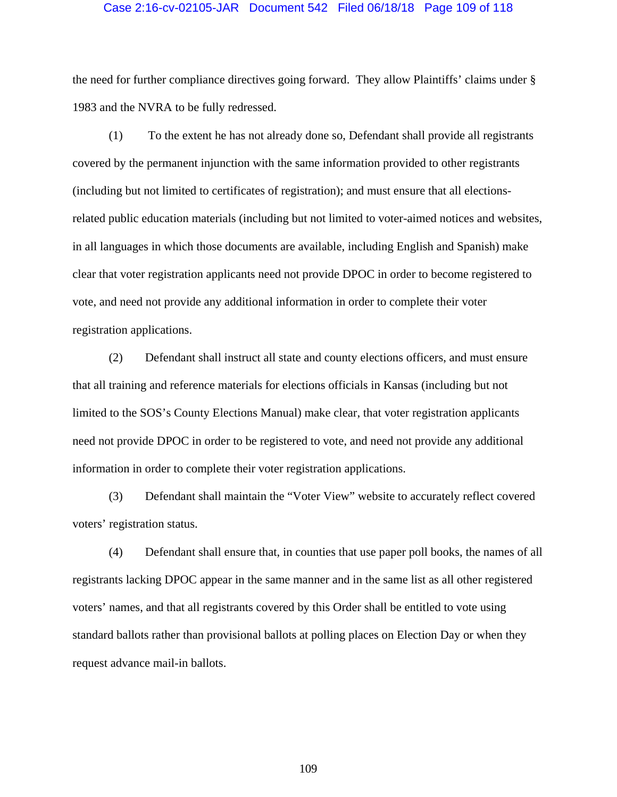### Case 2:16-cv-02105-JAR Document 542 Filed 06/18/18 Page 109 of 118

the need for further compliance directives going forward. They allow Plaintiffs' claims under § 1983 and the NVRA to be fully redressed.

 (1) To the extent he has not already done so, Defendant shall provide all registrants covered by the permanent injunction with the same information provided to other registrants (including but not limited to certificates of registration); and must ensure that all electionsrelated public education materials (including but not limited to voter-aimed notices and websites, in all languages in which those documents are available, including English and Spanish) make clear that voter registration applicants need not provide DPOC in order to become registered to vote, and need not provide any additional information in order to complete their voter registration applications.

(2) Defendant shall instruct all state and county elections officers, and must ensure that all training and reference materials for elections officials in Kansas (including but not limited to the SOS's County Elections Manual) make clear, that voter registration applicants need not provide DPOC in order to be registered to vote, and need not provide any additional information in order to complete their voter registration applications.

(3) Defendant shall maintain the "Voter View" website to accurately reflect covered voters' registration status.

(4) Defendant shall ensure that, in counties that use paper poll books, the names of all registrants lacking DPOC appear in the same manner and in the same list as all other registered voters' names, and that all registrants covered by this Order shall be entitled to vote using standard ballots rather than provisional ballots at polling places on Election Day or when they request advance mail-in ballots.

109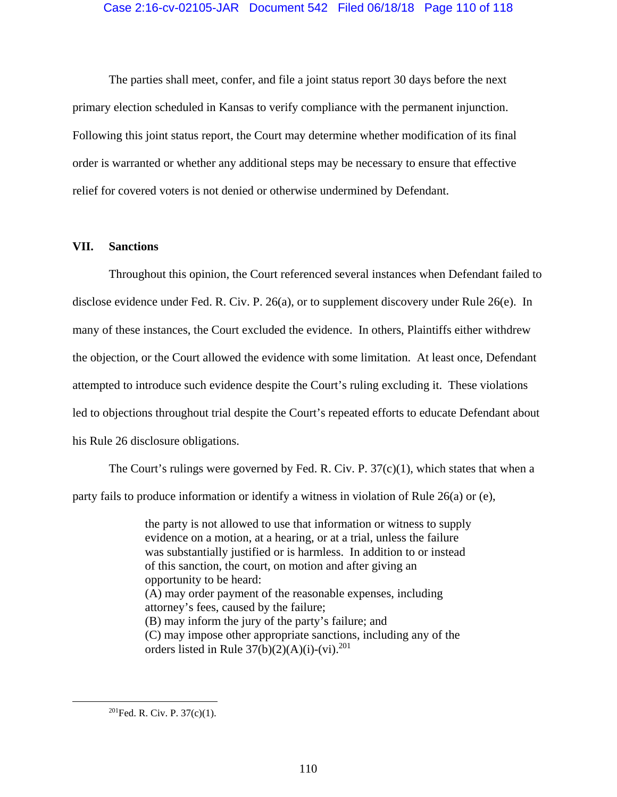The parties shall meet, confer, and file a joint status report 30 days before the next primary election scheduled in Kansas to verify compliance with the permanent injunction. Following this joint status report, the Court may determine whether modification of its final order is warranted or whether any additional steps may be necessary to ensure that effective relief for covered voters is not denied or otherwise undermined by Defendant.

### **VII. Sanctions**

Throughout this opinion, the Court referenced several instances when Defendant failed to disclose evidence under Fed. R. Civ. P. 26(a), or to supplement discovery under Rule 26(e). In many of these instances, the Court excluded the evidence. In others, Plaintiffs either withdrew the objection, or the Court allowed the evidence with some limitation. At least once, Defendant attempted to introduce such evidence despite the Court's ruling excluding it. These violations led to objections throughout trial despite the Court's repeated efforts to educate Defendant about his Rule 26 disclosure obligations.

The Court's rulings were governed by Fed. R. Civ. P.  $37(c)(1)$ , which states that when a party fails to produce information or identify a witness in violation of Rule 26(a) or (e),

> the party is not allowed to use that information or witness to supply evidence on a motion, at a hearing, or at a trial, unless the failure was substantially justified or is harmless. In addition to or instead of this sanction, the court, on motion and after giving an opportunity to be heard: (A) may order payment of the reasonable expenses, including attorney's fees, caused by the failure; (B) may inform the jury of the party's failure; and (C) may impose other appropriate sanctions, including any of the orders listed in Rule  $37(b)(2)(A)(i)-(vi).^{201}$

 $201$ Fed. R. Civ. P. 37(c)(1).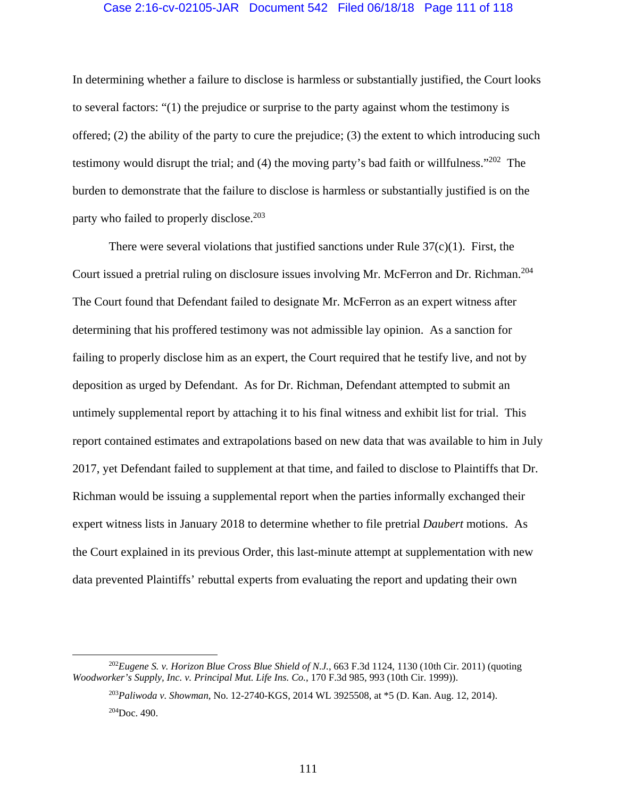### Case 2:16-cv-02105-JAR Document 542 Filed 06/18/18 Page 111 of 118

In determining whether a failure to disclose is harmless or substantially justified, the Court looks to several factors: "(1) the prejudice or surprise to the party against whom the testimony is offered; (2) the ability of the party to cure the prejudice; (3) the extent to which introducing such testimony would disrupt the trial; and (4) the moving party's bad faith or willfulness."<sup>202</sup> The burden to demonstrate that the failure to disclose is harmless or substantially justified is on the party who failed to properly disclose.<sup>203</sup>

There were several violations that justified sanctions under Rule  $37(c)(1)$ . First, the Court issued a pretrial ruling on disclosure issues involving Mr. McFerron and Dr. Richman.204 The Court found that Defendant failed to designate Mr. McFerron as an expert witness after determining that his proffered testimony was not admissible lay opinion. As a sanction for failing to properly disclose him as an expert, the Court required that he testify live, and not by deposition as urged by Defendant. As for Dr. Richman, Defendant attempted to submit an untimely supplemental report by attaching it to his final witness and exhibit list for trial. This report contained estimates and extrapolations based on new data that was available to him in July 2017, yet Defendant failed to supplement at that time, and failed to disclose to Plaintiffs that Dr. Richman would be issuing a supplemental report when the parties informally exchanged their expert witness lists in January 2018 to determine whether to file pretrial *Daubert* motions. As the Court explained in its previous Order, this last-minute attempt at supplementation with new data prevented Plaintiffs' rebuttal experts from evaluating the report and updating their own

 <sup>202</sup>*Eugene S. v. Horizon Blue Cross Blue Shield of N.J.*, 663 F.3d 1124, 1130 (10th Cir. 2011) (quoting *Woodworker's Supply, Inc. v. Principal Mut. Life Ins. Co.*, 170 F.3d 985, 993 (10th Cir. 1999)).

<sup>203</sup>*Paliwoda v. Showman*, No. 12-2740-KGS, 2014 WL 3925508, at \*5 (D. Kan. Aug. 12, 2014).  $204$ Doc. 490.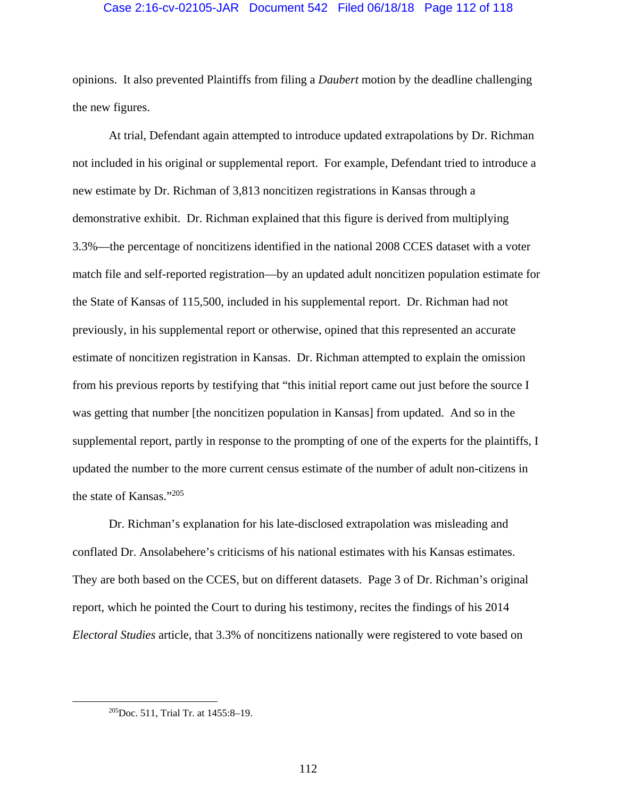## Case 2:16-cv-02105-JAR Document 542 Filed 06/18/18 Page 112 of 118

opinions. It also prevented Plaintiffs from filing a *Daubert* motion by the deadline challenging the new figures.

At trial, Defendant again attempted to introduce updated extrapolations by Dr. Richman not included in his original or supplemental report. For example, Defendant tried to introduce a new estimate by Dr. Richman of 3,813 noncitizen registrations in Kansas through a demonstrative exhibit. Dr. Richman explained that this figure is derived from multiplying 3.3%—the percentage of noncitizens identified in the national 2008 CCES dataset with a voter match file and self-reported registration—by an updated adult noncitizen population estimate for the State of Kansas of 115,500, included in his supplemental report. Dr. Richman had not previously, in his supplemental report or otherwise, opined that this represented an accurate estimate of noncitizen registration in Kansas. Dr. Richman attempted to explain the omission from his previous reports by testifying that "this initial report came out just before the source I was getting that number [the noncitizen population in Kansas] from updated. And so in the supplemental report, partly in response to the prompting of one of the experts for the plaintiffs, I updated the number to the more current census estimate of the number of adult non-citizens in the state of Kansas."205

Dr. Richman's explanation for his late-disclosed extrapolation was misleading and conflated Dr. Ansolabehere's criticisms of his national estimates with his Kansas estimates. They are both based on the CCES, but on different datasets. Page 3 of Dr. Richman's original report, which he pointed the Court to during his testimony, recites the findings of his 2014 *Electoral Studies* article, that 3.3% of noncitizens nationally were registered to vote based on

 <sup>205</sup>Doc. 511, Trial Tr. at 1455:8–19.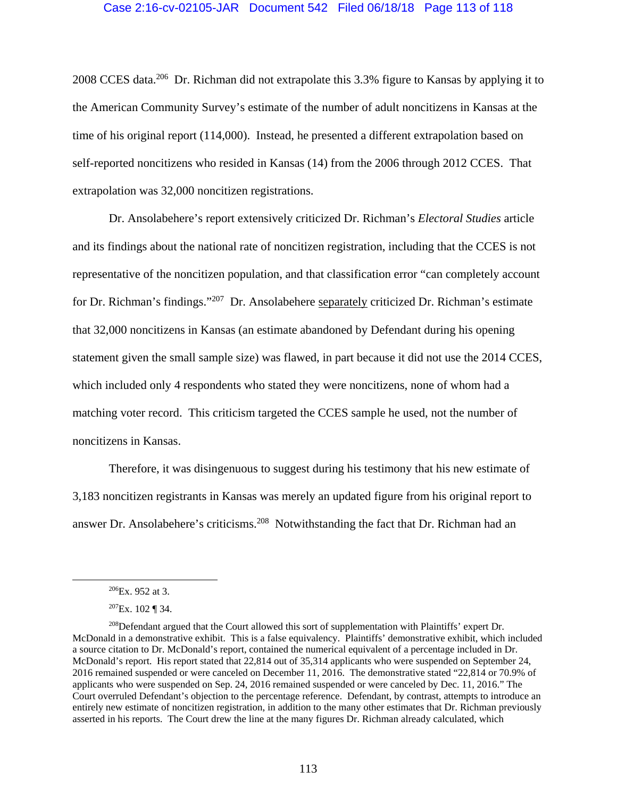# Case 2:16-cv-02105-JAR Document 542 Filed 06/18/18 Page 113 of 118

2008 CCES data.206 Dr. Richman did not extrapolate this 3.3% figure to Kansas by applying it to the American Community Survey's estimate of the number of adult noncitizens in Kansas at the time of his original report (114,000). Instead, he presented a different extrapolation based on self-reported noncitizens who resided in Kansas (14) from the 2006 through 2012 CCES. That extrapolation was 32,000 noncitizen registrations.

Dr. Ansolabehere's report extensively criticized Dr. Richman's *Electoral Studies* article and its findings about the national rate of noncitizen registration, including that the CCES is not representative of the noncitizen population, and that classification error "can completely account for Dr. Richman's findings."207 Dr. Ansolabehere separately criticized Dr. Richman's estimate that 32,000 noncitizens in Kansas (an estimate abandoned by Defendant during his opening statement given the small sample size) was flawed, in part because it did not use the 2014 CCES, which included only 4 respondents who stated they were noncitizens, none of whom had a matching voter record. This criticism targeted the CCES sample he used, not the number of noncitizens in Kansas.

Therefore, it was disingenuous to suggest during his testimony that his new estimate of 3,183 noncitizen registrants in Kansas was merely an updated figure from his original report to answer Dr. Ansolabehere's criticisms.<sup>208</sup> Notwithstanding the fact that Dr. Richman had an

 <sup>206</sup>Ex. 952 at 3.

 $207Ex. 102$  ¶ 34.

<sup>208</sup>Defendant argued that the Court allowed this sort of supplementation with Plaintiffs' expert Dr. McDonald in a demonstrative exhibit. This is a false equivalency. Plaintiffs' demonstrative exhibit, which included a source citation to Dr. McDonald's report, contained the numerical equivalent of a percentage included in Dr. McDonald's report. His report stated that 22,814 out of 35,314 applicants who were suspended on September 24, 2016 remained suspended or were canceled on December 11, 2016. The demonstrative stated "22,814 or 70.9% of applicants who were suspended on Sep. 24, 2016 remained suspended or were canceled by Dec. 11, 2016." The Court overruled Defendant's objection to the percentage reference. Defendant, by contrast, attempts to introduce an entirely new estimate of noncitizen registration, in addition to the many other estimates that Dr. Richman previously asserted in his reports. The Court drew the line at the many figures Dr. Richman already calculated, which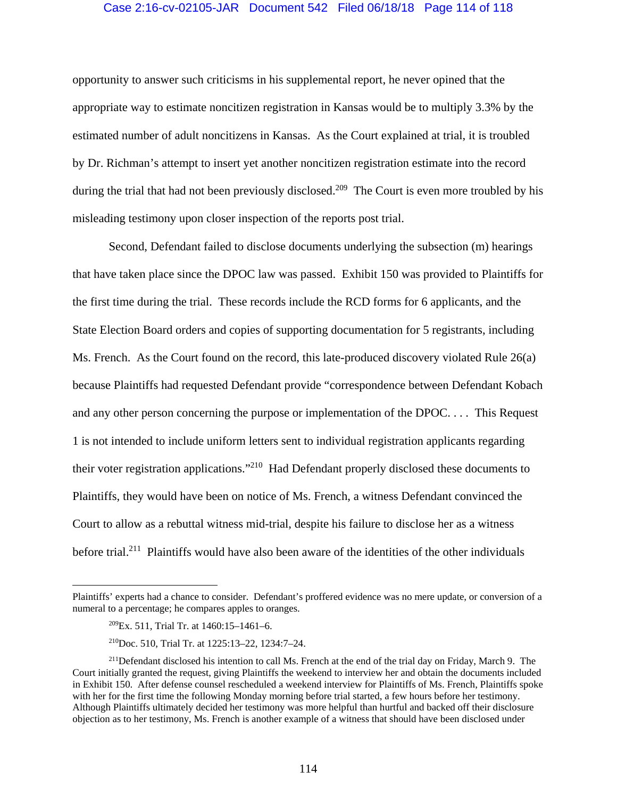# Case 2:16-cv-02105-JAR Document 542 Filed 06/18/18 Page 114 of 118

opportunity to answer such criticisms in his supplemental report, he never opined that the appropriate way to estimate noncitizen registration in Kansas would be to multiply 3.3% by the estimated number of adult noncitizens in Kansas. As the Court explained at trial, it is troubled by Dr. Richman's attempt to insert yet another noncitizen registration estimate into the record during the trial that had not been previously disclosed.<sup>209</sup> The Court is even more troubled by his misleading testimony upon closer inspection of the reports post trial.

Second, Defendant failed to disclose documents underlying the subsection (m) hearings that have taken place since the DPOC law was passed. Exhibit 150 was provided to Plaintiffs for the first time during the trial. These records include the RCD forms for 6 applicants, and the State Election Board orders and copies of supporting documentation for 5 registrants, including Ms. French. As the Court found on the record, this late-produced discovery violated Rule 26(a) because Plaintiffs had requested Defendant provide "correspondence between Defendant Kobach and any other person concerning the purpose or implementation of the DPOC. . . . This Request 1 is not intended to include uniform letters sent to individual registration applicants regarding their voter registration applications."210 Had Defendant properly disclosed these documents to Plaintiffs, they would have been on notice of Ms. French, a witness Defendant convinced the Court to allow as a rebuttal witness mid-trial, despite his failure to disclose her as a witness before trial.<sup>211</sup> Plaintiffs would have also been aware of the identities of the other individuals

1

Plaintiffs' experts had a chance to consider. Defendant's proffered evidence was no mere update, or conversion of a numeral to a percentage; he compares apples to oranges.

 $209$ Ex. 511, Trial Tr. at 1460:15-1461-6.

<sup>210</sup>Doc. 510, Trial Tr. at 1225:13–22, 1234:7–24.

<sup>&</sup>lt;sup>211</sup>Defendant disclosed his intention to call Ms. French at the end of the trial day on Friday, March 9. The Court initially granted the request, giving Plaintiffs the weekend to interview her and obtain the documents included in Exhibit 150. After defense counsel rescheduled a weekend interview for Plaintiffs of Ms. French, Plaintiffs spoke with her for the first time the following Monday morning before trial started, a few hours before her testimony. Although Plaintiffs ultimately decided her testimony was more helpful than hurtful and backed off their disclosure objection as to her testimony, Ms. French is another example of a witness that should have been disclosed under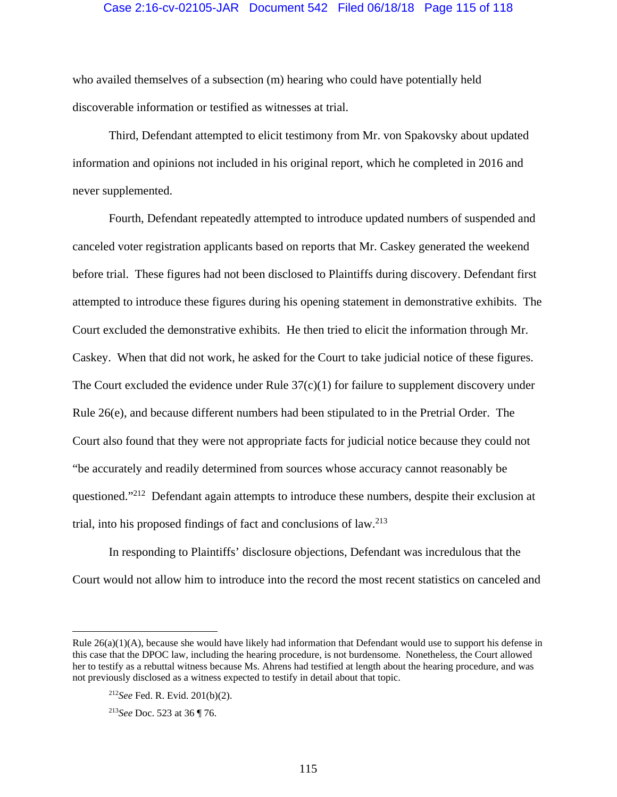## Case 2:16-cv-02105-JAR Document 542 Filed 06/18/18 Page 115 of 118

who availed themselves of a subsection (m) hearing who could have potentially held discoverable information or testified as witnesses at trial.

Third, Defendant attempted to elicit testimony from Mr. von Spakovsky about updated information and opinions not included in his original report, which he completed in 2016 and never supplemented.

Fourth, Defendant repeatedly attempted to introduce updated numbers of suspended and canceled voter registration applicants based on reports that Mr. Caskey generated the weekend before trial. These figures had not been disclosed to Plaintiffs during discovery. Defendant first attempted to introduce these figures during his opening statement in demonstrative exhibits. The Court excluded the demonstrative exhibits. He then tried to elicit the information through Mr. Caskey. When that did not work, he asked for the Court to take judicial notice of these figures. The Court excluded the evidence under Rule  $37(c)(1)$  for failure to supplement discovery under Rule 26(e), and because different numbers had been stipulated to in the Pretrial Order. The Court also found that they were not appropriate facts for judicial notice because they could not "be accurately and readily determined from sources whose accuracy cannot reasonably be questioned."<sup>212</sup> Defendant again attempts to introduce these numbers, despite their exclusion at trial, into his proposed findings of fact and conclusions of  $law<sup>213</sup>$ 

In responding to Plaintiffs' disclosure objections, Defendant was incredulous that the Court would not allow him to introduce into the record the most recent statistics on canceled and

 $\overline{a}$ 

Rule 26(a)(1)(A), because she would have likely had information that Defendant would use to support his defense in this case that the DPOC law, including the hearing procedure, is not burdensome. Nonetheless, the Court allowed her to testify as a rebuttal witness because Ms. Ahrens had testified at length about the hearing procedure, and was not previously disclosed as a witness expected to testify in detail about that topic.

<sup>212</sup>*See* Fed. R. Evid. 201(b)(2).

<sup>213</sup>*See* Doc. 523 at 36 ¶ 76.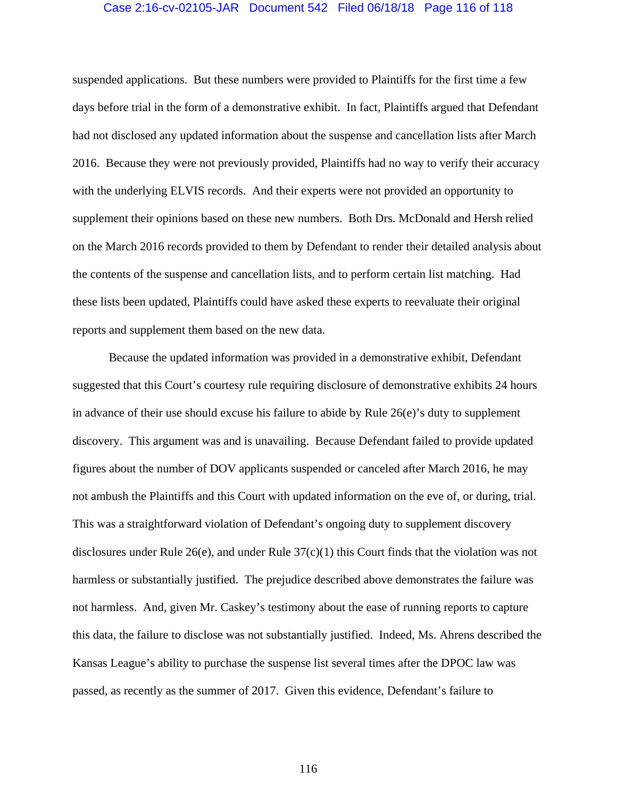## Case 2:16-cv-02105-JAR Document 542 Filed 06/18/18 Page 116 of 118

suspended applications. But these numbers were provided to Plaintiffs for the first time a few days before trial in the form of a demonstrative exhibit. In fact, Plaintiffs argued that Defendant had not disclosed any updated information about the suspense and cancellation lists after March 2016. Because they were not previously provided, Plaintiffs had no way to verify their accuracy with the underlying ELVIS records. And their experts were not provided an opportunity to supplement their opinions based on these new numbers. Both Drs. McDonald and Hersh relied on the March 2016 records provided to them by Defendant to render their detailed analysis about the contents of the suspense and cancellation lists, and to perform certain list matching. Had these lists been updated, Plaintiffs could have asked these experts to reevaluate their original reports and supplement them based on the new data.

Because the updated information was provided in a demonstrative exhibit, Defendant suggested that this Court's courtesy rule requiring disclosure of demonstrative exhibits 24 hours in advance of their use should excuse his failure to abide by Rule 26(e)'s duty to supplement discovery. This argument was and is unavailing. Because Defendant failed to provide updated figures about the number of DOV applicants suspended or canceled after March 2016, he may not ambush the Plaintiffs and this Court with updated information on the eve of, or during, trial. This was a straightforward violation of Defendant's ongoing duty to supplement discovery disclosures under Rule  $26(e)$ , and under Rule  $37(c)(1)$  this Court finds that the violation was not harmless or substantially justified. The prejudice described above demonstrates the failure was not harmless. And, given Mr. Caskey's testimony about the ease of running reports to capture this data, the failure to disclose was not substantially justified. Indeed, Ms. Ahrens described the Kansas League's ability to purchase the suspense list several times after the DPOC law was passed, as recently as the summer of 2017. Given this evidence, Defendant's failure to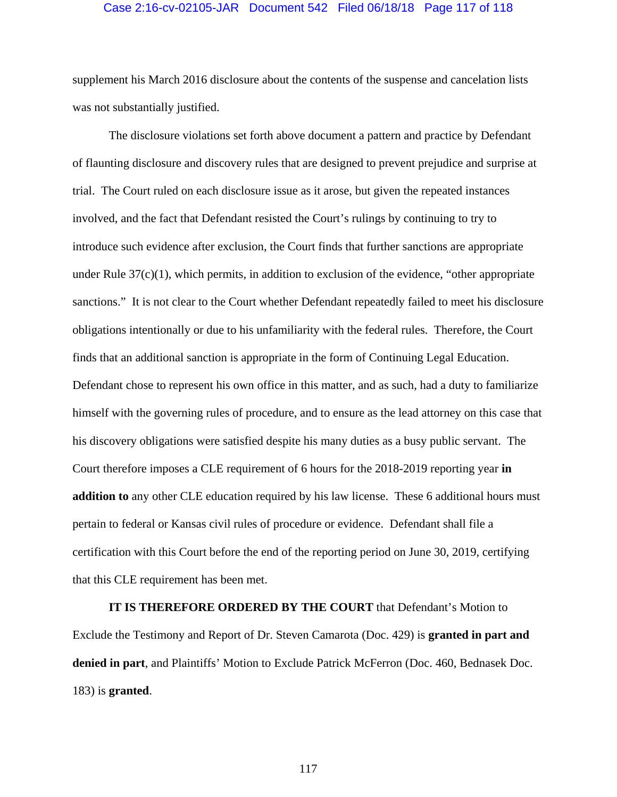### Case 2:16-cv-02105-JAR Document 542 Filed 06/18/18 Page 117 of 118

supplement his March 2016 disclosure about the contents of the suspense and cancelation lists was not substantially justified.

The disclosure violations set forth above document a pattern and practice by Defendant of flaunting disclosure and discovery rules that are designed to prevent prejudice and surprise at trial. The Court ruled on each disclosure issue as it arose, but given the repeated instances involved, and the fact that Defendant resisted the Court's rulings by continuing to try to introduce such evidence after exclusion, the Court finds that further sanctions are appropriate under Rule  $37(c)(1)$ , which permits, in addition to exclusion of the evidence, "other appropriate" sanctions." It is not clear to the Court whether Defendant repeatedly failed to meet his disclosure obligations intentionally or due to his unfamiliarity with the federal rules. Therefore, the Court finds that an additional sanction is appropriate in the form of Continuing Legal Education. Defendant chose to represent his own office in this matter, and as such, had a duty to familiarize himself with the governing rules of procedure, and to ensure as the lead attorney on this case that his discovery obligations were satisfied despite his many duties as a busy public servant. The Court therefore imposes a CLE requirement of 6 hours for the 2018-2019 reporting year **in addition to** any other CLE education required by his law license. These 6 additional hours must pertain to federal or Kansas civil rules of procedure or evidence. Defendant shall file a certification with this Court before the end of the reporting period on June 30, 2019, certifying that this CLE requirement has been met.

**IT IS THEREFORE ORDERED BY THE COURT** that Defendant's Motion to Exclude the Testimony and Report of Dr. Steven Camarota (Doc. 429) is **granted in part and denied in part**, and Plaintiffs' Motion to Exclude Patrick McFerron (Doc. 460, Bednasek Doc. 183) is **granted**.

117